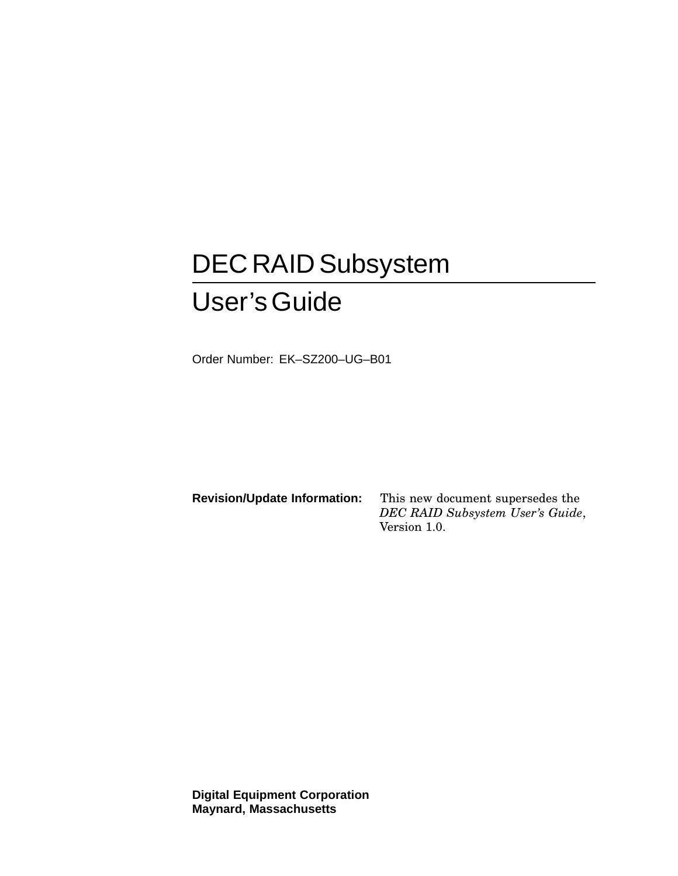# DEC RAID Subsystem User'sGuide

Order Number: EK–SZ200–UG–B01

**Revision/Update Information:** This new document supersedes the *DEC RAID Subsystem User's Guide*, Version 1.0.

**Digital Equipment Corporation Maynard, Massachusetts**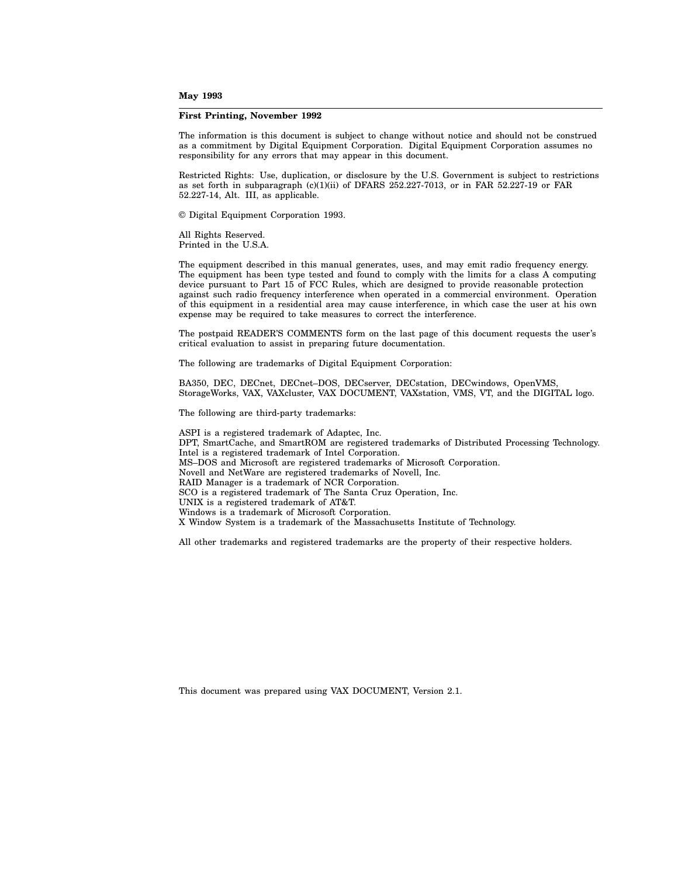#### **May 1993**

#### **First Printing, November 1992**

The information is this document is subject to change without notice and should not be construed as a commitment by Digital Equipment Corporation. Digital Equipment Corporation assumes no responsibility for any errors that may appear in this document.

Restricted Rights: Use, duplication, or disclosure by the U.S. Government is subject to restrictions as set forth in subparagraph (c)(1)(ii) of DFARS 252.227-7013, or in FAR 52.227-19 or FAR 52.227-14, Alt. III, as applicable.

© Digital Equipment Corporation 1993.

All Rights Reserved. Printed in the U.S.A.

The equipment described in this manual generates, uses, and may emit radio frequency energy. The equipment has been type tested and found to comply with the limits for a class A computing device pursuant to Part 15 of FCC Rules, which are designed to provide reasonable protection against such radio frequency interference when operated in a commercial environment. Operation of this equipment in a residential area may cause interference, in which case the user at his own expense may be required to take measures to correct the interference.

The postpaid READER'S COMMENTS form on the last page of this document requests the user's critical evaluation to assist in preparing future documentation.

The following are trademarks of Digital Equipment Corporation:

BA350, DEC, DECnet, DECnet–DOS, DECserver, DECstation, DECwindows, OpenVMS, StorageWorks, VAX, VAXcluster, VAX DOCUMENT, VAXstation, VMS, VT, and the DIGITAL logo.

The following are third-party trademarks:

ASPI is a registered trademark of Adaptec, Inc. DPT, SmartCache, and SmartROM are registered trademarks of Distributed Processing Technology. Intel is a registered trademark of Intel Corporation. MS–DOS and Microsoft are registered trademarks of Microsoft Corporation. Novell and NetWare are registered trademarks of Novell, Inc. RAID Manager is a trademark of NCR Corporation. SCO is a registered trademark of The Santa Cruz Operation, Inc. UNIX is a registered trademark of AT&T. Windows is a trademark of Microsoft Corporation. X Window System is a trademark of the Massachusetts Institute of Technology.

All other trademarks and registered trademarks are the property of their respective holders.

This document was prepared using VAX DOCUMENT, Version 2.1.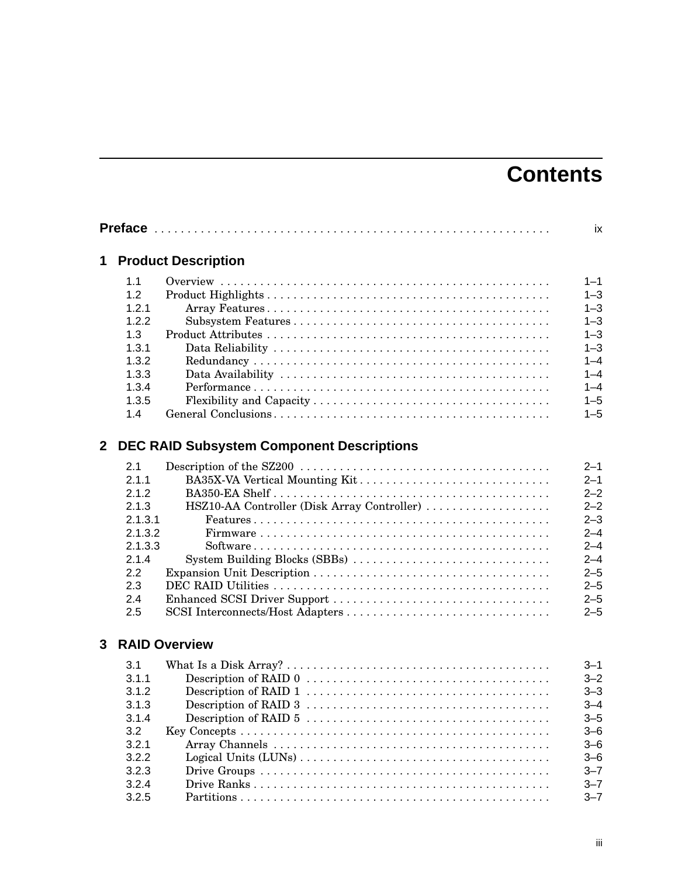# **Contents**

|       | 1 Product Description |
|-------|-----------------------|
| 1.1   |                       |
| 1.2   |                       |
| 121   |                       |
| 1.2.2 |                       |
| 1.3   |                       |
| 1.3.1 |                       |
| 1.3.2 |                       |
| 1.3.3 |                       |
| 1.3.4 |                       |
| 1.3.5 |                       |
| 1.4   |                       |

## **2 DEC RAID Subsystem Component Descriptions**

| 2.1     |                                                                                                       | $2 - 1$ |
|---------|-------------------------------------------------------------------------------------------------------|---------|
| 2.1.1   | BA35X-VA Vertical Mounting Kit                                                                        | $2 - 1$ |
| 2.1.2   |                                                                                                       | $2 - 2$ |
| 2.1.3   | HSZ10-AA Controller (Disk Array Controller)                                                           | $2 - 2$ |
| 2.1.3.1 |                                                                                                       | $2 - 3$ |
| 2.1.3.2 |                                                                                                       | $2 - 4$ |
| 2.1.3.3 | $Software \ldots \ldots \ldots \ldots \ldots \ldots \ldots \ldots \ldots \ldots \ldots \ldots \ldots$ | $2 - 4$ |
| 2.1.4   | System Building Blocks (SBBs)                                                                         | $2 - 4$ |
| 22      |                                                                                                       | $2 - 5$ |
| 2.3     |                                                                                                       | $2 - 5$ |
| 2.4     |                                                                                                       | $2 - 5$ |
| 2.5     |                                                                                                       | $2 - 5$ |

## **3 RAID Overview**

| 3.1   | $3 - 1$ |
|-------|---------|
| 3.1.1 | $3 - 2$ |
| 3.1.2 | $3 - 3$ |
| 3.1.3 | $3 - 4$ |
| 3.1.4 | $3 - 5$ |
| 3.2   | $3 - 6$ |
| 3.2.1 | $3 - 6$ |
| 3.2.2 | $-6$    |
| 3.2.3 | $3 - 7$ |
| 3.2.4 | $3 - 7$ |
| 3.2.5 | $3 - 7$ |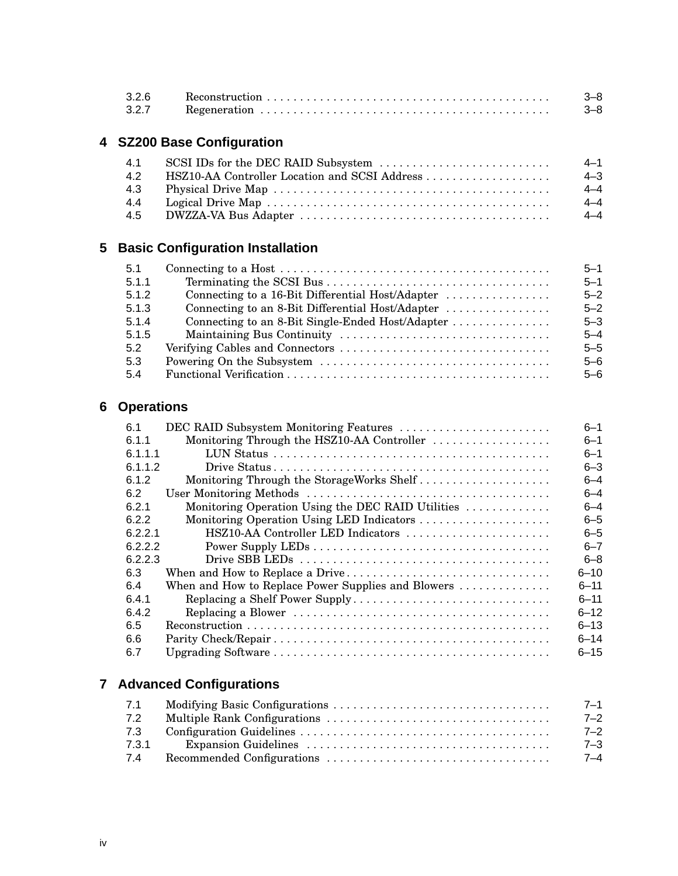| 3.2.6 | $\textbf{Reconstruction} \dots \dots \dots \dots \dots \dots \dots \dots \dots \dots \dots \dots \dots \dots \dots$ | $3 - 8$ |
|-------|---------------------------------------------------------------------------------------------------------------------|---------|
| 3.2.7 |                                                                                                                     | $3 - 8$ |

## **4 SZ200 Base Configuration**

|     |                                               | $4 - 1$ |
|-----|-----------------------------------------------|---------|
| 4.2 | HSZ10-AA Controller Location and SCSI Address | 4–3     |
|     |                                               | $4 - 4$ |
| 4.4 |                                               | $4 - 4$ |
|     |                                               | $4 - 4$ |

## **5 Basic Configuration Installation**

| 5.1   |                                                  | $5 - 1$ |
|-------|--------------------------------------------------|---------|
| 5.1.1 |                                                  | $5 - 1$ |
| 5.1.2 | Connecting to a 16-Bit Differential Host/Adapter | $5 - 2$ |
| 5.1.3 | Connecting to an 8-Bit Differential Host/Adapter | $5 - 2$ |
| 5.1.4 | Connecting to an 8-Bit Single-Ended Host/Adapter | $5 - 3$ |
| 5.1.5 |                                                  | $5 - 4$ |
| 5.2   |                                                  | $5 - 5$ |
| 5.3   |                                                  | $5 - 6$ |
| 5.4   |                                                  | $5 - 6$ |

## **6 Operations**

| 6.1     | DEC RAID Subsystem Monitoring Features             | $6 - 1$  |
|---------|----------------------------------------------------|----------|
| 6.1.1   | Monitoring Through the HSZ10-AA Controller         | $6 - 1$  |
| 6.1.1.1 |                                                    | $6 - 1$  |
| 6.1.1.2 |                                                    | $6 - 3$  |
| 6.1.2   | Monitoring Through the StorageWorks Shelf          | $6 - 4$  |
| 6.2     |                                                    | $6 - 4$  |
| 6.2.1   | Monitoring Operation Using the DEC RAID Utilities  | $6 - 4$  |
| 6.2.2   | Monitoring Operation Using LED Indicators          | $6 - 5$  |
| 6221    | HSZ10-AA Controller LED Indicators                 | $6 - 5$  |
| 6.2.2.2 |                                                    | $6 - 7$  |
| 6.2.2.3 |                                                    | $6 - 8$  |
| 6.3     | When and How to Replace a Drive                    | $6 - 10$ |
| 6.4     | When and How to Replace Power Supplies and Blowers | $6 - 11$ |
| 6.4.1   | Replacing a Shelf Power Supply                     | $6 - 11$ |
| 6.4.2   |                                                    | $6 - 12$ |
| 6.5     |                                                    | $6 - 13$ |
| 6.6     |                                                    | $6 - 14$ |
| 6.7     |                                                    | $6 - 15$ |
|         |                                                    |          |

## **7 Advanced Configurations**

| 7.1   | $7 - 1$ |
|-------|---------|
| 7.2   | $7 - 2$ |
| 7.3   | $7 - 2$ |
| 7.3.1 | 7–3     |
| 7.4   | 7–4     |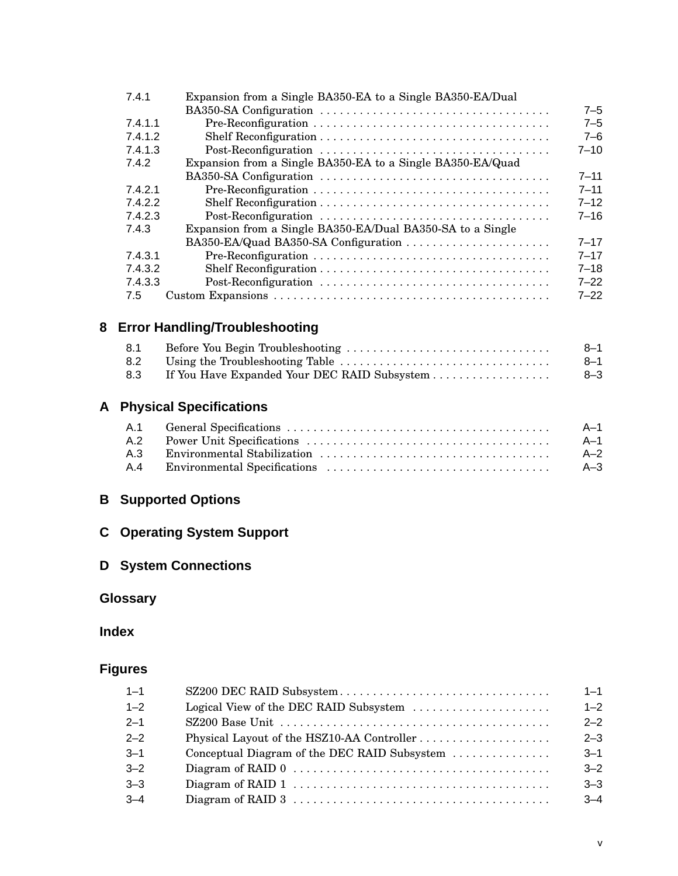| 7.4.1   | Expansion from a Single BA350-EA to a Single BA350-EA/Dual |          |
|---------|------------------------------------------------------------|----------|
|         |                                                            | $7 - 5$  |
| 7.4.1.1 |                                                            | $7 - 5$  |
| 7.4.1.2 |                                                            | $7 - 6$  |
| 7.4.1.3 |                                                            | $7 - 10$ |
| 7.4.2   | Expansion from a Single BA350-EA to a Single BA350-EA/Quad |          |
|         |                                                            | $7 - 11$ |
| 7.4.2.1 |                                                            | $7 - 11$ |
| 7.4.2.2 |                                                            | $7 - 12$ |
| 7.4.2.3 |                                                            | $7 - 16$ |
| 7.4.3   | Expansion from a Single BA350-EA/Dual BA350-SA to a Single |          |
|         | BA350-EA/Quad BA350-SA Configuration                       | $7 - 17$ |
| 7.4.3.1 |                                                            | $7 - 17$ |
| 7.4.3.2 |                                                            | $7 - 18$ |
| 7.4.3.3 |                                                            | $7 - 22$ |
| 7.5     |                                                            | $7 - 22$ |

## **8 Error Handling/Troubleshooting**

| 8.1 |                                              | $8 - 1$ |
|-----|----------------------------------------------|---------|
| 8.2 |                                              | $8 - 1$ |
| 8.3 | If You Have Expanded Your DEC RAID Subsystem | $8 - 3$ |

## **A Physical Specifications**

|  | - A-1 |
|--|-------|
|  | - A-1 |
|  | $A-2$ |
|  | $A-3$ |

## **B Supported Options**

## **C Operating System Support**

## **D System Connections**

## **Glossary**

## **Index**

## **Figures**

| $1 - 1$ |                                              | $1 - 1$ |
|---------|----------------------------------------------|---------|
| $1 - 2$ | Logical View of the DEC RAID Subsystem       | $1 - 2$ |
| $2 - 1$ |                                              | $2 - 2$ |
| $2 - 2$ |                                              | $2 - 3$ |
| $3 - 1$ | Conceptual Diagram of the DEC RAID Subsystem | $3 - 1$ |
| $3 - 2$ |                                              | $3 - 2$ |
| $3 - 3$ |                                              | $3 - 3$ |
| $3 - 4$ |                                              | $3 - 4$ |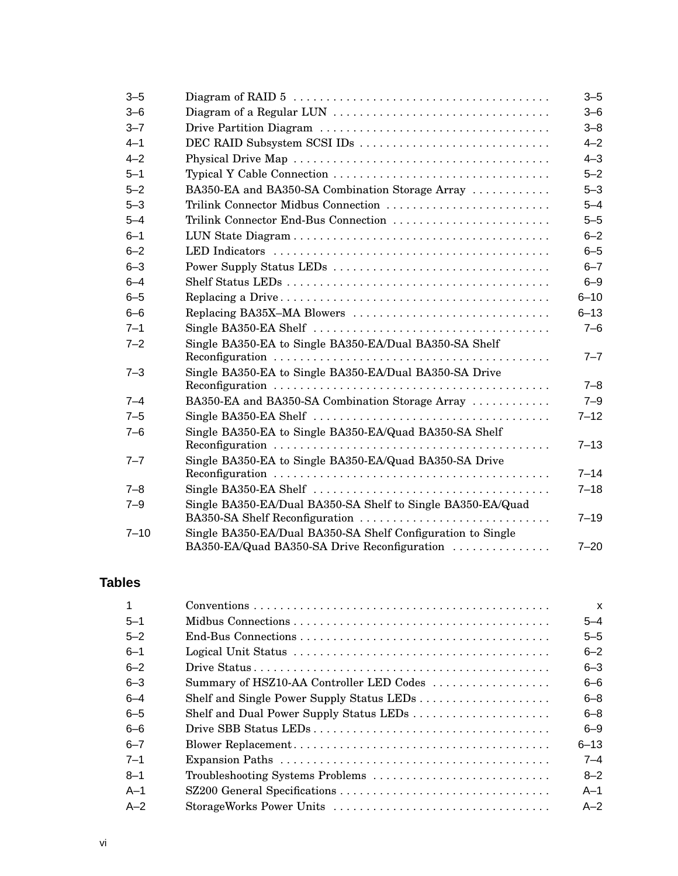| $3 - 5$  |                                                             | $3 - 5$  |
|----------|-------------------------------------------------------------|----------|
| $3 - 6$  |                                                             | $3 - 6$  |
| $3 - 7$  |                                                             | $3 - 8$  |
| $4 - 1$  | DEC RAID Subsystem SCSI IDs                                 | $4 - 2$  |
| $4 - 2$  |                                                             | $4 - 3$  |
| $5 - 1$  |                                                             | $5 - 2$  |
| $5 - 2$  | BA350-EA and BA350-SA Combination Storage Array             | $5 - 3$  |
| $5 - 3$  | Trilink Connector Midbus Connection                         | $5 - 4$  |
| $5 - 4$  | Trilink Connector End-Bus Connection                        | $5 - 5$  |
| $6 - 1$  |                                                             | $6 - 2$  |
| $6 - 2$  |                                                             | $6 - 5$  |
| $6 - 3$  | Power Supply Status LEDs                                    | $6 - 7$  |
| $6 - 4$  |                                                             | $6 - 9$  |
| $6 - 5$  |                                                             | $6 - 10$ |
| $6 - 6$  | Replacing BA35X-MA Blowers                                  | $6 - 13$ |
| $7 - 1$  |                                                             | $7 - 6$  |
| $7 - 2$  | Single BA350-EA to Single BA350-EA/Dual BA350-SA Shelf      |          |
|          |                                                             | $7 - 7$  |
| $7 - 3$  | Single BA350-EA to Single BA350-EA/Dual BA350-SA Drive      |          |
|          |                                                             | $7 - 8$  |
| $7 - 4$  | BA350-EA and BA350-SA Combination Storage Array             | $7 - 9$  |
| $7 - 5$  |                                                             | $7 - 12$ |
| $7 - 6$  | Single BA350-EA to Single BA350-EA/Quad BA350-SA Shelf      |          |
|          |                                                             | $7 - 13$ |
| $7 - 7$  | Single BA350-EA to Single BA350-EA/Quad BA350-SA Drive      | $7 - 14$ |
| $7 - 8$  |                                                             | $7 - 18$ |
| $7 - 9$  | Single BA350-EA/Dual BA350-SA Shelf to Single BA350-EA/Quad |          |
|          | BA350-SA Shelf Reconfiguration                              | $7 - 19$ |
| $7 - 10$ | Single BA350-EA/Dual BA350-SA Shelf Configuration to Single |          |
|          | BA350-EA/Quad BA350-SA Drive Reconfiguration                | $7 - 20$ |
|          |                                                             |          |

## **Tables**

|         |                                          | $\boldsymbol{\mathsf{x}}$ |
|---------|------------------------------------------|---------------------------|
| $5 - 1$ |                                          | $5 - 4$                   |
| $5 - 2$ |                                          | $5 - 5$                   |
| $6 - 1$ |                                          | $6 - 2$                   |
| $6 - 2$ |                                          | $6 - 3$                   |
| $6 - 3$ | Summary of HSZ10-AA Controller LED Codes | $6 - 6$                   |
| $6 - 4$ |                                          | $6 - 8$                   |
| $6 - 5$ | Shelf and Dual Power Supply Status LEDs  | $6 - 8$                   |
| $6 - 6$ |                                          | $6 - 9$                   |
| $6 - 7$ |                                          | $6 - 13$                  |
| $7 - 1$ |                                          | $7 - 4$                   |
| $8 - 1$ | Troubleshooting Systems Problems         | $8 - 2$                   |
| $A-1$   |                                          | $A-1$                     |
| $A-2$   |                                          | $A - 2$                   |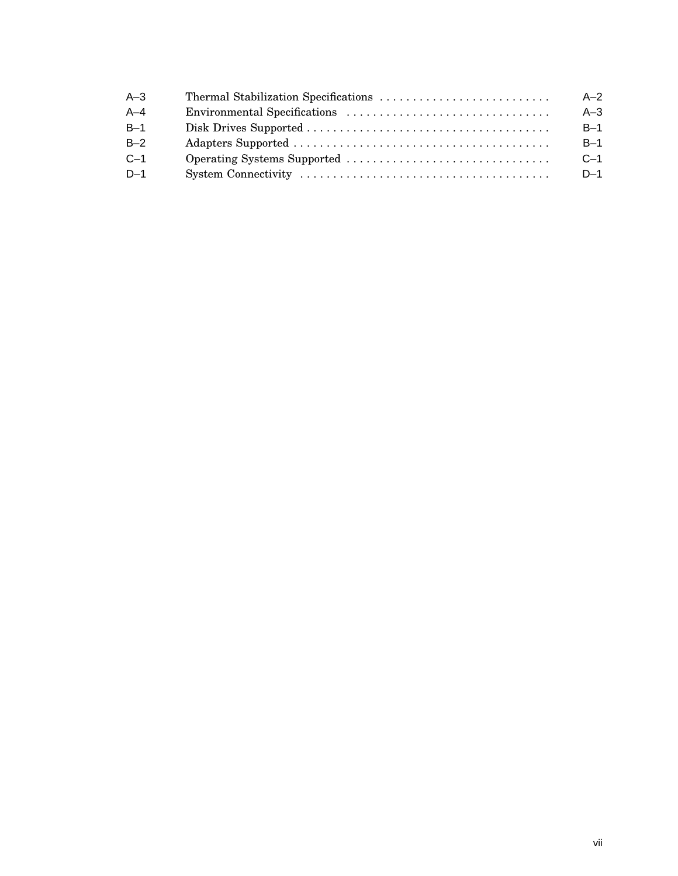| $A-3$   | $A-2$ |
|---------|-------|
| $A - 4$ | $A-3$ |
| $B-1$   | $B-1$ |
| $B-2$   | $B-1$ |
| $C-1$   | $C-1$ |
| $D-1$   | $D-1$ |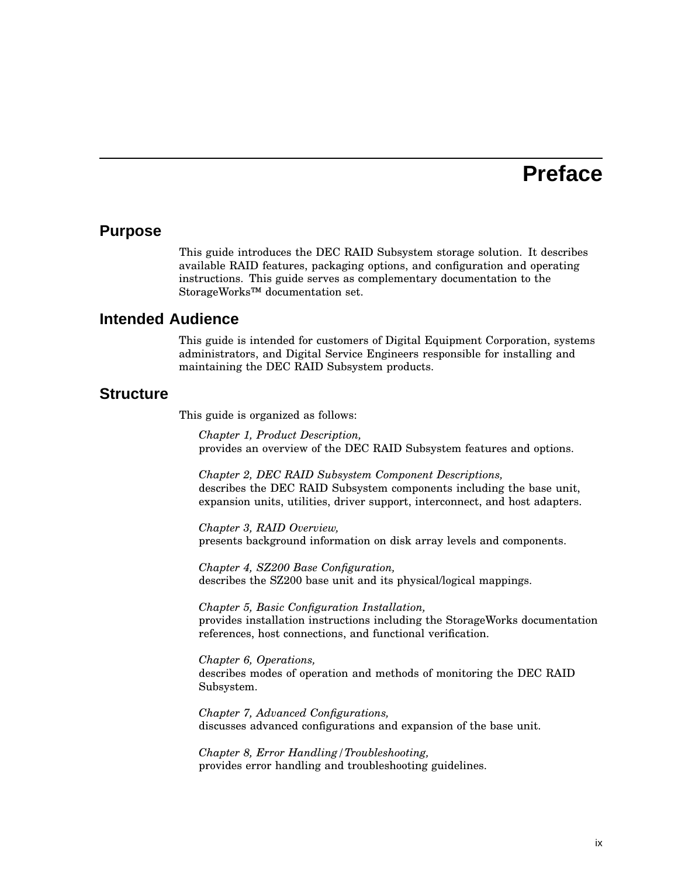## **Preface**

#### **Purpose**

This guide introduces the DEC RAID Subsystem storage solution. It describes available RAID features, packaging options, and configuration and operating instructions. This guide serves as complementary documentation to the StorageWorks™ documentation set.

#### **Intended Audience**

This guide is intended for customers of Digital Equipment Corporation, systems administrators, and Digital Service Engineers responsible for installing and maintaining the DEC RAID Subsystem products.

#### **Structure**

This guide is organized as follows:

*Chapter 1, Product Description,* provides an overview of the DEC RAID Subsystem features and options.

*Chapter 2, DEC RAID Subsystem Component Descriptions,* describes the DEC RAID Subsystem components including the base unit, expansion units, utilities, driver support, interconnect, and host adapters.

*Chapter 3, RAID Overview,* presents background information on disk array levels and components.

*Chapter 4, SZ200 Base Configuration,* describes the SZ200 base unit and its physical/logical mappings.

*Chapter 5, Basic Configuration Installation,* provides installation instructions including the StorageWorks documentation references, host connections, and functional verification.

*Chapter 6, Operations,* describes modes of operation and methods of monitoring the DEC RAID Subsystem.

*Chapter 7, Advanced Configurations,* discusses advanced configurations and expansion of the base unit.

*Chapter 8, Error Handling/Troubleshooting,* provides error handling and troubleshooting guidelines.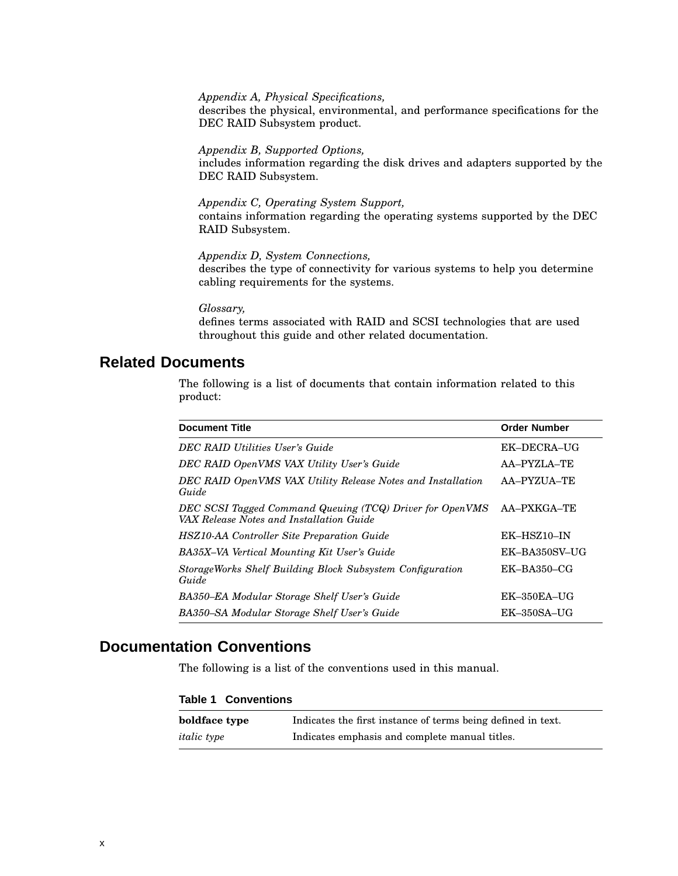*Appendix A, Physical Specifications,*

describes the physical, environmental, and performance specifications for the DEC RAID Subsystem product.

*Appendix B, Supported Options,* includes information regarding the disk drives and adapters supported by the DEC RAID Subsystem.

*Appendix C, Operating System Support,* contains information regarding the operating systems supported by the DEC RAID Subsystem.

*Appendix D, System Connections,* describes the type of connectivity for various systems to help you determine cabling requirements for the systems.

*Glossary,*

defines terms associated with RAID and SCSI technologies that are used throughout this guide and other related documentation.

## **Related Documents**

The following is a list of documents that contain information related to this product:

| <b>Document Title</b>                                                                                | <b>Order Number</b> |
|------------------------------------------------------------------------------------------------------|---------------------|
| DEC RAID Utilities User's Guide                                                                      | EK-DECRA-UG         |
| DEC RAID OpenVMS VAX Utility User's Guide                                                            | AA-PYZLA-TE         |
| DEC RAID OpenVMS VAX Utility Release Notes and Installation<br>Guide                                 | AA-PYZUA-TE         |
| DEC SCSI Tagged Command Queuing (TCQ) Driver for OpenVMS<br>VAX Release Notes and Installation Guide | AA-PXKGA-TE         |
| <b>HSZ10-AA Controller Site Preparation Guide</b>                                                    | EK-HSZ10-IN         |
| BA35X-VA Vertical Mounting Kit User's Guide                                                          | EK-BA350SV-UG       |
| StorageWorks Shelf Building Block Subsystem Configuration<br>Guide                                   | $EK-BA350-CG$       |
| BA350–EA Modular Storage Shelf User's Guide                                                          | $EK-350EA-UG$       |
| BA350–SA Modular Storage Shelf User's Guide                                                          | $EK-350SA-UG$       |

## **Documentation Conventions**

The following is a list of the conventions used in this manual.

#### **Table 1 Conventions**

| boldface type      | Indicates the first instance of terms being defined in text. |
|--------------------|--------------------------------------------------------------|
| <i>italic</i> type | Indicates emphasis and complete manual titles.               |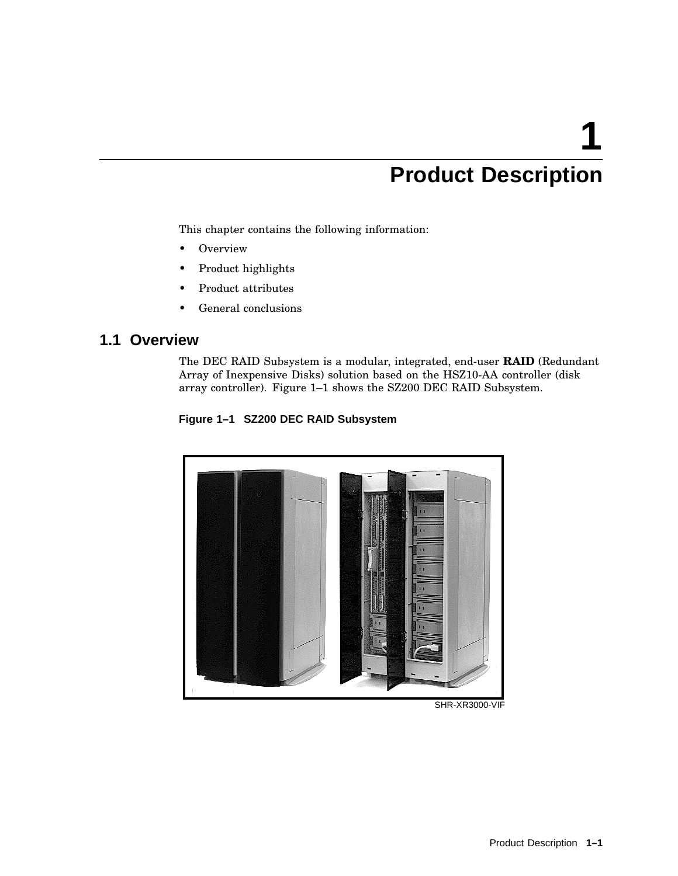# **1 Product Description**

This chapter contains the following information:

- Overview
- Product highlights
- Product attributes
- General conclusions

## **1.1 Overview**

The DEC RAID Subsystem is a modular, integrated, end-user **RAID** (Redundant Array of Inexpensive Disks) solution based on the HSZ10-AA controller (disk array controller). Figure 1–1 shows the SZ200 DEC RAID Subsystem.





SHR-XR3000-VIF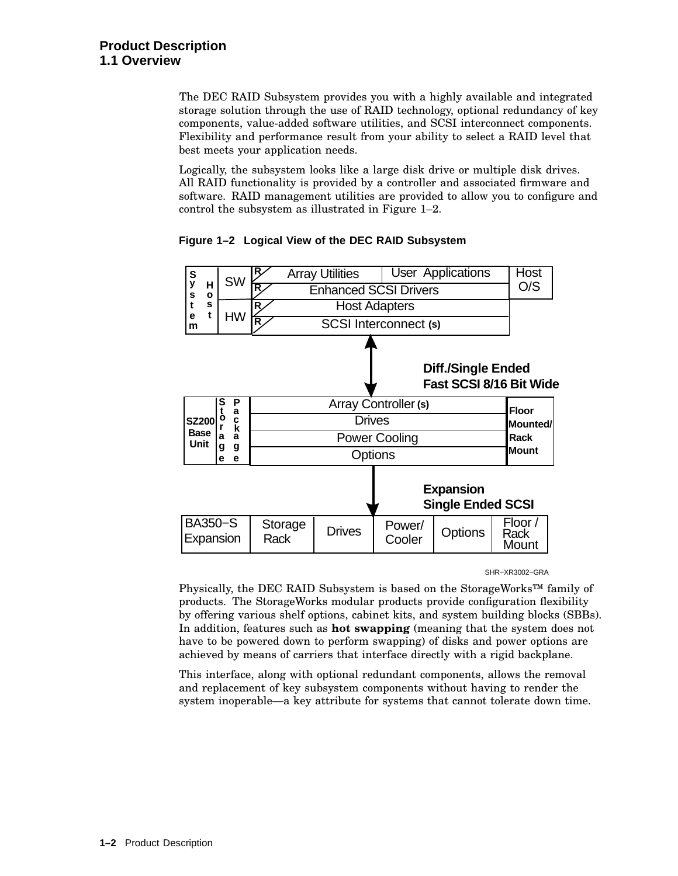The DEC RAID Subsystem provides you with a highly available and integrated storage solution through the use of RAID technology, optional redundancy of key components, value-added software utilities, and SCSI interconnect components. Flexibility and performance result from your ability to select a RAID level that best meets your application needs.

Logically, the subsystem looks like a large disk drive or multiple disk drives. All RAID functionality is provided by a controller and associated firmware and software. RAID management utilities are provided to allow you to configure and control the subsystem as illustrated in Figure 1–2.



**Figure 1–2 Logical View of the DEC RAID Subsystem**

SHR−XR3002−GRA

Physically, the DEC RAID Subsystem is based on the StorageWorks™ family of products. The StorageWorks modular products provide configuration flexibility by offering various shelf options, cabinet kits, and system building blocks (SBBs). In addition, features such as **hot swapping** (meaning that the system does not have to be powered down to perform swapping) of disks and power options are achieved by means of carriers that interface directly with a rigid backplane.

This interface, along with optional redundant components, allows the removal and replacement of key subsystem components without having to render the system inoperable—a key attribute for systems that cannot tolerate down time.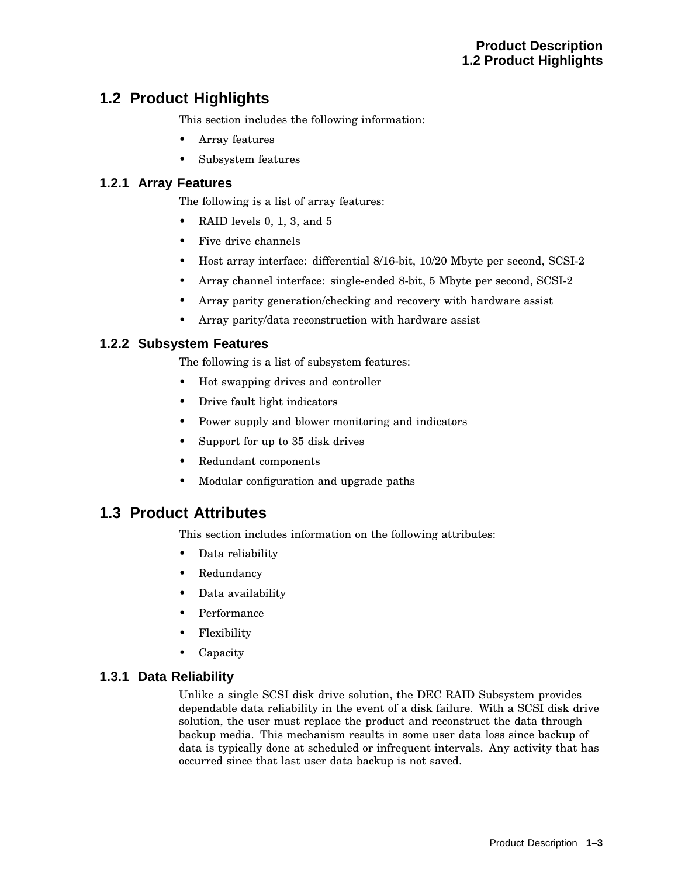## **1.2 Product Highlights**

This section includes the following information:

- Array features
- Subsystem features

#### **1.2.1 Array Features**

The following is a list of array features:

- RAID levels 0, 1, 3, and 5
- Five drive channels
- Host array interface: differential 8/16-bit, 10/20 Mbyte per second, SCSI-2
- Array channel interface: single-ended 8-bit, 5 Mbyte per second, SCSI-2
- Array parity generation/checking and recovery with hardware assist
- Array parity/data reconstruction with hardware assist

#### **1.2.2 Subsystem Features**

The following is a list of subsystem features:

- Hot swapping drives and controller
- Drive fault light indicators
- Power supply and blower monitoring and indicators
- Support for up to 35 disk drives
- Redundant components
- Modular configuration and upgrade paths

#### **1.3 Product Attributes**

This section includes information on the following attributes:

- Data reliability
- Redundancy
- Data availability
- Performance
- Flexibility
- Capacity

#### **1.3.1 Data Reliability**

Unlike a single SCSI disk drive solution, the DEC RAID Subsystem provides dependable data reliability in the event of a disk failure. With a SCSI disk drive solution, the user must replace the product and reconstruct the data through backup media. This mechanism results in some user data loss since backup of data is typically done at scheduled or infrequent intervals. Any activity that has occurred since that last user data backup is not saved.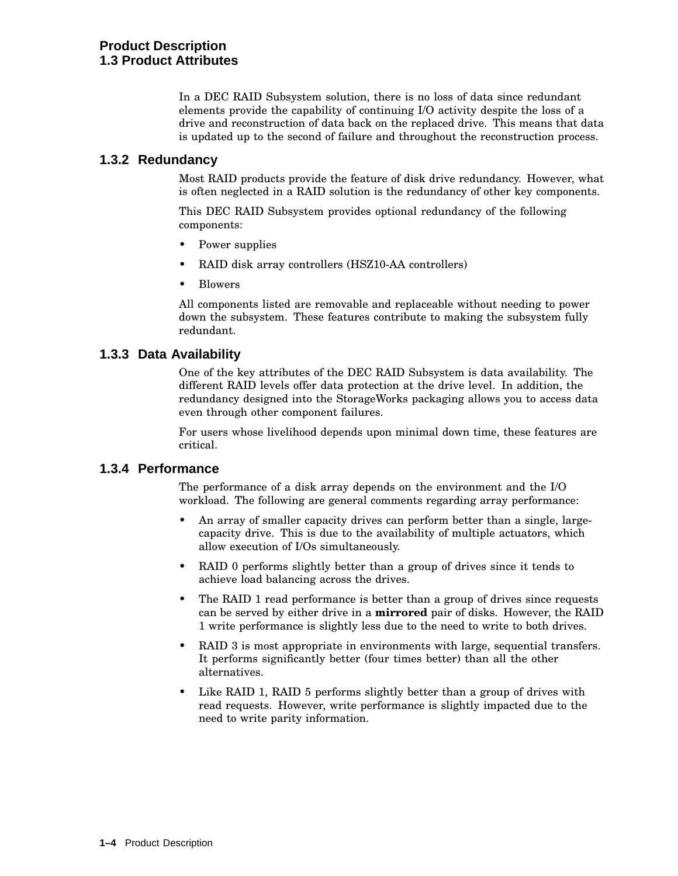In a DEC RAID Subsystem solution, there is no loss of data since redundant elements provide the capability of continuing I/O activity despite the loss of a drive and reconstruction of data back on the replaced drive. This means that data is updated up to the second of failure and throughout the reconstruction process.

#### **1.3.2 Redundancy**

Most RAID products provide the feature of disk drive redundancy. However, what is often neglected in a RAID solution is the redundancy of other key components.

This DEC RAID Subsystem provides optional redundancy of the following components:

- Power supplies
- RAID disk array controllers (HSZ10-AA controllers)
- Blowers

All components listed are removable and replaceable without needing to power down the subsystem. These features contribute to making the subsystem fully redundant.

#### **1.3.3 Data Availability**

One of the key attributes of the DEC RAID Subsystem is data availability. The different RAID levels offer data protection at the drive level. In addition, the redundancy designed into the StorageWorks packaging allows you to access data even through other component failures.

For users whose livelihood depends upon minimal down time, these features are critical.

#### **1.3.4 Performance**

The performance of a disk array depends on the environment and the I/O workload. The following are general comments regarding array performance:

- An array of smaller capacity drives can perform better than a single, largecapacity drive. This is due to the availability of multiple actuators, which allow execution of I/Os simultaneously.
- RAID 0 performs slightly better than a group of drives since it tends to achieve load balancing across the drives.
- The RAID 1 read performance is better than a group of drives since requests can be served by either drive in a **mirrored** pair of disks. However, the RAID 1 write performance is slightly less due to the need to write to both drives.
- RAID 3 is most appropriate in environments with large, sequential transfers. It performs significantly better (four times better) than all the other alternatives.
- Like RAID 1, RAID 5 performs slightly better than a group of drives with read requests. However, write performance is slightly impacted due to the need to write parity information.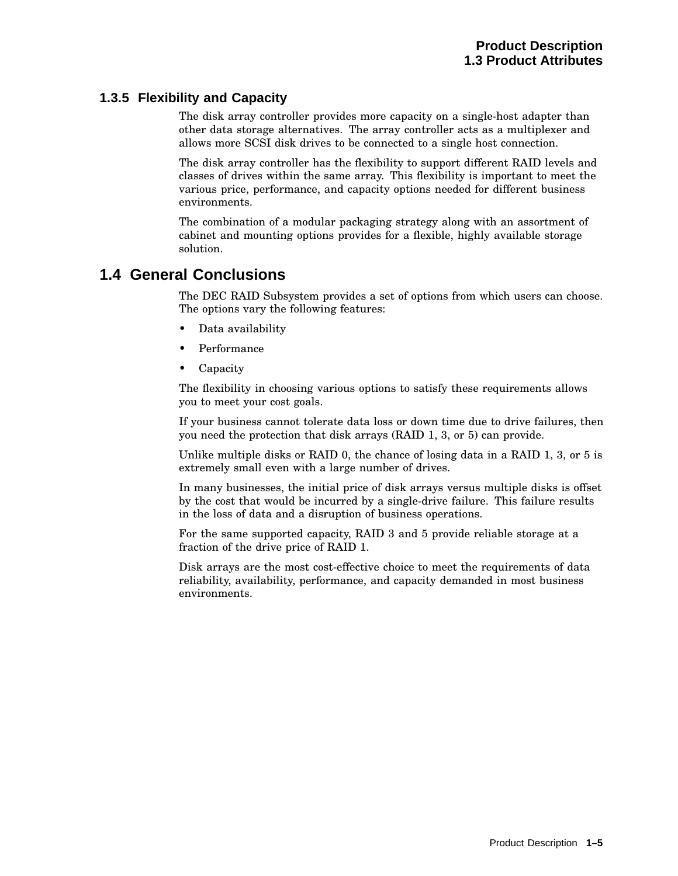#### **1.3.5 Flexibility and Capacity**

The disk array controller provides more capacity on a single-host adapter than other data storage alternatives. The array controller acts as a multiplexer and allows more SCSI disk drives to be connected to a single host connection.

The disk array controller has the flexibility to support different RAID levels and classes of drives within the same array. This flexibility is important to meet the various price, performance, and capacity options needed for different business environments.

The combination of a modular packaging strategy along with an assortment of cabinet and mounting options provides for a flexible, highly available storage solution.

## **1.4 General Conclusions**

The DEC RAID Subsystem provides a set of options from which users can choose. The options vary the following features:

- Data availability
- Performance
- Capacity

The flexibility in choosing various options to satisfy these requirements allows you to meet your cost goals.

If your business cannot tolerate data loss or down time due to drive failures, then you need the protection that disk arrays (RAID 1, 3, or 5) can provide.

Unlike multiple disks or RAID 0, the chance of losing data in a RAID 1, 3, or 5 is extremely small even with a large number of drives.

In many businesses, the initial price of disk arrays versus multiple disks is offset by the cost that would be incurred by a single-drive failure. This failure results in the loss of data and a disruption of business operations.

For the same supported capacity, RAID 3 and 5 provide reliable storage at a fraction of the drive price of RAID 1.

Disk arrays are the most cost-effective choice to meet the requirements of data reliability, availability, performance, and capacity demanded in most business environments.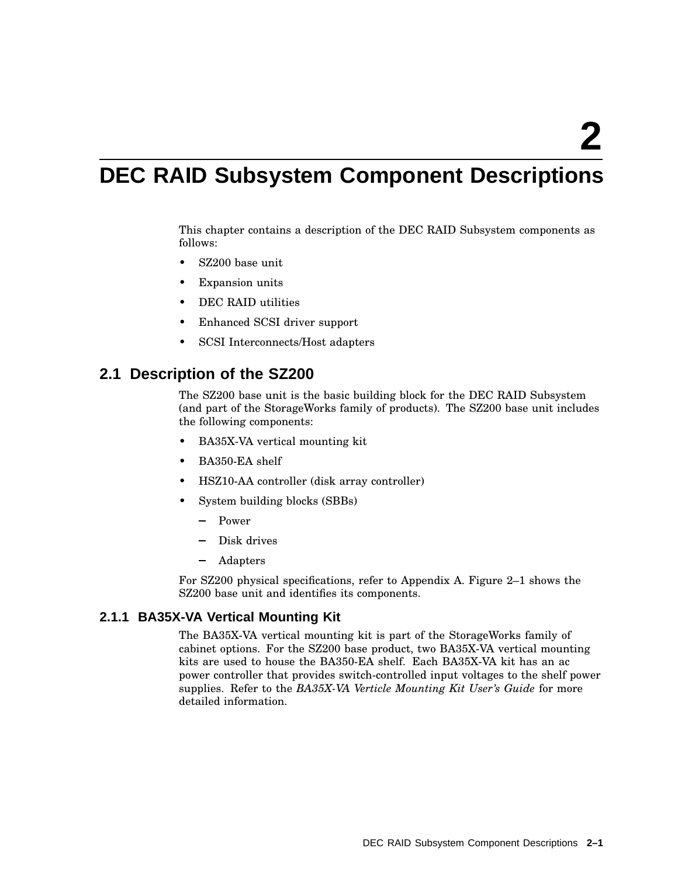# **DEC RAID Subsystem Component Descriptions**

This chapter contains a description of the DEC RAID Subsystem components as follows:

- SZ200 base unit
- Expansion units
- DEC RAID utilities
- Enhanced SCSI driver support
- SCSI Interconnects/Host adapters

### **2.1 Description of the SZ200**

The SZ200 base unit is the basic building block for the DEC RAID Subsystem (and part of the StorageWorks family of products). The SZ200 base unit includes the following components:

- BA35X-VA vertical mounting kit
- BA350-EA shelf
- HSZ10-AA controller (disk array controller)
- System building blocks (SBBs)
	- Power
	- Disk drives
	- Adapters

For SZ200 physical specifications, refer to Appendix A. Figure 2–1 shows the SZ200 base unit and identifies its components.

#### **2.1.1 BA35X-VA Vertical Mounting Kit**

The BA35X-VA vertical mounting kit is part of the StorageWorks family of cabinet options. For the SZ200 base product, two BA35X-VA vertical mounting kits are used to house the BA350-EA shelf. Each BA35X-VA kit has an ac power controller that provides switch-controlled input voltages to the shelf power supplies. Refer to the *BA35X-VA Verticle Mounting Kit User's Guide* for more detailed information.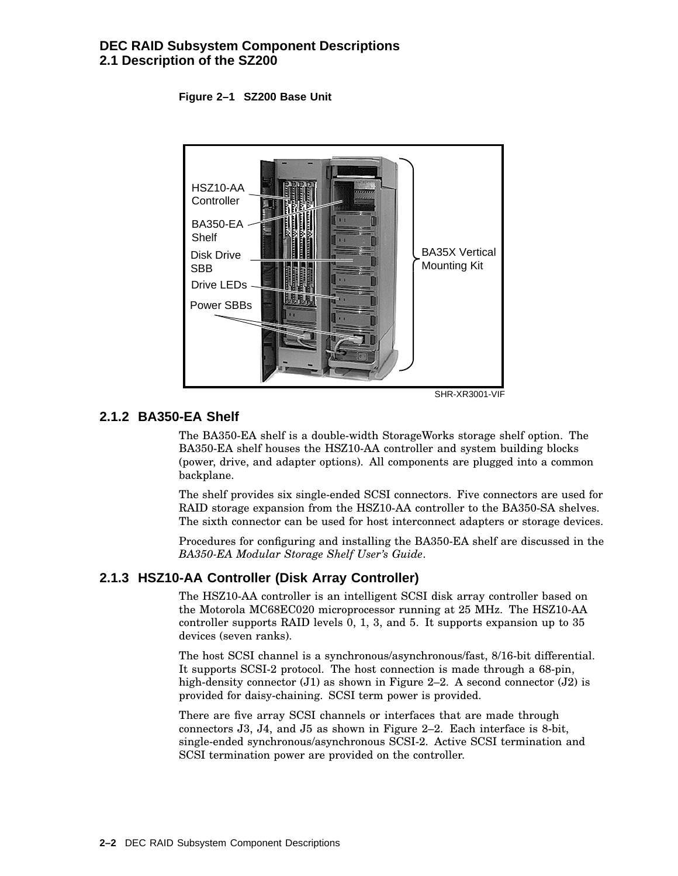#### **DEC RAID Subsystem Component Descriptions 2.1 Description of the SZ200**

**Figure 2–1 SZ200 Base Unit**



#### **2.1.2 BA350-EA Shelf**

The BA350-EA shelf is a double-width StorageWorks storage shelf option. The BA350-EA shelf houses the HSZ10-AA controller and system building blocks (power, drive, and adapter options). All components are plugged into a common backplane.

The shelf provides six single-ended SCSI connectors. Five connectors are used for RAID storage expansion from the HSZ10-AA controller to the BA350-SA shelves. The sixth connector can be used for host interconnect adapters or storage devices.

Procedures for configuring and installing the BA350-EA shelf are discussed in the *BA350-EA Modular Storage Shelf User's Guide*.

#### **2.1.3 HSZ10-AA Controller (Disk Array Controller)**

The HSZ10-AA controller is an intelligent SCSI disk array controller based on the Motorola MC68EC020 microprocessor running at 25 MHz. The HSZ10-AA controller supports RAID levels 0, 1, 3, and 5. It supports expansion up to 35 devices (seven ranks).

The host SCSI channel is a synchronous/asynchronous/fast, 8/16-bit differential. It supports SCSI-2 protocol. The host connection is made through a 68-pin, high-density connector  $(J1)$  as shown in Figure 2–2. A second connector  $(J2)$  is provided for daisy-chaining. SCSI term power is provided.

There are five array SCSI channels or interfaces that are made through connectors J3, J4, and J5 as shown in Figure 2–2. Each interface is 8-bit, single-ended synchronous/asynchronous SCSI-2. Active SCSI termination and SCSI termination power are provided on the controller.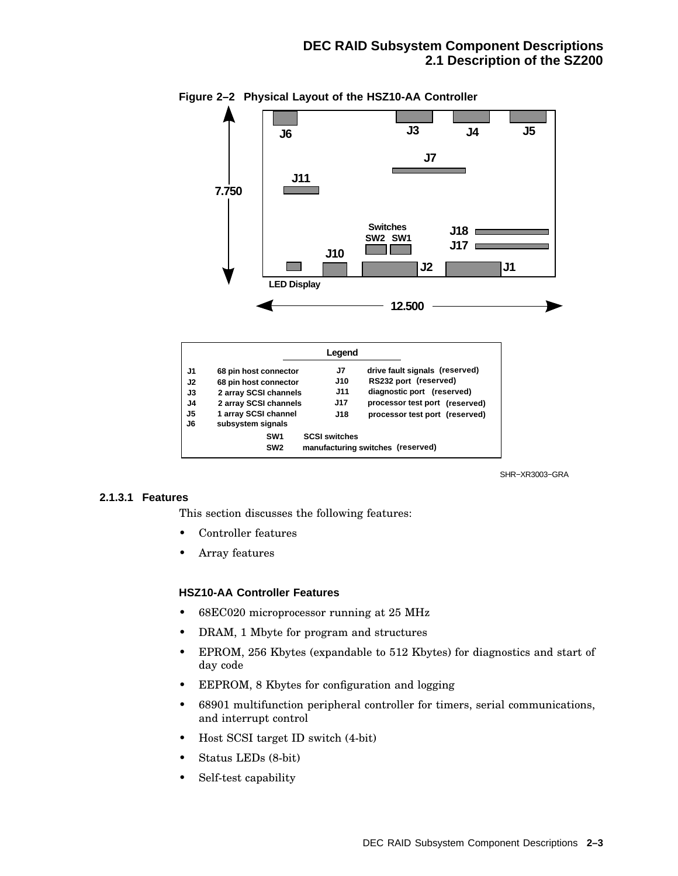

**Figure 2–2 Physical Layout of the HSZ10-AA Controller**

|                |                       | Legend               |                                   |
|----------------|-----------------------|----------------------|-----------------------------------|
| J1             | 68 pin host connector | J7                   | drive fault signals (reserved)    |
| J <sub>2</sub> | 68 pin host connector | <b>J10</b>           | RS232 port (reserved)             |
| J3             | 2 array SCSI channels | <b>J11</b>           | diagnostic port (reserved)        |
| J4             | 2 array SCSI channels | J17                  | processor test port (reserved)    |
| J5             | 1 array SCSI channel  | J18                  | processor test port (reserved)    |
| J6             | subsystem signals     |                      |                                   |
|                | SW <sub>1</sub>       | <b>SCSI switches</b> |                                   |
|                | SW <sub>2</sub>       |                      | manufacturing switches (reserved) |

SHR−XR3003−GRA

#### **2.1.3.1 Features**

This section discusses the following features:

- Controller features
- Array features

#### **HSZ10-AA Controller Features**

- 68EC020 microprocessor running at 25 MHz
- DRAM, 1 Mbyte for program and structures
- EPROM, 256 Kbytes (expandable to 512 Kbytes) for diagnostics and start of day code
- EEPROM, 8 Kbytes for configuration and logging
- 68901 multifunction peripheral controller for timers, serial communications, and interrupt control
- Host SCSI target ID switch (4-bit)
- Status LEDs (8-bit)
- Self-test capability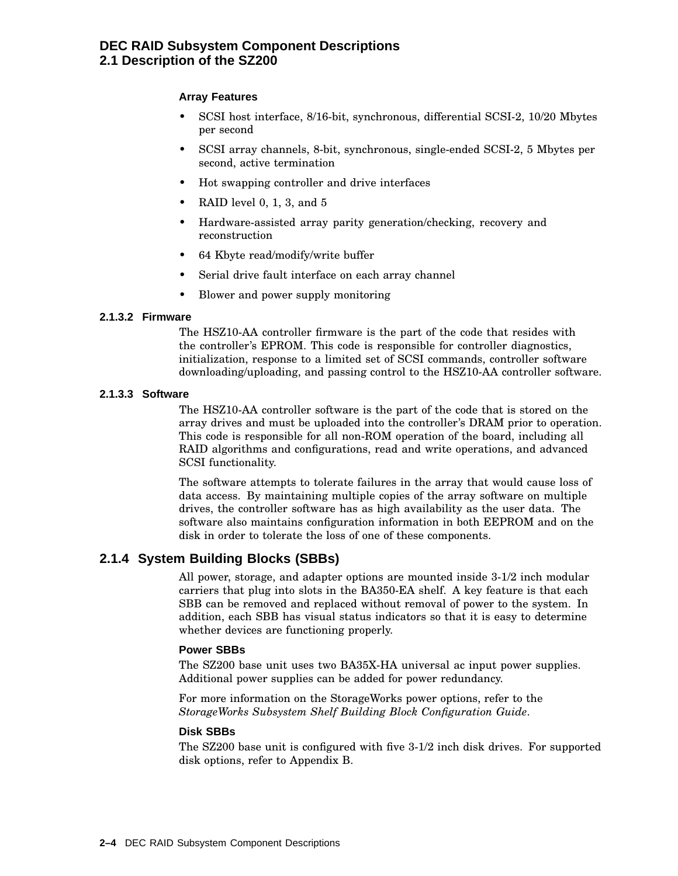#### **DEC RAID Subsystem Component Descriptions 2.1 Description of the SZ200**

#### **Array Features**

- SCSI host interface, 8/16-bit, synchronous, differential SCSI-2, 10/20 Mbytes per second
- SCSI array channels, 8-bit, synchronous, single-ended SCSI-2, 5 Mbytes per second, active termination
- Hot swapping controller and drive interfaces
- RAID level 0, 1, 3, and  $5$
- Hardware-assisted array parity generation/checking, recovery and reconstruction
- 64 Kbyte read/modify/write buffer
- Serial drive fault interface on each array channel
- Blower and power supply monitoring

#### **2.1.3.2 Firmware**

The HSZ10-AA controller firmware is the part of the code that resides with the controller's EPROM. This code is responsible for controller diagnostics, initialization, response to a limited set of SCSI commands, controller software downloading/uploading, and passing control to the HSZ10-AA controller software.

#### **2.1.3.3 Software**

The HSZ10-AA controller software is the part of the code that is stored on the array drives and must be uploaded into the controller's DRAM prior to operation. This code is responsible for all non-ROM operation of the board, including all RAID algorithms and configurations, read and write operations, and advanced SCSI functionality.

The software attempts to tolerate failures in the array that would cause loss of data access. By maintaining multiple copies of the array software on multiple drives, the controller software has as high availability as the user data. The software also maintains configuration information in both EEPROM and on the disk in order to tolerate the loss of one of these components.

#### **2.1.4 System Building Blocks (SBBs)**

All power, storage, and adapter options are mounted inside 3-1/2 inch modular carriers that plug into slots in the BA350-EA shelf. A key feature is that each SBB can be removed and replaced without removal of power to the system. In addition, each SBB has visual status indicators so that it is easy to determine whether devices are functioning properly.

#### **Power SBBs**

The SZ200 base unit uses two BA35X-HA universal ac input power supplies. Additional power supplies can be added for power redundancy.

For more information on the StorageWorks power options, refer to the *StorageWorks Subsystem Shelf Building Block Configuration Guide*.

#### **Disk SBBs**

The SZ200 base unit is configured with five 3-1/2 inch disk drives. For supported disk options, refer to Appendix B.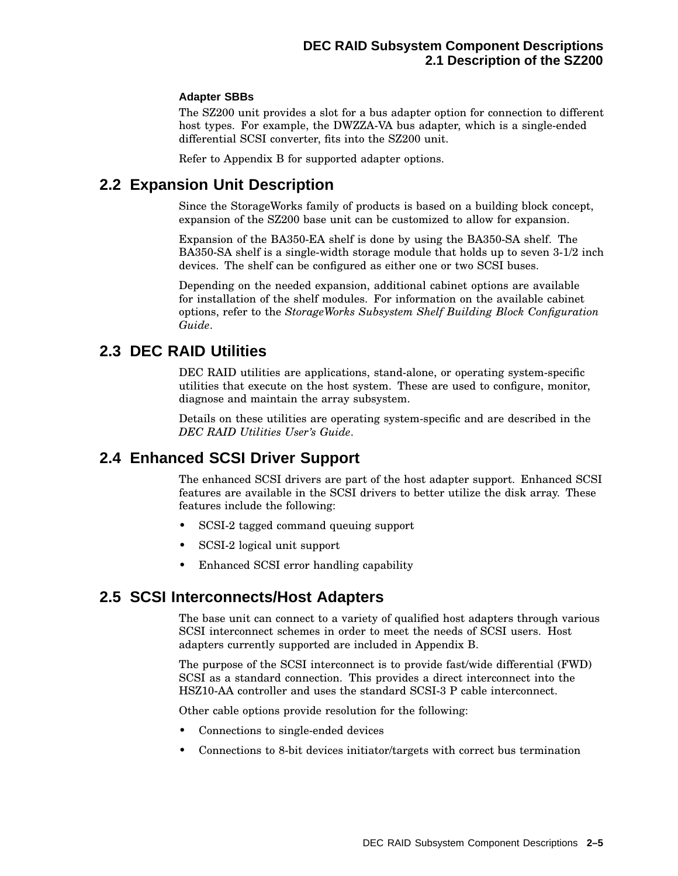#### **Adapter SBBs**

The SZ200 unit provides a slot for a bus adapter option for connection to different host types. For example, the DWZZA-VA bus adapter, which is a single-ended differential SCSI converter, fits into the SZ200 unit.

Refer to Appendix B for supported adapter options.

## **2.2 Expansion Unit Description**

Since the StorageWorks family of products is based on a building block concept, expansion of the SZ200 base unit can be customized to allow for expansion.

Expansion of the BA350-EA shelf is done by using the BA350-SA shelf. The BA350-SA shelf is a single-width storage module that holds up to seven 3-1/2 inch devices. The shelf can be configured as either one or two SCSI buses.

Depending on the needed expansion, additional cabinet options are available for installation of the shelf modules. For information on the available cabinet options, refer to the *StorageWorks Subsystem Shelf Building Block Configuration Guide*.

### **2.3 DEC RAID Utilities**

DEC RAID utilities are applications, stand-alone, or operating system-specific utilities that execute on the host system. These are used to configure, monitor, diagnose and maintain the array subsystem.

Details on these utilities are operating system-specific and are described in the *DEC RAID Utilities User's Guide*.

## **2.4 Enhanced SCSI Driver Support**

The enhanced SCSI drivers are part of the host adapter support. Enhanced SCSI features are available in the SCSI drivers to better utilize the disk array. These features include the following:

- SCSI-2 tagged command queuing support
- SCSI-2 logical unit support
- Enhanced SCSI error handling capability

## **2.5 SCSI Interconnects/Host Adapters**

The base unit can connect to a variety of qualified host adapters through various SCSI interconnect schemes in order to meet the needs of SCSI users. Host adapters currently supported are included in Appendix B.

The purpose of the SCSI interconnect is to provide fast/wide differential (FWD) SCSI as a standard connection. This provides a direct interconnect into the HSZ10-AA controller and uses the standard SCSI-3 P cable interconnect.

Other cable options provide resolution for the following:

- Connections to single-ended devices
- Connections to 8-bit devices initiator/targets with correct bus termination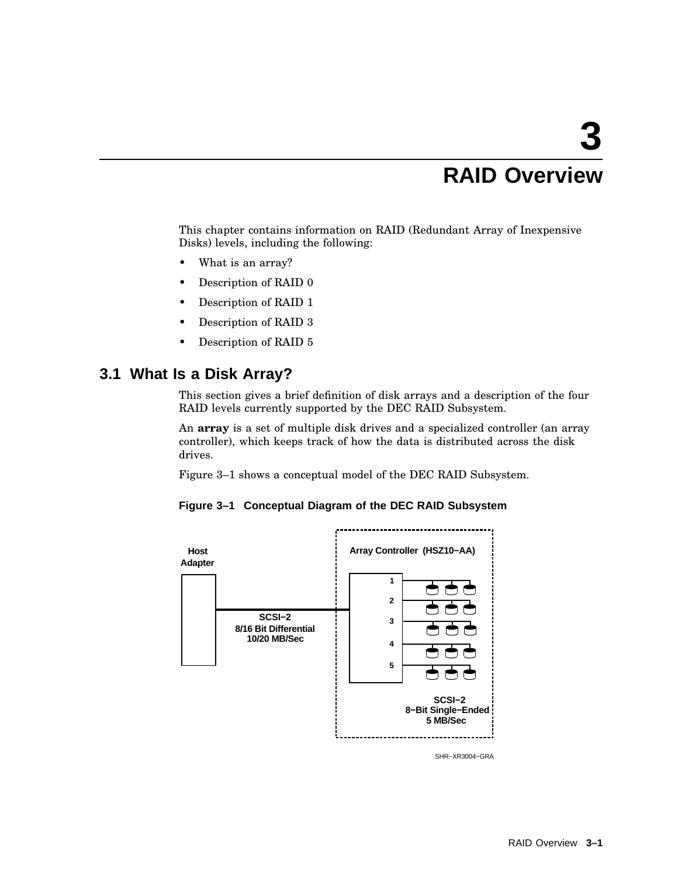# **3 RAID Overview**

This chapter contains information on RAID (Redundant Array of Inexpensive Disks) levels, including the following:

- What is an array?
- Description of RAID 0
- Description of RAID 1
- Description of RAID 3
- Description of RAID 5

## **3.1 What Is a Disk Array?**

This section gives a brief definition of disk arrays and a description of the four RAID levels currently supported by the DEC RAID Subsystem.

An **array** is a set of multiple disk drives and a specialized controller (an array controller), which keeps track of how the data is distributed across the disk drives.

Figure 3–1 shows a conceptual model of the DEC RAID Subsystem.





SHR−XR3004−GRA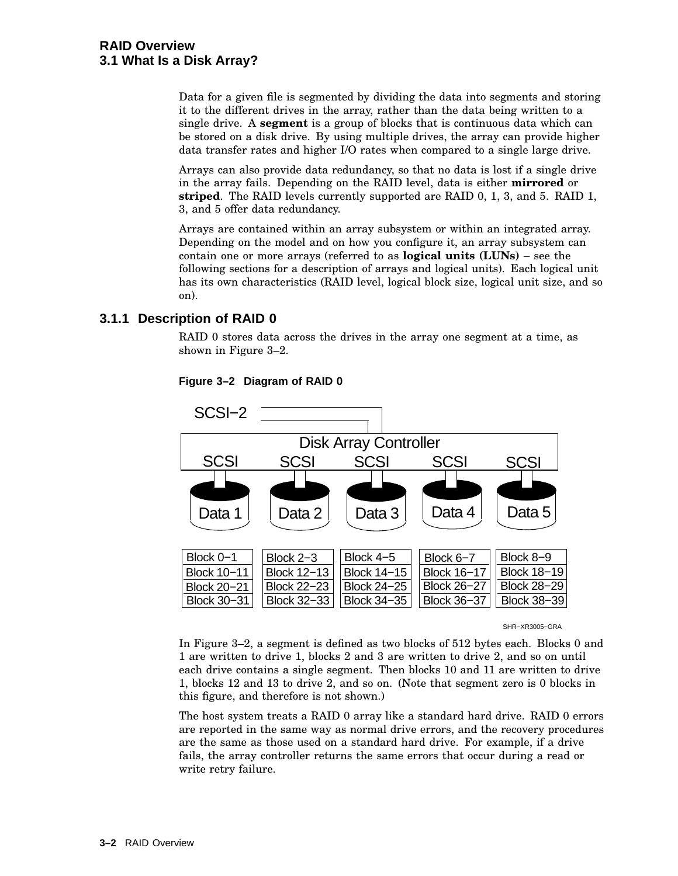Data for a given file is segmented by dividing the data into segments and storing it to the different drives in the array, rather than the data being written to a single drive. A **segment** is a group of blocks that is continuous data which can be stored on a disk drive. By using multiple drives, the array can provide higher data transfer rates and higher I/O rates when compared to a single large drive.

Arrays can also provide data redundancy, so that no data is lost if a single drive in the array fails. Depending on the RAID level, data is either **mirrored** or **striped**. The RAID levels currently supported are RAID 0, 1, 3, and 5. RAID 1, 3, and 5 offer data redundancy.

Arrays are contained within an array subsystem or within an integrated array. Depending on the model and on how you configure it, an array subsystem can contain one or more arrays (referred to as **logical units (LUNs)** – see the following sections for a description of arrays and logical units). Each logical unit has its own characteristics (RAID level, logical block size, logical unit size, and so on).

#### **3.1.1 Description of RAID 0**

RAID 0 stores data across the drives in the array one segment at a time, as shown in Figure 3–2.



**Figure 3–2 Diagram of RAID 0**

#### SHR−XR3005−GRA

In Figure 3–2, a segment is defined as two blocks of 512 bytes each. Blocks 0 and 1 are written to drive 1, blocks 2 and 3 are written to drive 2, and so on until each drive contains a single segment. Then blocks 10 and 11 are written to drive 1, blocks 12 and 13 to drive 2, and so on. (Note that segment zero is 0 blocks in this figure, and therefore is not shown.)

The host system treats a RAID 0 array like a standard hard drive. RAID 0 errors are reported in the same way as normal drive errors, and the recovery procedures are the same as those used on a standard hard drive. For example, if a drive fails, the array controller returns the same errors that occur during a read or write retry failure.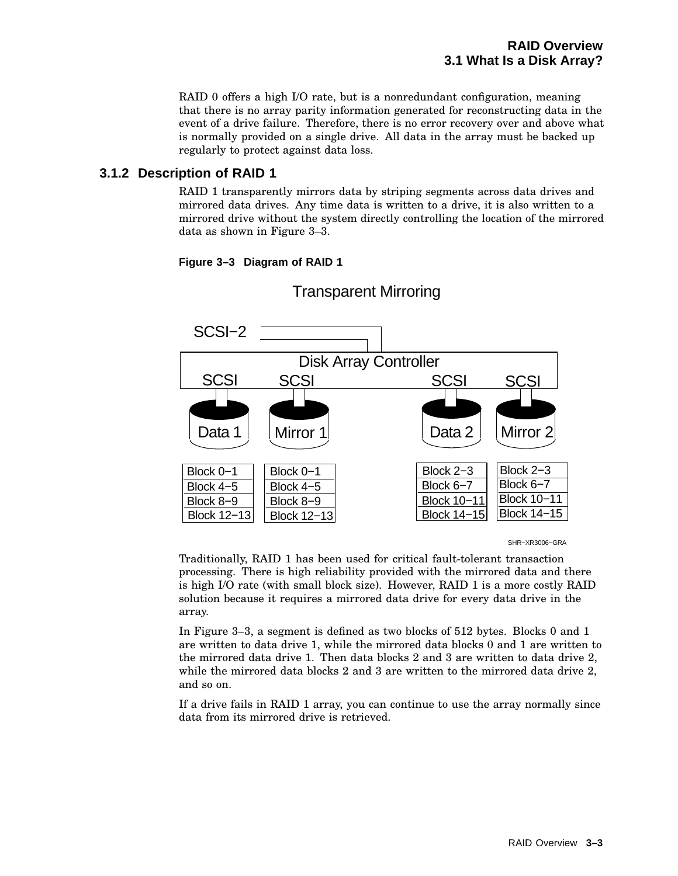RAID 0 offers a high I/O rate, but is a nonredundant configuration, meaning that there is no array parity information generated for reconstructing data in the event of a drive failure. Therefore, there is no error recovery over and above what is normally provided on a single drive. All data in the array must be backed up regularly to protect against data loss.

#### **3.1.2 Description of RAID 1**

RAID 1 transparently mirrors data by striping segments across data drives and mirrored data drives. Any time data is written to a drive, it is also written to a mirrored drive without the system directly controlling the location of the mirrored data as shown in Figure 3–3.

#### **Figure 3–3 Diagram of RAID 1**



## Transparent Mirroring

SHR−XR3006−GRA

Traditionally, RAID 1 has been used for critical fault-tolerant transaction processing. There is high reliability provided with the mirrored data and there is high I/O rate (with small block size). However, RAID 1 is a more costly RAID solution because it requires a mirrored data drive for every data drive in the array.

In Figure 3–3, a segment is defined as two blocks of 512 bytes. Blocks 0 and 1 are written to data drive 1, while the mirrored data blocks 0 and 1 are written to the mirrored data drive 1. Then data blocks 2 and 3 are written to data drive 2, while the mirrored data blocks 2 and 3 are written to the mirrored data drive 2, and so on.

If a drive fails in RAID 1 array, you can continue to use the array normally since data from its mirrored drive is retrieved.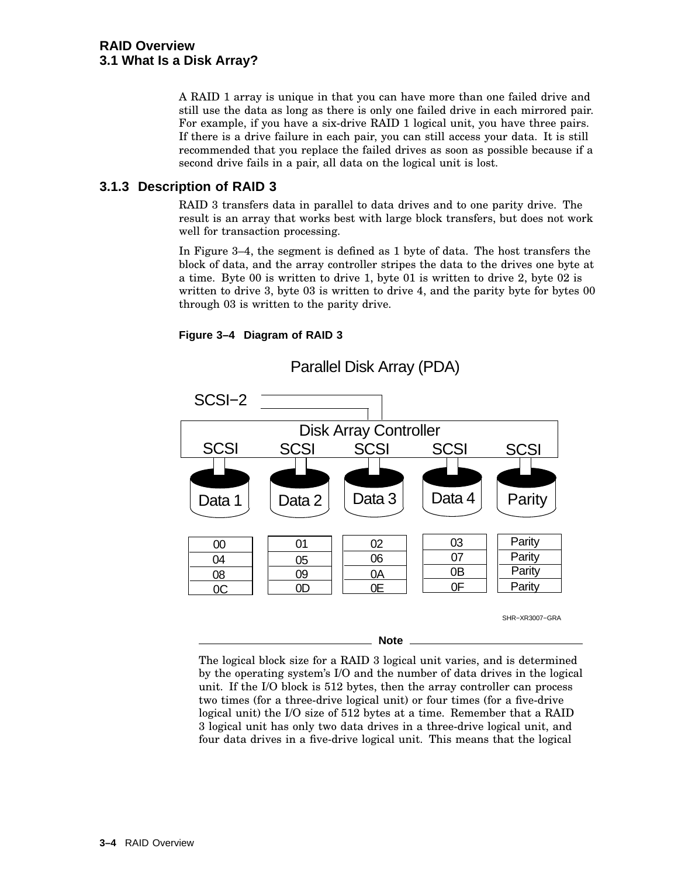A RAID 1 array is unique in that you can have more than one failed drive and still use the data as long as there is only one failed drive in each mirrored pair. For example, if you have a six-drive RAID 1 logical unit, you have three pairs. If there is a drive failure in each pair, you can still access your data. It is still recommended that you replace the failed drives as soon as possible because if a second drive fails in a pair, all data on the logical unit is lost.

#### **3.1.3 Description of RAID 3**

RAID 3 transfers data in parallel to data drives and to one parity drive. The result is an array that works best with large block transfers, but does not work well for transaction processing.

In Figure 3–4, the segment is defined as 1 byte of data. The host transfers the block of data, and the array controller stripes the data to the drives one byte at a time. Byte 00 is written to drive 1, byte 01 is written to drive 2, byte 02 is written to drive 3, byte 03 is written to drive 4, and the parity byte for bytes 00 through 03 is written to the parity drive.





The logical block size for a RAID 3 logical unit varies, and is determined by the operating system's I/O and the number of data drives in the logical unit. If the I/O block is 512 bytes, then the array controller can process two times (for a three-drive logical unit) or four times (for a five-drive logical unit) the I/O size of 512 bytes at a time. Remember that a RAID 3 logical unit has only two data drives in a three-drive logical unit, and four data drives in a five-drive logical unit. This means that the logical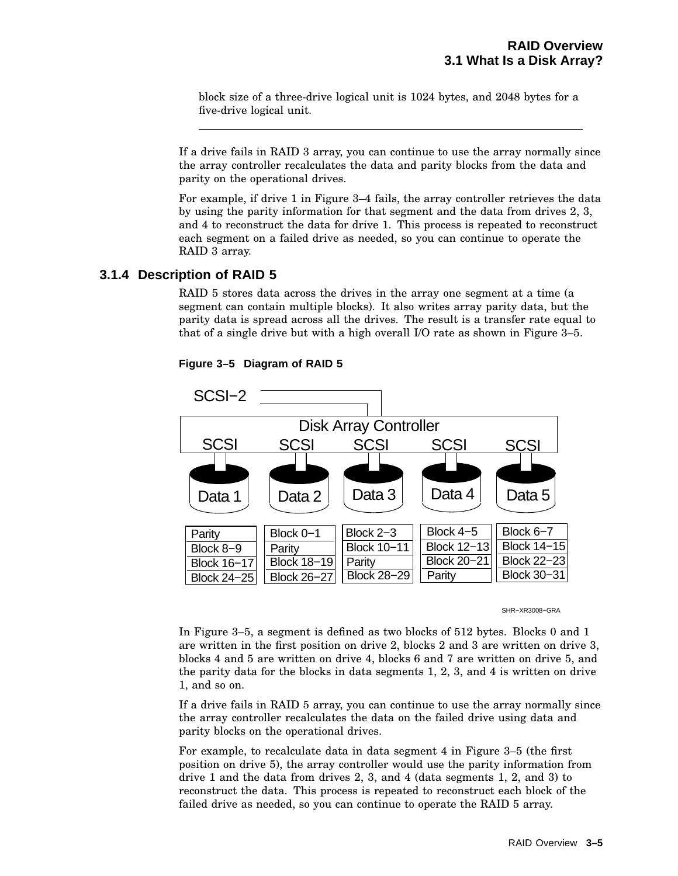block size of a three-drive logical unit is 1024 bytes, and 2048 bytes for a five-drive logical unit.

If a drive fails in RAID 3 array, you can continue to use the array normally since the array controller recalculates the data and parity blocks from the data and parity on the operational drives.

For example, if drive 1 in Figure 3–4 fails, the array controller retrieves the data by using the parity information for that segment and the data from drives 2, 3, and 4 to reconstruct the data for drive 1. This process is repeated to reconstruct each segment on a failed drive as needed, so you can continue to operate the RAID 3 array.

#### **3.1.4 Description of RAID 5**

RAID 5 stores data across the drives in the array one segment at a time (a segment can contain multiple blocks). It also writes array parity data, but the parity data is spread across all the drives. The result is a transfer rate equal to that of a single drive but with a high overall I/O rate as shown in Figure 3–5.



**Figure 3–5 Diagram of RAID 5**

SHR−XR3008−GRA

In Figure 3–5, a segment is defined as two blocks of 512 bytes. Blocks 0 and 1 are written in the first position on drive 2, blocks 2 and 3 are written on drive 3, blocks 4 and 5 are written on drive 4, blocks 6 and 7 are written on drive 5, and the parity data for the blocks in data segments 1, 2, 3, and 4 is written on drive 1, and so on.

If a drive fails in RAID 5 array, you can continue to use the array normally since the array controller recalculates the data on the failed drive using data and parity blocks on the operational drives.

For example, to recalculate data in data segment 4 in Figure 3–5 (the first position on drive 5), the array controller would use the parity information from drive 1 and the data from drives 2, 3, and 4 (data segments 1, 2, and 3) to reconstruct the data. This process is repeated to reconstruct each block of the failed drive as needed, so you can continue to operate the RAID 5 array.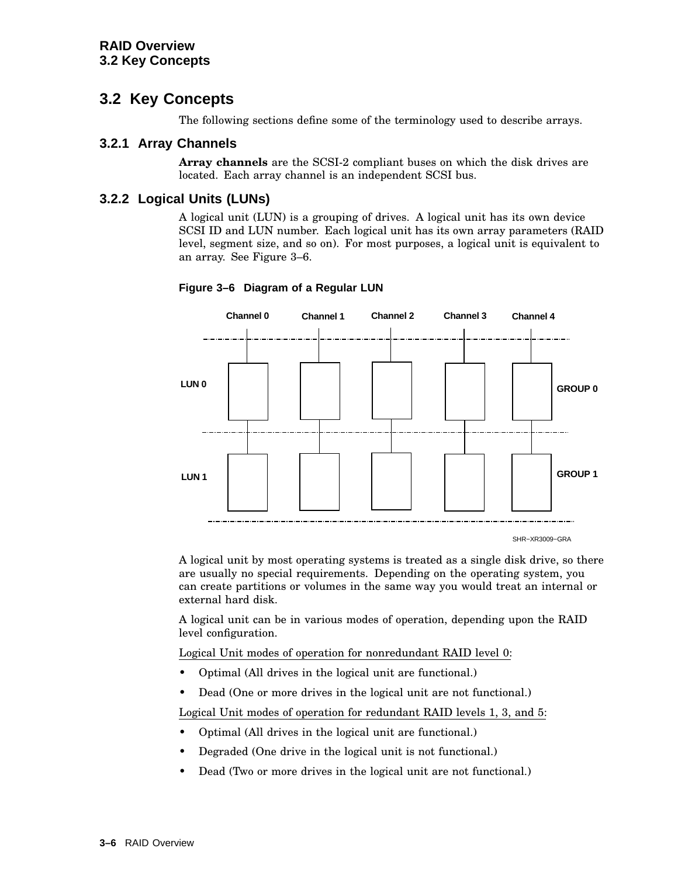## **3.2 Key Concepts**

The following sections define some of the terminology used to describe arrays.

#### **3.2.1 Array Channels**

**Array channels** are the SCSI-2 compliant buses on which the disk drives are located. Each array channel is an independent SCSI bus.

#### **3.2.2 Logical Units (LUNs)**

A logical unit (LUN) is a grouping of drives. A logical unit has its own device SCSI ID and LUN number. Each logical unit has its own array parameters (RAID level, segment size, and so on). For most purposes, a logical unit is equivalent to an array. See Figure 3–6.



#### **Figure 3–6 Diagram of a Regular LUN**

SHR−XR3009−GRA

A logical unit by most operating systems is treated as a single disk drive, so there are usually no special requirements. Depending on the operating system, you can create partitions or volumes in the same way you would treat an internal or external hard disk.

A logical unit can be in various modes of operation, depending upon the RAID level configuration.

Logical Unit modes of operation for nonredundant RAID level 0:

- Optimal (All drives in the logical unit are functional.)
- Dead (One or more drives in the logical unit are not functional.)

Logical Unit modes of operation for redundant RAID levels 1, 3, and 5:

- Optimal (All drives in the logical unit are functional.)
- Degraded (One drive in the logical unit is not functional.)
- Dead (Two or more drives in the logical unit are not functional.)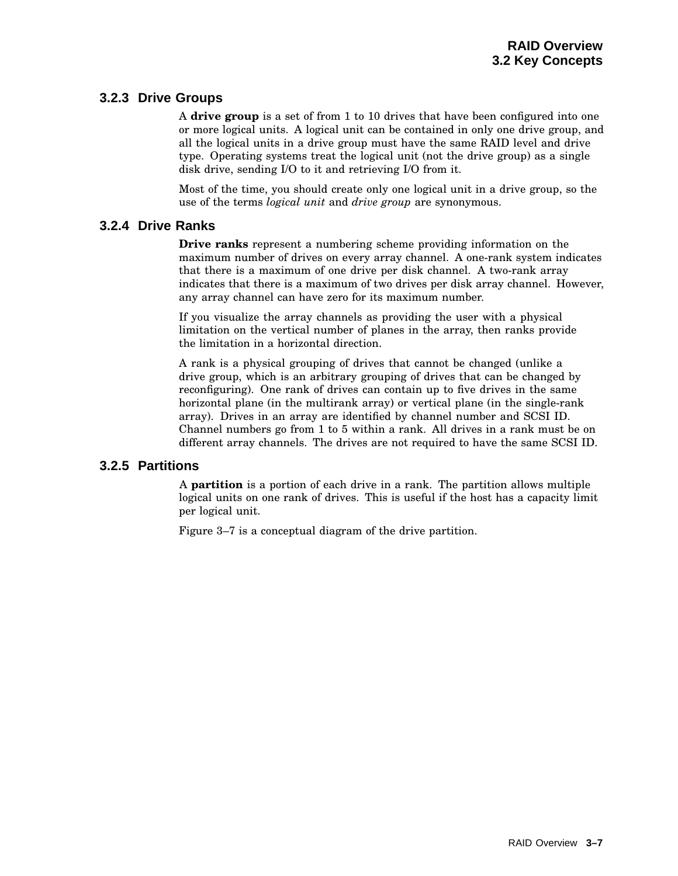#### **3.2.3 Drive Groups**

A **drive group** is a set of from 1 to 10 drives that have been configured into one or more logical units. A logical unit can be contained in only one drive group, and all the logical units in a drive group must have the same RAID level and drive type. Operating systems treat the logical unit (not the drive group) as a single disk drive, sending I/O to it and retrieving I/O from it.

Most of the time, you should create only one logical unit in a drive group, so the use of the terms *logical unit* and *drive group* are synonymous.

#### **3.2.4 Drive Ranks**

**Drive ranks** represent a numbering scheme providing information on the maximum number of drives on every array channel. A one-rank system indicates that there is a maximum of one drive per disk channel. A two-rank array indicates that there is a maximum of two drives per disk array channel. However, any array channel can have zero for its maximum number.

If you visualize the array channels as providing the user with a physical limitation on the vertical number of planes in the array, then ranks provide the limitation in a horizontal direction.

A rank is a physical grouping of drives that cannot be changed (unlike a drive group, which is an arbitrary grouping of drives that can be changed by reconfiguring). One rank of drives can contain up to five drives in the same horizontal plane (in the multirank array) or vertical plane (in the single-rank array). Drives in an array are identified by channel number and SCSI ID. Channel numbers go from 1 to 5 within a rank. All drives in a rank must be on different array channels. The drives are not required to have the same SCSI ID.

#### **3.2.5 Partitions**

A **partition** is a portion of each drive in a rank. The partition allows multiple logical units on one rank of drives. This is useful if the host has a capacity limit per logical unit.

Figure 3–7 is a conceptual diagram of the drive partition.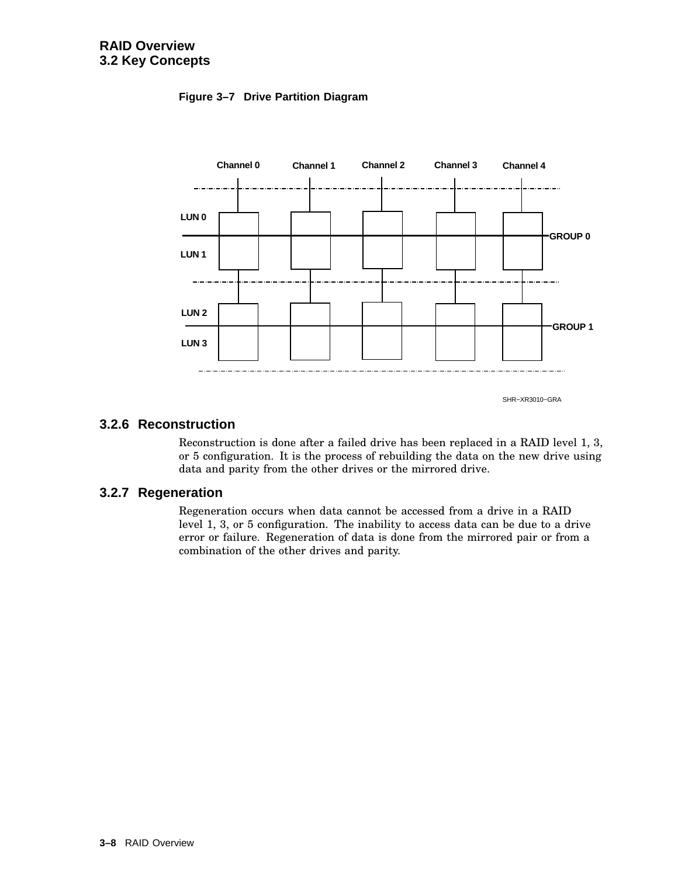



#### **3.2.6 Reconstruction**

Reconstruction is done after a failed drive has been replaced in a RAID level 1, 3, or 5 configuration. It is the process of rebuilding the data on the new drive using data and parity from the other drives or the mirrored drive.

#### **3.2.7 Regeneration**

Regeneration occurs when data cannot be accessed from a drive in a RAID level 1, 3, or 5 configuration. The inability to access data can be due to a drive error or failure. Regeneration of data is done from the mirrored pair or from a combination of the other drives and parity.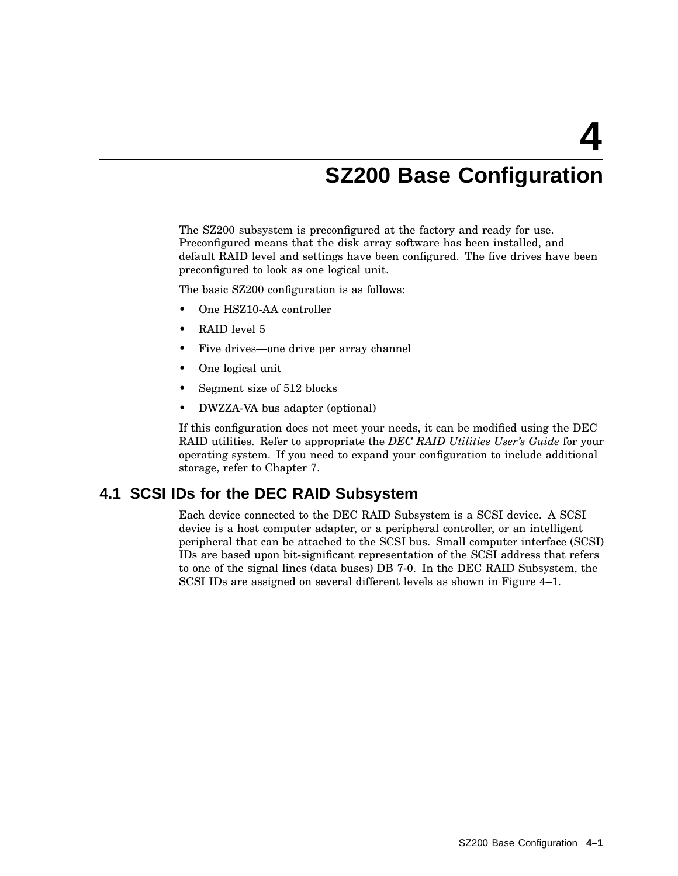# **SZ200 Base Configuration**

The SZ200 subsystem is preconfigured at the factory and ready for use. Preconfigured means that the disk array software has been installed, and default RAID level and settings have been configured. The five drives have been preconfigured to look as one logical unit.

The basic SZ200 configuration is as follows:

- One HSZ10-AA controller
- RAID level 5
- Five drives—one drive per array channel
- One logical unit
- Segment size of 512 blocks
- DWZZA-VA bus adapter (optional)

If this configuration does not meet your needs, it can be modified using the DEC RAID utilities. Refer to appropriate the *DEC RAID Utilities User's Guide* for your operating system. If you need to expand your configuration to include additional storage, refer to Chapter 7.

#### **4.1 SCSI IDs for the DEC RAID Subsystem**

Each device connected to the DEC RAID Subsystem is a SCSI device. A SCSI device is a host computer adapter, or a peripheral controller, or an intelligent peripheral that can be attached to the SCSI bus. Small computer interface (SCSI) IDs are based upon bit-significant representation of the SCSI address that refers to one of the signal lines (data buses) DB 7-0. In the DEC RAID Subsystem, the SCSI IDs are assigned on several different levels as shown in Figure 4–1.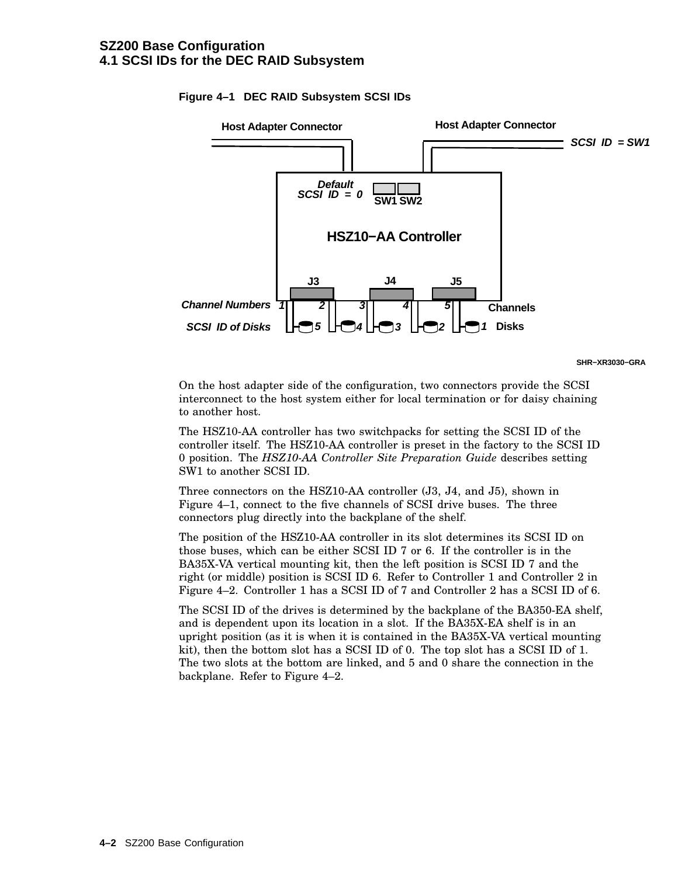

#### **Figure 4–1 DEC RAID Subsystem SCSI IDs**

**SHR−XR3030−GRA**

On the host adapter side of the configuration, two connectors provide the SCSI interconnect to the host system either for local termination or for daisy chaining to another host.

The HSZ10-AA controller has two switchpacks for setting the SCSI ID of the controller itself. The HSZ10-AA controller is preset in the factory to the SCSI ID 0 position. The *HSZ10-AA Controller Site Preparation Guide* describes setting SW1 to another SCSI ID.

Three connectors on the HSZ10-AA controller (J3, J4, and J5), shown in Figure 4–1, connect to the five channels of SCSI drive buses. The three connectors plug directly into the backplane of the shelf.

The position of the HSZ10-AA controller in its slot determines its SCSI ID on those buses, which can be either SCSI ID 7 or 6. If the controller is in the BA35X-VA vertical mounting kit, then the left position is SCSI ID 7 and the right (or middle) position is SCSI ID 6. Refer to Controller 1 and Controller 2 in Figure 4–2. Controller 1 has a SCSI ID of 7 and Controller 2 has a SCSI ID of 6.

The SCSI ID of the drives is determined by the backplane of the BA350-EA shelf, and is dependent upon its location in a slot. If the BA35X-EA shelf is in an upright position (as it is when it is contained in the BA35X-VA vertical mounting kit), then the bottom slot has a SCSI ID of 0. The top slot has a SCSI ID of 1. The two slots at the bottom are linked, and 5 and 0 share the connection in the backplane. Refer to Figure 4–2.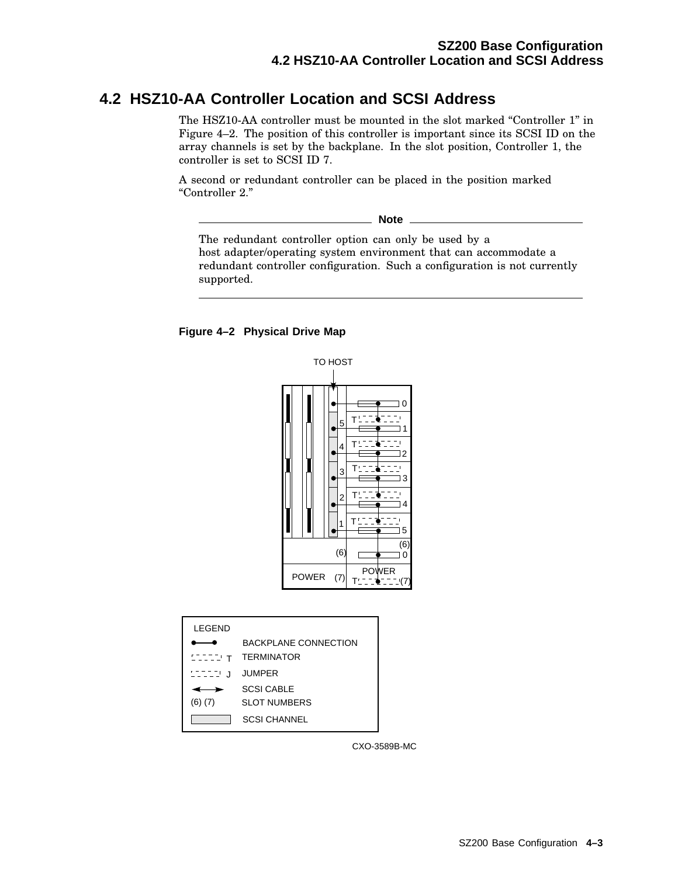## **4.2 HSZ10-AA Controller Location and SCSI Address**

The HSZ10-AA controller must be mounted in the slot marked "Controller 1" in Figure 4–2. The position of this controller is important since its SCSI ID on the array channels is set by the backplane. In the slot position, Controller 1, the controller is set to SCSI ID 7.

A second or redundant controller can be placed in the position marked ''Controller 2.''

**Note**

The redundant controller option can only be used by a host adapter/operating system environment that can accommodate a redundant controller configuration. Such a configuration is not currently supported.

#### **Figure 4–2 Physical Drive Map**



| LEGEND      |                       |
|-------------|-----------------------|
|             | BACKPI ANF CONNECTION |
| ד יבבבים    | <b>TERMINATOR</b>     |
| aaaa u      | <b>JUMPER</b>         |
|             | <b>SCSI CABLE</b>     |
| $(6)$ $(7)$ | <b>SLOT NUMBERS</b>   |
|             | <b>SCSI CHANNEL</b>   |

CXO-3589B-MC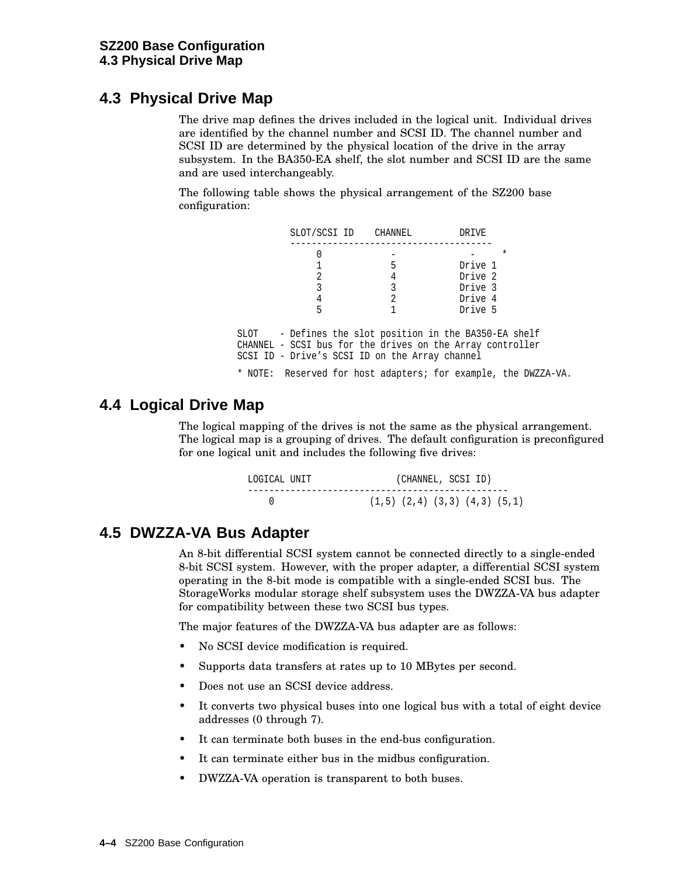## **4.3 Physical Drive Map**

The drive map defines the drives included in the logical unit. Individual drives are identified by the channel number and SCSI ID. The channel number and SCSI ID are determined by the physical location of the drive in the array subsystem. In the BA350-EA shelf, the slot number and SCSI ID are the same and are used interchangeably.

The following table shows the physical arrangement of the SZ200 base configuration:

| SLOT/SCSI ID CHANNEL                           |   | DRIVE                                                          |  |
|------------------------------------------------|---|----------------------------------------------------------------|--|
|                                                |   | $^\star$                                                       |  |
|                                                | 5 | Drive 1                                                        |  |
| 2                                              | 4 | Drive 2                                                        |  |
| 3                                              | 3 | Drive 3                                                        |  |
| 4                                              | 2 | Drive 4                                                        |  |
| 5                                              |   | Drive 5                                                        |  |
|                                                |   |                                                                |  |
|                                                |   | SLOT - Defines the slot position in the BA350-EA shelf         |  |
|                                                |   | CHANNEL - SCSI bus for the drives on the Array controller      |  |
| SCSI ID - Drive's SCSI ID on the Array channel |   |                                                                |  |
|                                                |   | * NOTE: Reserved for host adapters; for example, the DWZZA-VA. |  |

## **4.4 Logical Drive Map**

The logical mapping of the drives is not the same as the physical arrangement. The logical map is a grouping of drives. The default configuration is preconfigured for one logical unit and includes the following five drives:

| LOGICAL UNIT |  |  | (CHANNEL, SCSI ID)                      |  |
|--------------|--|--|-----------------------------------------|--|
|              |  |  | $(1.5)$ $(2.4)$ $(3.3)$ $(4.3)$ $(5.1)$ |  |

## **4.5 DWZZA-VA Bus Adapter**

An 8-bit differential SCSI system cannot be connected directly to a single-ended 8-bit SCSI system. However, with the proper adapter, a differential SCSI system operating in the 8-bit mode is compatible with a single-ended SCSI bus. The StorageWorks modular storage shelf subsystem uses the DWZZA-VA bus adapter for compatibility between these two SCSI bus types.

The major features of the DWZZA-VA bus adapter are as follows:

- No SCSI device modification is required.
- Supports data transfers at rates up to 10 MBytes per second.
- Does not use an SCSI device address.
- It converts two physical buses into one logical bus with a total of eight device addresses (0 through 7).
- It can terminate both buses in the end-bus configuration.
- It can terminate either bus in the midbus configuration.
- DWZZA-VA operation is transparent to both buses.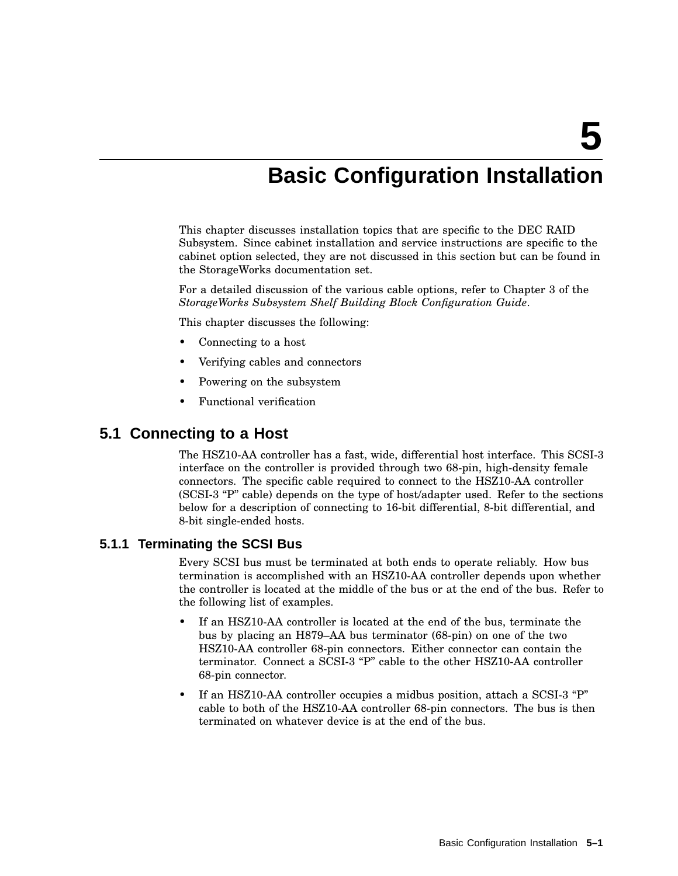## **Basic Configuration Installation**

This chapter discusses installation topics that are specific to the DEC RAID Subsystem. Since cabinet installation and service instructions are specific to the cabinet option selected, they are not discussed in this section but can be found in the StorageWorks documentation set.

For a detailed discussion of the various cable options, refer to Chapter 3 of the *StorageWorks Subsystem Shelf Building Block Configuration Guide*.

This chapter discusses the following:

- Connecting to a host
- Verifying cables and connectors
- Powering on the subsystem
- Functional verification

### **5.1 Connecting to a Host**

The HSZ10-AA controller has a fast, wide, differential host interface. This SCSI-3 interface on the controller is provided through two 68-pin, high-density female connectors. The specific cable required to connect to the HSZ10-AA controller (SCSI-3 "P" cable) depends on the type of host/adapter used. Refer to the sections below for a description of connecting to 16-bit differential, 8-bit differential, and 8-bit single-ended hosts.

#### **5.1.1 Terminating the SCSI Bus**

Every SCSI bus must be terminated at both ends to operate reliably. How bus termination is accomplished with an HSZ10-AA controller depends upon whether the controller is located at the middle of the bus or at the end of the bus. Refer to the following list of examples.

- If an HSZ10-AA controller is located at the end of the bus, terminate the bus by placing an H879–AA bus terminator (68-pin) on one of the two HSZ10-AA controller 68-pin connectors. Either connector can contain the terminator. Connect a SCSI-3 "P" cable to the other HSZ10-AA controller 68-pin connector.
- If an HSZ10-AA controller occupies a midbus position, attach a SCSI-3 "P" cable to both of the HSZ10-AA controller 68-pin connectors. The bus is then terminated on whatever device is at the end of the bus.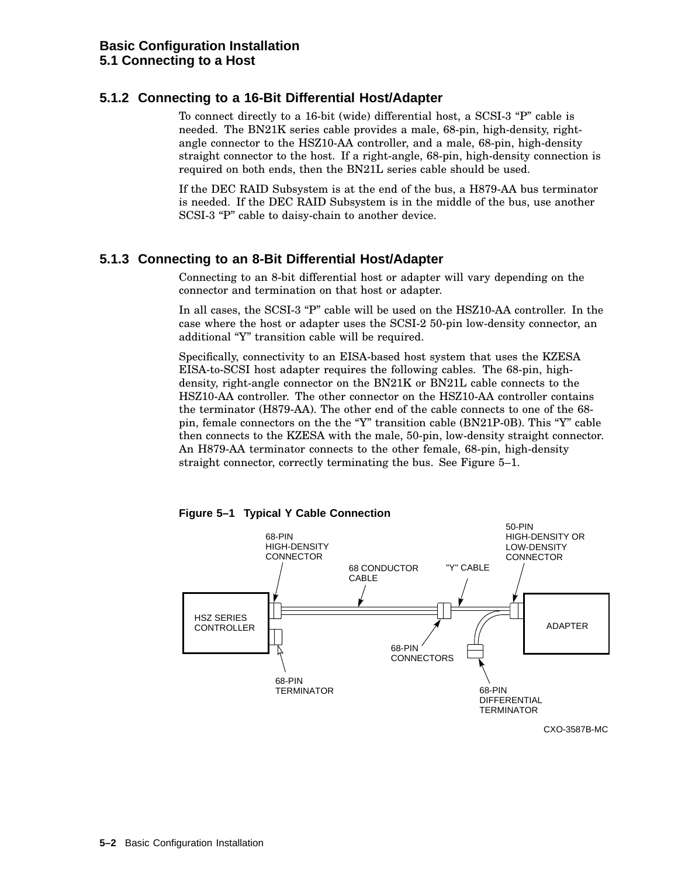#### **5.1.2 Connecting to a 16-Bit Differential Host/Adapter**

To connect directly to a 16-bit (wide) differential host, a  $SCSI-3$  "P" cable is needed. The BN21K series cable provides a male, 68-pin, high-density, rightangle connector to the HSZ10-AA controller, and a male, 68-pin, high-density straight connector to the host. If a right-angle, 68-pin, high-density connection is required on both ends, then the BN21L series cable should be used.

If the DEC RAID Subsystem is at the end of the bus, a H879-AA bus terminator is needed. If the DEC RAID Subsystem is in the middle of the bus, use another SCSI-3 "P" cable to daisy-chain to another device.

#### **5.1.3 Connecting to an 8-Bit Differential Host/Adapter**

Connecting to an 8-bit differential host or adapter will vary depending on the connector and termination on that host or adapter.

In all cases, the SCSI-3 "P" cable will be used on the HSZ10-AA controller. In the case where the host or adapter uses the SCSI-2 50-pin low-density connector, an additional ''Y'' transition cable will be required.

Specifically, connectivity to an EISA-based host system that uses the KZESA EISA-to-SCSI host adapter requires the following cables. The 68-pin, highdensity, right-angle connector on the BN21K or BN21L cable connects to the HSZ10-AA controller. The other connector on the HSZ10-AA controller contains the terminator (H879-AA). The other end of the cable connects to one of the 68 pin, female connectors on the the " $Y$ " transition cable (BN21P-0B). This " $Y$ " cable then connects to the KZESA with the male, 50-pin, low-density straight connector. An H879-AA terminator connects to the other female, 68-pin, high-density straight connector, correctly terminating the bus. See Figure 5–1.





CXO-3587B-MC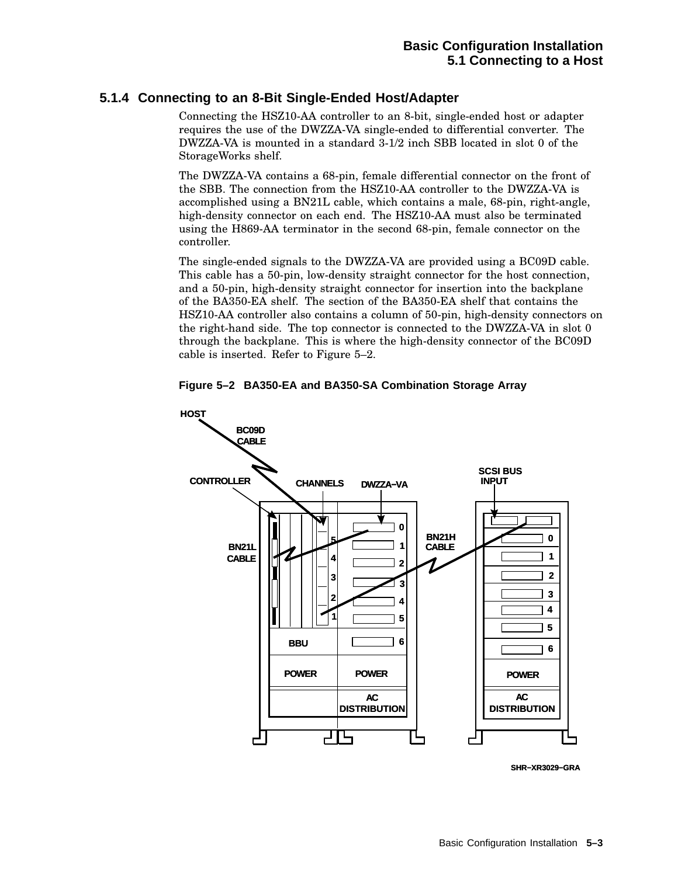## **5.1.4 Connecting to an 8-Bit Single-Ended Host/Adapter**

Connecting the HSZ10-AA controller to an 8-bit, single-ended host or adapter requires the use of the DWZZA-VA single-ended to differential converter. The DWZZA-VA is mounted in a standard 3-1/2 inch SBB located in slot 0 of the StorageWorks shelf.

The DWZZA-VA contains a 68-pin, female differential connector on the front of the SBB. The connection from the HSZ10-AA controller to the DWZZA-VA is accomplished using a BN21L cable, which contains a male, 68-pin, right-angle, high-density connector on each end. The HSZ10-AA must also be terminated using the H869-AA terminator in the second 68-pin, female connector on the controller.

The single-ended signals to the DWZZA-VA are provided using a BC09D cable. This cable has a 50-pin, low-density straight connector for the host connection, and a 50-pin, high-density straight connector for insertion into the backplane of the BA350-EA shelf. The section of the BA350-EA shelf that contains the HSZ10-AA controller also contains a column of 50-pin, high-density connectors on the right-hand side. The top connector is connected to the DWZZA-VA in slot 0 through the backplane. This is where the high-density connector of the BC09D cable is inserted. Refer to Figure 5–2.





**SHR−XR3029−GRA**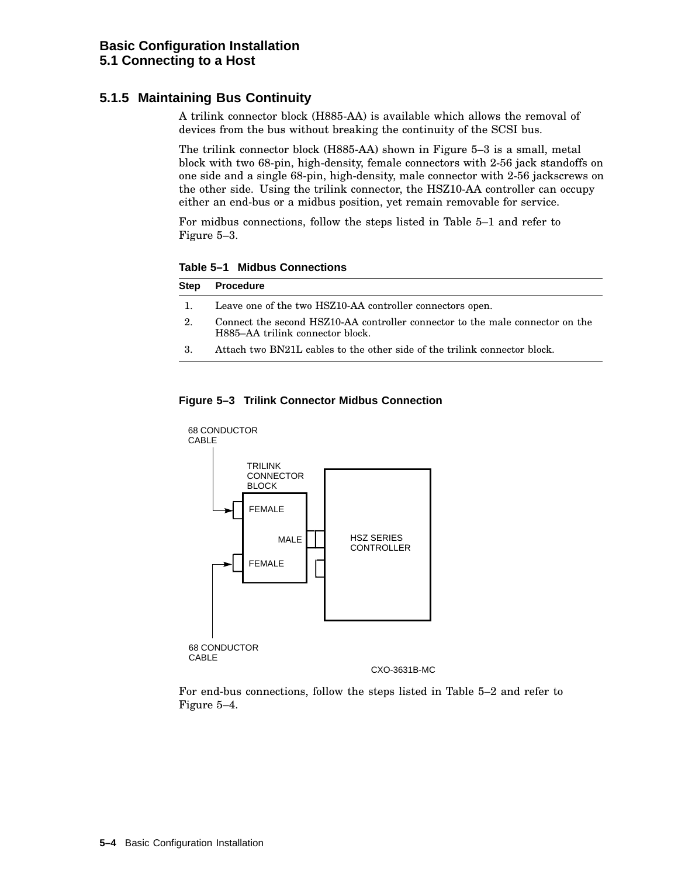## **5.1.5 Maintaining Bus Continuity**

A trilink connector block (H885-AA) is available which allows the removal of devices from the bus without breaking the continuity of the SCSI bus.

The trilink connector block (H885-AA) shown in Figure 5–3 is a small, metal block with two 68-pin, high-density, female connectors with 2-56 jack standoffs on one side and a single 68-pin, high-density, male connector with 2-56 jackscrews on the other side. Using the trilink connector, the HSZ10-AA controller can occupy either an end-bus or a midbus position, yet remain removable for service.

For midbus connections, follow the steps listed in Table 5–1 and refer to Figure 5–3.

**Table 5–1 Midbus Connections**

| Step | Procedure                                                                                                         |
|------|-------------------------------------------------------------------------------------------------------------------|
| - 1. | Leave one of the two HSZ10-AA controller connectors open.                                                         |
| 2.   | Connect the second HSZ10-AA controller connector to the male connector on the<br>H885–AA trilink connector block. |
| -3.  | Attach two BN21L cables to the other side of the trilink connector block.                                         |





For end-bus connections, follow the steps listed in Table 5–2 and refer to Figure 5–4.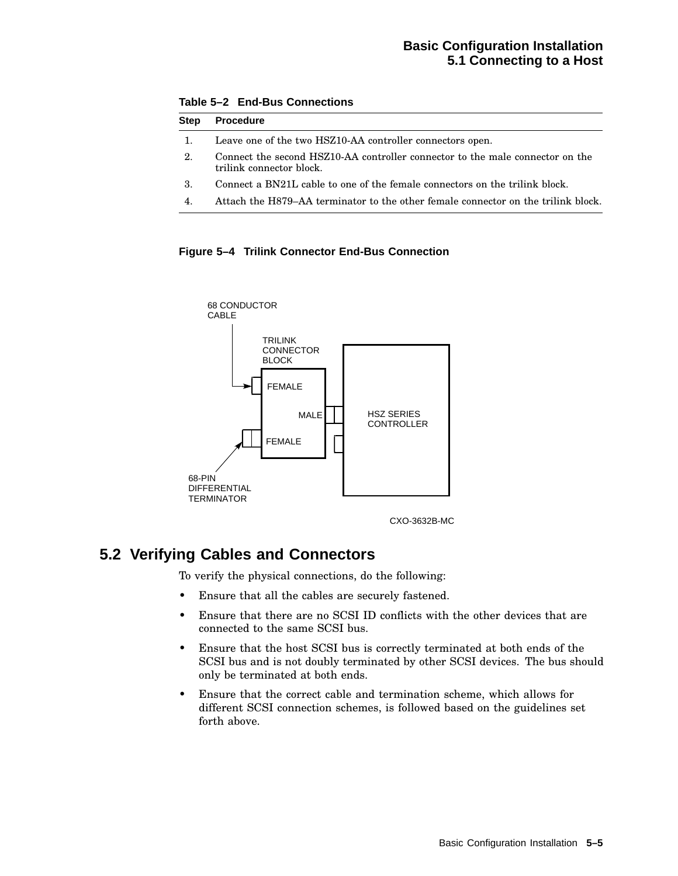## **Basic Configuration Installation 5.1 Connecting to a Host**

| <b>Step</b> | <b>Procedure</b>                                                                                          |  |  |  |  |
|-------------|-----------------------------------------------------------------------------------------------------------|--|--|--|--|
|             | Leave one of the two HSZ10-AA controller connectors open.                                                 |  |  |  |  |
| 2.          | Connect the second HSZ10-AA controller connector to the male connector on the<br>trilink connector block. |  |  |  |  |
| 3.          | Connect a BN21L cable to one of the female connectors on the trilink block.                               |  |  |  |  |
| 4.          | Attach the H879–AA terminator to the other female connector on the trilink block.                         |  |  |  |  |

**Table 5–2 End-Bus Connections**





CXO-3632B-MC

## **5.2 Verifying Cables and Connectors**

To verify the physical connections, do the following:

- Ensure that all the cables are securely fastened.
- Ensure that there are no SCSI ID conflicts with the other devices that are connected to the same SCSI bus.
- Ensure that the host SCSI bus is correctly terminated at both ends of the SCSI bus and is not doubly terminated by other SCSI devices. The bus should only be terminated at both ends.
- Ensure that the correct cable and termination scheme, which allows for different SCSI connection schemes, is followed based on the guidelines set forth above.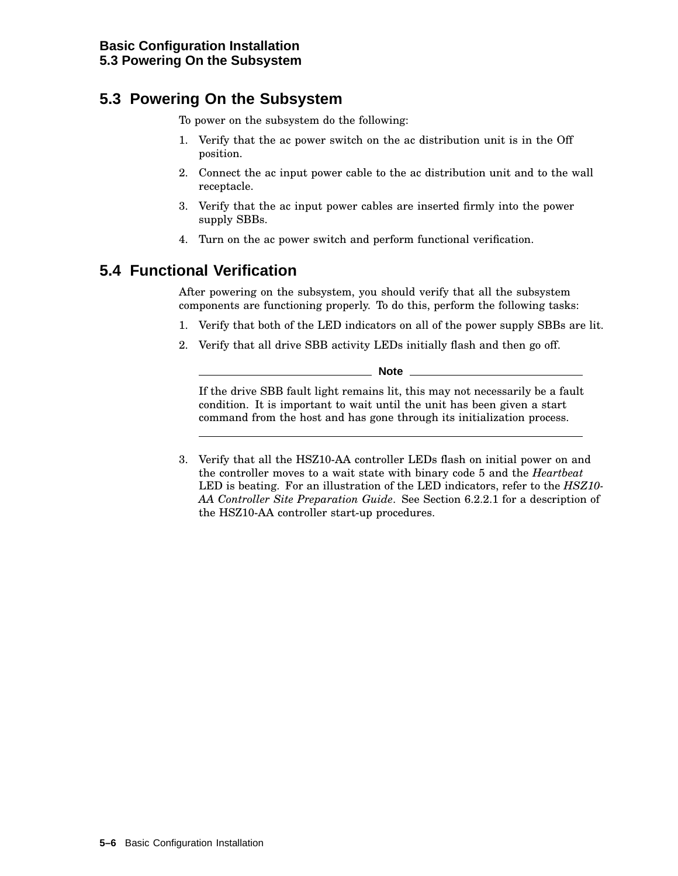## **5.3 Powering On the Subsystem**

To power on the subsystem do the following:

- 1. Verify that the ac power switch on the ac distribution unit is in the Off position.
- 2. Connect the ac input power cable to the ac distribution unit and to the wall receptacle.
- 3. Verify that the ac input power cables are inserted firmly into the power supply SBBs.
- 4. Turn on the ac power switch and perform functional verification.

## **5.4 Functional Verification**

After powering on the subsystem, you should verify that all the subsystem components are functioning properly. To do this, perform the following tasks:

- 1. Verify that both of the LED indicators on all of the power supply SBBs are lit.
- 2. Verify that all drive SBB activity LEDs initially flash and then go off.

**Note**

If the drive SBB fault light remains lit, this may not necessarily be a fault condition. It is important to wait until the unit has been given a start command from the host and has gone through its initialization process.

3. Verify that all the HSZ10-AA controller LEDs flash on initial power on and the controller moves to a wait state with binary code 5 and the *Heartbeat* LED is beating. For an illustration of the LED indicators, refer to the *HSZ10- AA Controller Site Preparation Guide*. See Section 6.2.2.1 for a description of the HSZ10-AA controller start-up procedures.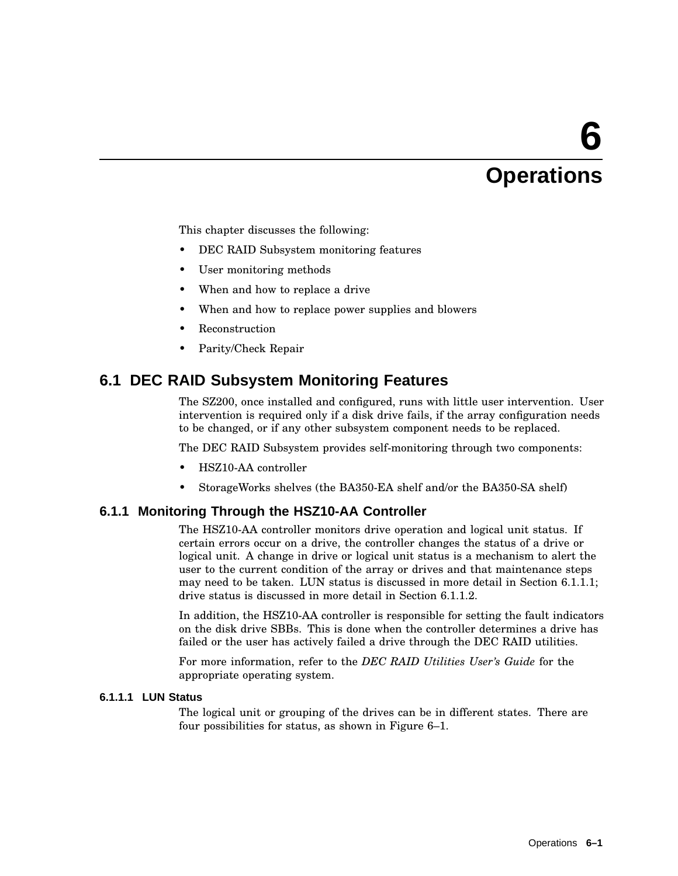## **6 Operations**

This chapter discusses the following:

- DEC RAID Subsystem monitoring features
- User monitoring methods
- When and how to replace a drive
- When and how to replace power supplies and blowers
- **Reconstruction**
- Parity/Check Repair

## **6.1 DEC RAID Subsystem Monitoring Features**

The SZ200, once installed and configured, runs with little user intervention. User intervention is required only if a disk drive fails, if the array configuration needs to be changed, or if any other subsystem component needs to be replaced.

The DEC RAID Subsystem provides self-monitoring through two components:

- HSZ10-AA controller
- StorageWorks shelves (the BA350-EA shelf and/or the BA350-SA shelf)

## **6.1.1 Monitoring Through the HSZ10-AA Controller**

The HSZ10-AA controller monitors drive operation and logical unit status. If certain errors occur on a drive, the controller changes the status of a drive or logical unit. A change in drive or logical unit status is a mechanism to alert the user to the current condition of the array or drives and that maintenance steps may need to be taken. LUN status is discussed in more detail in Section 6.1.1.1; drive status is discussed in more detail in Section 6.1.1.2.

In addition, the HSZ10-AA controller is responsible for setting the fault indicators on the disk drive SBBs. This is done when the controller determines a drive has failed or the user has actively failed a drive through the DEC RAID utilities.

For more information, refer to the *DEC RAID Utilities User's Guide* for the appropriate operating system.

#### **6.1.1.1 LUN Status**

The logical unit or grouping of the drives can be in different states. There are four possibilities for status, as shown in Figure 6–1.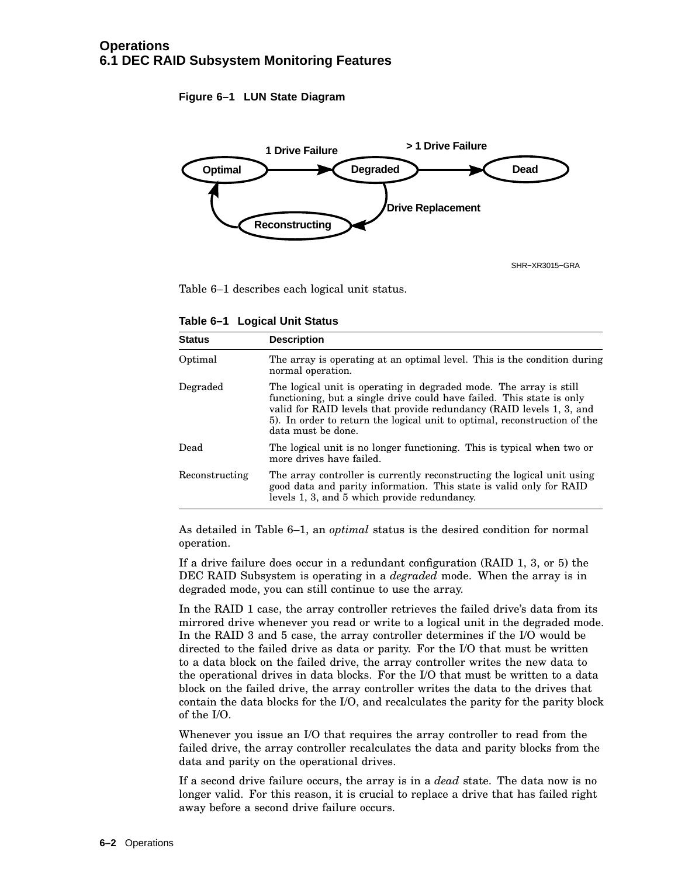**Figure 6–1 LUN State Diagram**



SHR−XR3015−GRA

Table 6–1 describes each logical unit status.

**Table 6–1 Logical Unit Status**

| <b>Status</b>  | <b>Description</b>                                                                                                                                                                                                                                                                                                     |
|----------------|------------------------------------------------------------------------------------------------------------------------------------------------------------------------------------------------------------------------------------------------------------------------------------------------------------------------|
| Optimal        | The array is operating at an optimal level. This is the condition during<br>normal operation.                                                                                                                                                                                                                          |
| Degraded       | The logical unit is operating in degraded mode. The array is still<br>functioning, but a single drive could have failed. This state is only<br>valid for RAID levels that provide redundancy (RAID levels 1, 3, and<br>5). In order to return the logical unit to optimal, reconstruction of the<br>data must be done. |
| Dead           | The logical unit is no longer functioning. This is typical when two or<br>more drives have failed.                                                                                                                                                                                                                     |
| Reconstructing | The array controller is currently reconstructing the logical unit using<br>good data and parity information. This state is valid only for RAID<br>levels 1, 3, and 5 which provide redundancy.                                                                                                                         |

As detailed in Table 6–1, an *optimal* status is the desired condition for normal operation.

If a drive failure does occur in a redundant configuration (RAID 1, 3, or 5) the DEC RAID Subsystem is operating in a *degraded* mode. When the array is in degraded mode, you can still continue to use the array.

In the RAID 1 case, the array controller retrieves the failed drive's data from its mirrored drive whenever you read or write to a logical unit in the degraded mode. In the RAID 3 and 5 case, the array controller determines if the I/O would be directed to the failed drive as data or parity. For the I/O that must be written to a data block on the failed drive, the array controller writes the new data to the operational drives in data blocks. For the I/O that must be written to a data block on the failed drive, the array controller writes the data to the drives that contain the data blocks for the I/O, and recalculates the parity for the parity block of the I/O.

Whenever you issue an I/O that requires the array controller to read from the failed drive, the array controller recalculates the data and parity blocks from the data and parity on the operational drives.

If a second drive failure occurs, the array is in a *dead* state. The data now is no longer valid. For this reason, it is crucial to replace a drive that has failed right away before a second drive failure occurs.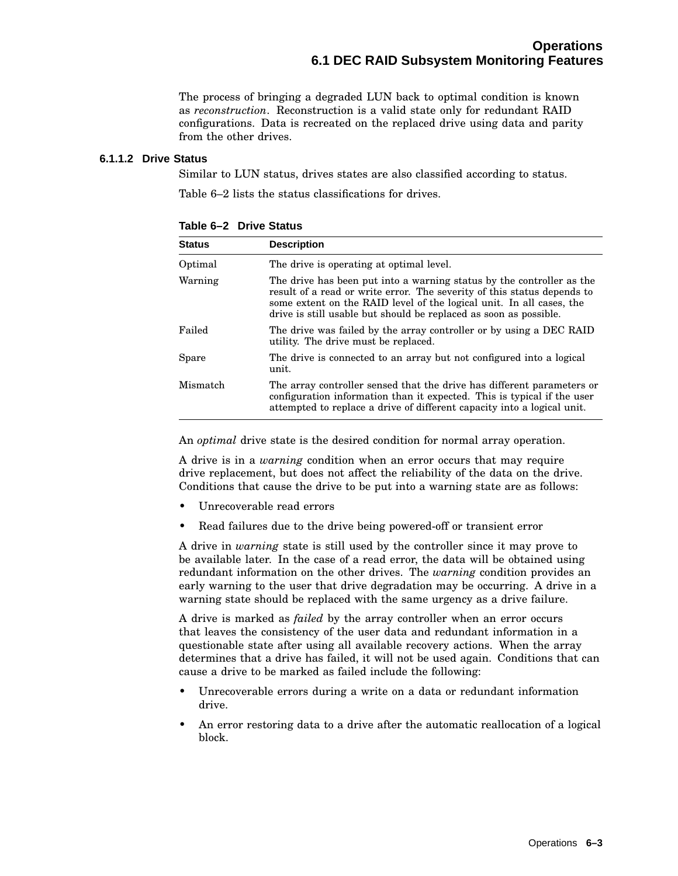The process of bringing a degraded LUN back to optimal condition is known as *reconstruction*. Reconstruction is a valid state only for redundant RAID configurations. Data is recreated on the replaced drive using data and parity from the other drives.

#### **6.1.1.2 Drive Status**

Similar to LUN status, drives states are also classified according to status.

Table 6–2 lists the status classifications for drives.

| <b>Status</b> | <b>Description</b>                                                                                                                                                                                                                                                                            |
|---------------|-----------------------------------------------------------------------------------------------------------------------------------------------------------------------------------------------------------------------------------------------------------------------------------------------|
| Optimal       | The drive is operating at optimal level.                                                                                                                                                                                                                                                      |
| Warning       | The drive has been put into a warning status by the controller as the<br>result of a read or write error. The severity of this status depends to<br>some extent on the RAID level of the logical unit. In all cases, the<br>drive is still usable but should be replaced as soon as possible. |
| Failed        | The drive was failed by the array controller or by using a DEC RAID<br>utility. The drive must be replaced.                                                                                                                                                                                   |
| Spare         | The drive is connected to an array but not configured into a logical<br>unit.                                                                                                                                                                                                                 |
| Mismatch      | The array controller sensed that the drive has different parameters or<br>configuration information than it expected. This is typical if the user<br>attempted to replace a drive of different capacity into a logical unit.                                                                  |

**Table 6–2 Drive Status**

An *optimal* drive state is the desired condition for normal array operation.

A drive is in a *warning* condition when an error occurs that may require drive replacement, but does not affect the reliability of the data on the drive. Conditions that cause the drive to be put into a warning state are as follows:

- Unrecoverable read errors
- Read failures due to the drive being powered-off or transient error

A drive in *warning* state is still used by the controller since it may prove to be available later. In the case of a read error, the data will be obtained using redundant information on the other drives. The *warning* condition provides an early warning to the user that drive degradation may be occurring. A drive in a warning state should be replaced with the same urgency as a drive failure.

A drive is marked as *failed* by the array controller when an error occurs that leaves the consistency of the user data and redundant information in a questionable state after using all available recovery actions. When the array determines that a drive has failed, it will not be used again. Conditions that can cause a drive to be marked as failed include the following:

- Unrecoverable errors during a write on a data or redundant information drive.
- An error restoring data to a drive after the automatic reallocation of a logical block.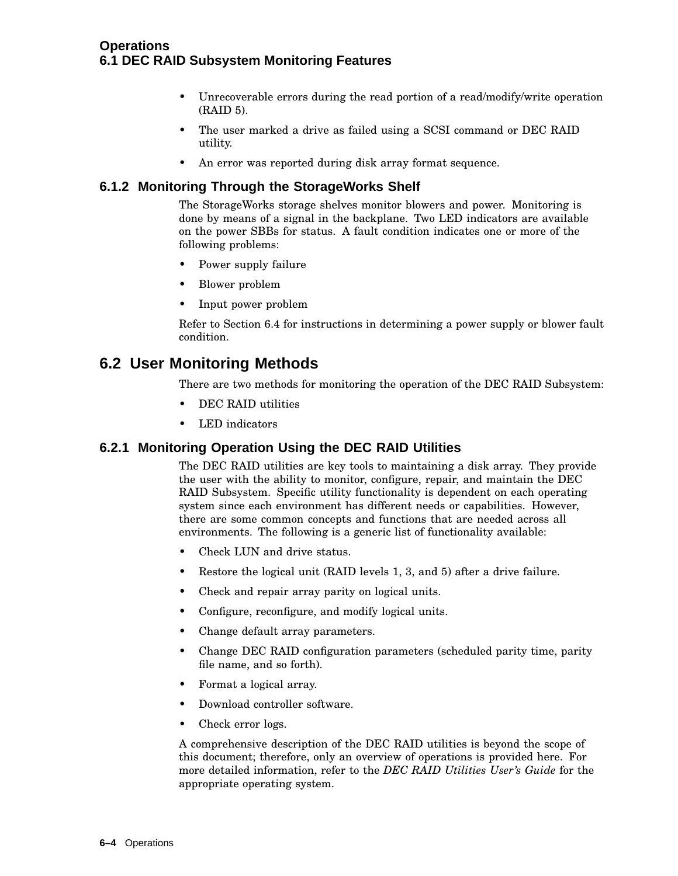- Unrecoverable errors during the read portion of a read/modify/write operation (RAID 5).
- The user marked a drive as failed using a SCSI command or DEC RAID utility.
- An error was reported during disk array format sequence.

## **6.1.2 Monitoring Through the StorageWorks Shelf**

The StorageWorks storage shelves monitor blowers and power. Monitoring is done by means of a signal in the backplane. Two LED indicators are available on the power SBBs for status. A fault condition indicates one or more of the following problems:

- Power supply failure
- Blower problem
- Input power problem

Refer to Section 6.4 for instructions in determining a power supply or blower fault condition.

## **6.2 User Monitoring Methods**

There are two methods for monitoring the operation of the DEC RAID Subsystem:

- DEC RAID utilities
- LED indicators

## **6.2.1 Monitoring Operation Using the DEC RAID Utilities**

The DEC RAID utilities are key tools to maintaining a disk array. They provide the user with the ability to monitor, configure, repair, and maintain the DEC RAID Subsystem. Specific utility functionality is dependent on each operating system since each environment has different needs or capabilities. However, there are some common concepts and functions that are needed across all environments. The following is a generic list of functionality available:

- Check LUN and drive status.
- Restore the logical unit (RAID levels 1, 3, and 5) after a drive failure.
- Check and repair array parity on logical units.
- Configure, reconfigure, and modify logical units.
- Change default array parameters.
- Change DEC RAID configuration parameters (scheduled parity time, parity file name, and so forth).
- Format a logical array.
- Download controller software.
- Check error logs.

A comprehensive description of the DEC RAID utilities is beyond the scope of this document; therefore, only an overview of operations is provided here. For more detailed information, refer to the *DEC RAID Utilities User's Guide* for the appropriate operating system.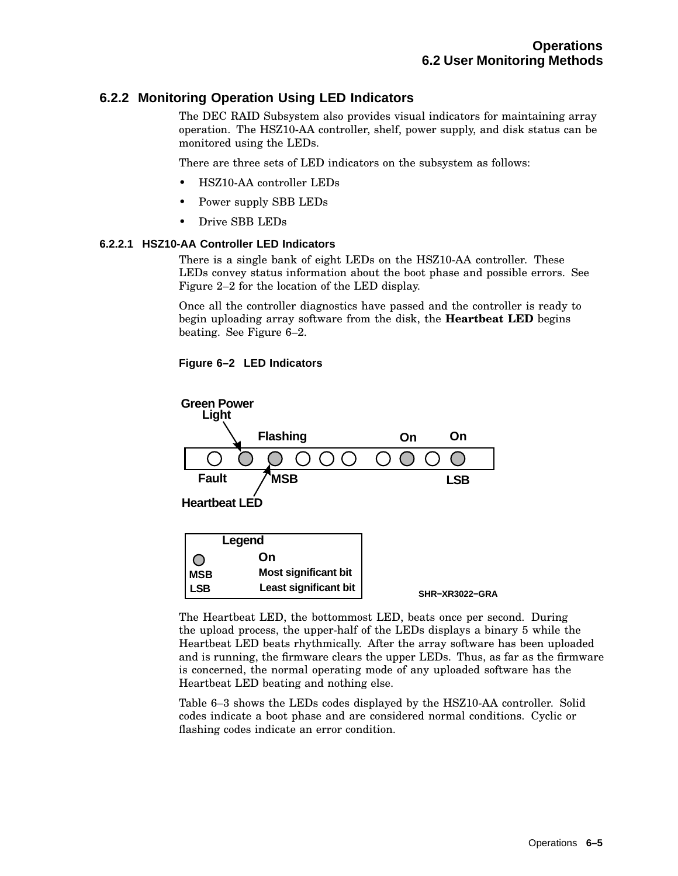## **6.2.2 Monitoring Operation Using LED Indicators**

The DEC RAID Subsystem also provides visual indicators for maintaining array operation. The HSZ10-AA controller, shelf, power supply, and disk status can be monitored using the LEDs.

There are three sets of LED indicators on the subsystem as follows:

- HSZ10-AA controller LEDs
- Power supply SBB LEDs
- Drive SBB LEDs

#### **6.2.2.1 HSZ10-AA Controller LED Indicators**

There is a single bank of eight LEDs on the HSZ10-AA controller. These LEDs convey status information about the boot phase and possible errors. See Figure 2–2 for the location of the LED display.

Once all the controller diagnostics have passed and the controller is ready to begin uploading array software from the disk, the **Heartbeat LED** begins beating. See Figure 6–2.

## **Figure 6–2 LED Indicators**



The Heartbeat LED, the bottommost LED, beats once per second. During the upload process, the upper-half of the LEDs displays a binary 5 while the Heartbeat LED beats rhythmically. After the array software has been uploaded and is running, the firmware clears the upper LEDs. Thus, as far as the firmware is concerned, the normal operating mode of any uploaded software has the Heartbeat LED beating and nothing else.

Table 6–3 shows the LEDs codes displayed by the HSZ10-AA controller. Solid codes indicate a boot phase and are considered normal conditions. Cyclic or flashing codes indicate an error condition.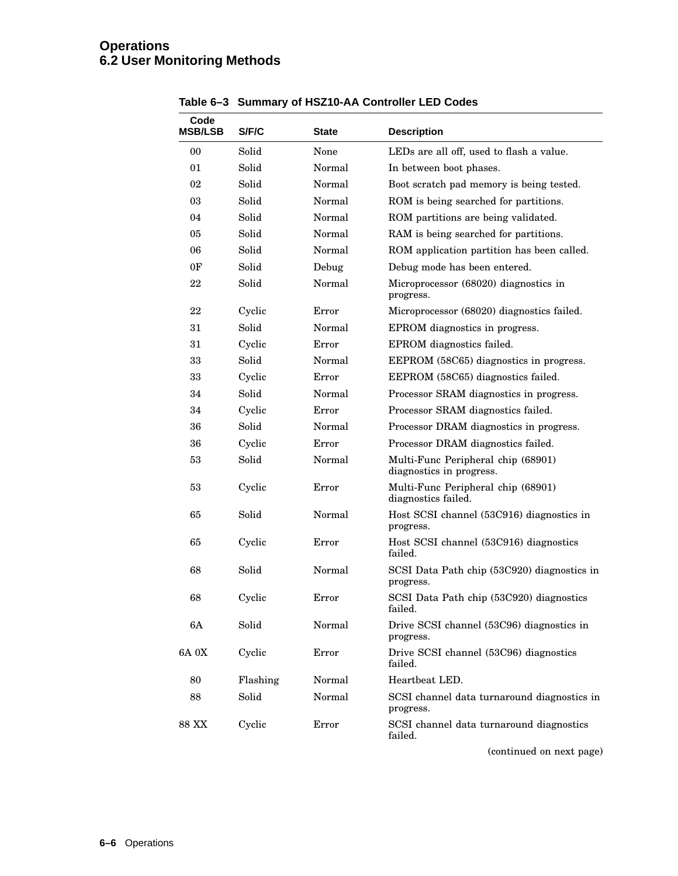| Code<br><b>MSB/LSB</b> | S/F/C    | State  | <b>Description</b>                                             |
|------------------------|----------|--------|----------------------------------------------------------------|
| 00                     | Solid    | None   | LEDs are all off, used to flash a value.                       |
| 01                     | Solid    | Normal | In between boot phases.                                        |
| 02                     | Solid    | Normal | Boot scratch pad memory is being tested.                       |
| 03                     | Solid    | Normal | ROM is being searched for partitions.                          |
| 04                     | Solid    | Normal | ROM partitions are being validated.                            |
| 05                     | Solid    | Normal | RAM is being searched for partitions.                          |
| 06                     | Solid    | Normal | ROM application partition has been called.                     |
| 0F                     | Solid    | Debug  | Debug mode has been entered.                                   |
| 22                     | Solid    | Normal | Microprocessor (68020) diagnostics in<br>progress.             |
| 22                     | Cyclic   | Error  | Microprocessor (68020) diagnostics failed.                     |
| 31                     | Solid    | Normal | EPROM diagnostics in progress.                                 |
| 31                     | Cyclic   | Error  | EPROM diagnostics failed.                                      |
| 33                     | Solid    | Normal | EEPROM (58C65) diagnostics in progress.                        |
| 33                     | Cyclic   | Error  | EEPROM (58C65) diagnostics failed.                             |
| 34                     | Solid    | Normal | Processor SRAM diagnostics in progress.                        |
| 34                     | Cyclic   | Error  | Processor SRAM diagnostics failed.                             |
| 36                     | Solid    | Normal | Processor DRAM diagnostics in progress.                        |
| 36                     | Cyclic   | Error  | Processor DRAM diagnostics failed.                             |
| 53                     | Solid    | Normal | Multi-Func Peripheral chip (68901)<br>diagnostics in progress. |
| 53                     | Cyclic   | Error  | Multi-Func Peripheral chip (68901)<br>diagnostics failed.      |
| 65                     | Solid    | Normal | Host SCSI channel (53C916) diagnostics in<br>progress.         |
| 65                     | Cyclic   | Error  | Host SCSI channel (53C916) diagnostics<br>failed.              |
| 68                     | Solid    | Normal | SCSI Data Path chip (53C920) diagnostics in<br>progress.       |
| 68                     | Cyclic   | Error  | SCSI Data Path chip (53C920) diagnostics<br>failed.            |
| 6A                     | Solid    | Normal | Drive SCSI channel (53C96) diagnostics in<br>progress.         |
| 6A 0X                  | Cyclic   | Error  | Drive SCSI channel (53C96) diagnostics<br>failed.              |
| 80                     | Flashing | Normal | Heartbeat LED.                                                 |
| 88                     | Solid    | Normal | SCSI channel data turnaround diagnostics in<br>progress.       |
| 88 XX                  | Cyclic   | Error  | SCSI channel data turnaround diagnostics<br>failed.            |

**Table 6–3 Summary of HSZ10-AA Controller LED Codes**

(continued on next page)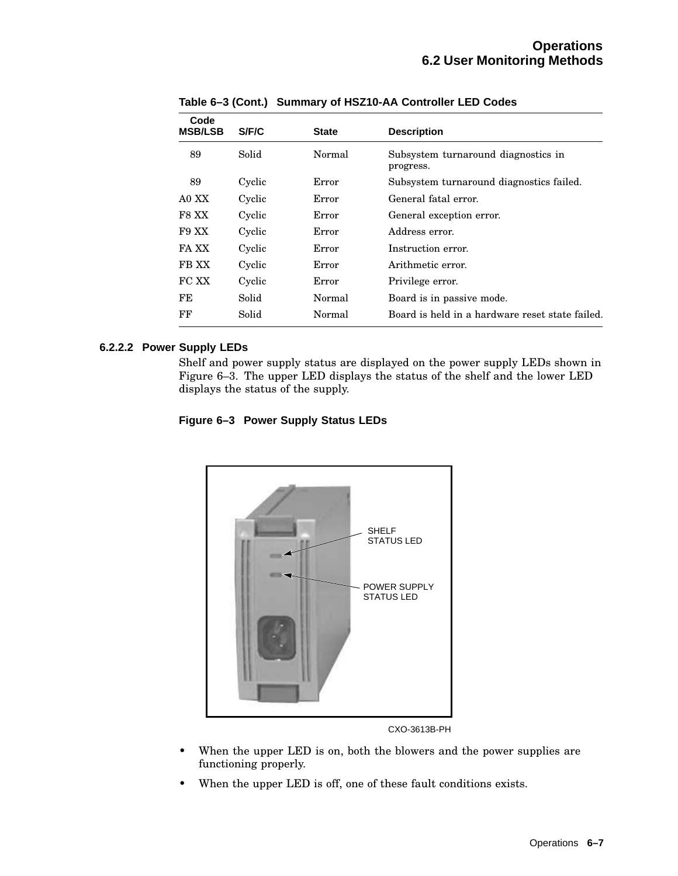| Code<br><b>MSB/LSB</b> | S/F/C  | <b>State</b> | <b>Description</b>                               |
|------------------------|--------|--------------|--------------------------------------------------|
| 89                     | Solid  | Normal       | Subsystem turnaround diagnostics in<br>progress. |
| 89                     | Cyclic | Error        | Subsystem turnaround diagnostics failed.         |
| A0 XX                  | Cyclic | Error        | General fatal error.                             |
| F8 XX                  | Cyclic | Error        | General exception error.                         |
| F9 XX                  | Cyclic | Error        | Address error.                                   |
| FA XX                  | Cyclic | Error        | Instruction error.                               |
| FB XX                  | Cyclic | Error        | Arithmetic error.                                |
| FC XX                  | Cyclic | Error        | Privilege error.                                 |
| FE                     | Solid  | Normal       | Board is in passive mode.                        |
| FF                     | Solid  | Normal       | Board is held in a hardware reset state failed.  |

**Table 6–3 (Cont.) Summary of HSZ10-AA Controller LED Codes**

## **6.2.2.2 Power Supply LEDs**

Shelf and power supply status are displayed on the power supply LEDs shown in Figure 6–3. The upper LED displays the status of the shelf and the lower LED displays the status of the supply.

**Figure 6–3 Power Supply Status LEDs**



CXO-3613B-PH

- When the upper LED is on, both the blowers and the power supplies are functioning properly.
- When the upper LED is off, one of these fault conditions exists.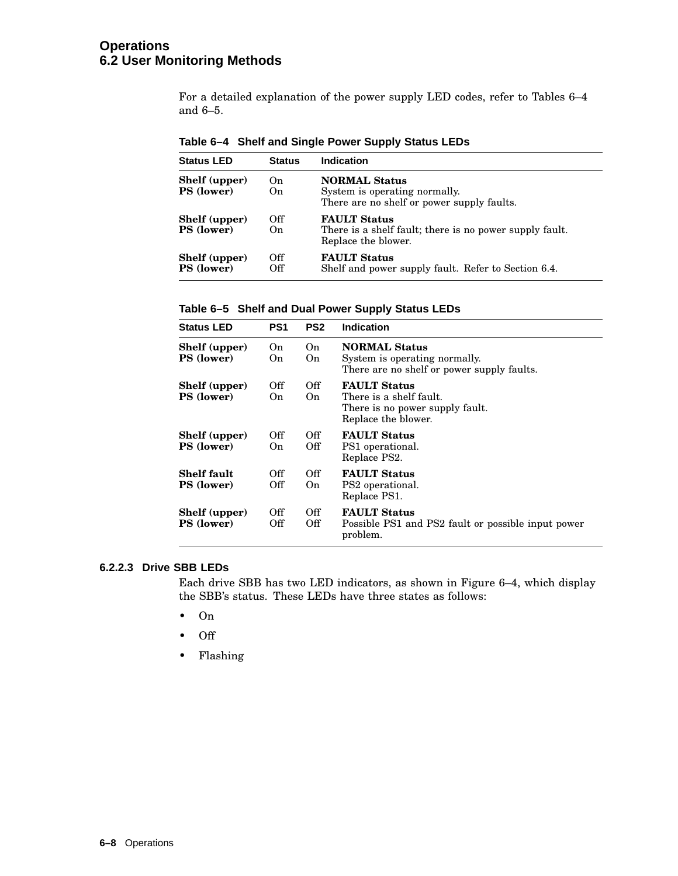## **Operations 6.2 User Monitoring Methods**

For a detailed explanation of the power supply LED codes, refer to Tables 6–4 and 6–5.

|  | Table 6–4 Shelf and Single Power Supply Status LEDs |  |  |
|--|-----------------------------------------------------|--|--|
|--|-----------------------------------------------------|--|--|

| <b>Status LED</b>                  | <b>Status</b>         | <b>Indication</b>                                                                                     |
|------------------------------------|-----------------------|-------------------------------------------------------------------------------------------------------|
| Shelf (upper)<br><b>PS</b> (lower) | On<br>O <sub>n</sub>  | <b>NORMAL Status</b><br>System is operating normally.<br>There are no shelf or power supply faults.   |
| Shelf (upper)<br><b>PS</b> (lower) | Off<br>O <sub>n</sub> | <b>FAULT Status</b><br>There is a shelf fault; there is no power supply fault.<br>Replace the blower. |
| Shelf (upper)<br><b>PS</b> (lower) | Off<br>Off            | <b>FAULT Status</b><br>Shelf and power supply fault. Refer to Section 6.4.                            |

**Table 6–5 Shelf and Dual Power Supply Status LEDs**

| <b>Status LED</b>                  | PS <sub>1</sub> | PS <sub>2</sub> | Indication                                                                                               |
|------------------------------------|-----------------|-----------------|----------------------------------------------------------------------------------------------------------|
| Shelf (upper)<br><b>PS</b> (lower) | On.<br>On.      | On.<br>On.      | <b>NORMAL Status</b><br>System is operating normally.<br>There are no shelf or power supply faults.      |
| Shelf (upper)<br><b>PS</b> (lower) | Off<br>On.      | Off<br>On.      | <b>FAULT Status</b><br>There is a shelf fault.<br>There is no power supply fault.<br>Replace the blower. |
| Shelf (upper)<br><b>PS</b> (lower) | Off<br>On.      | Off<br>Off      | <b>FAULT Status</b><br>PS1 operational.<br>Replace PS2.                                                  |
| <b>Shelf fault</b><br>PS (lower)   | Off<br>Off      | Off<br>On.      | <b>FAULT Status</b><br>PS2 operational.<br>Replace PS1.                                                  |
| Shelf (upper)<br><b>PS</b> (lower) | Off<br>Off      | Off<br>Off      | <b>FAULT Status</b><br>Possible PS1 and PS2 fault or possible input power<br>problem.                    |

## **6.2.2.3 Drive SBB LEDs**

Each drive SBB has two LED indicators, as shown in Figure 6–4, which display the SBB's status. These LEDs have three states as follows:

- On
- Off
- Flashing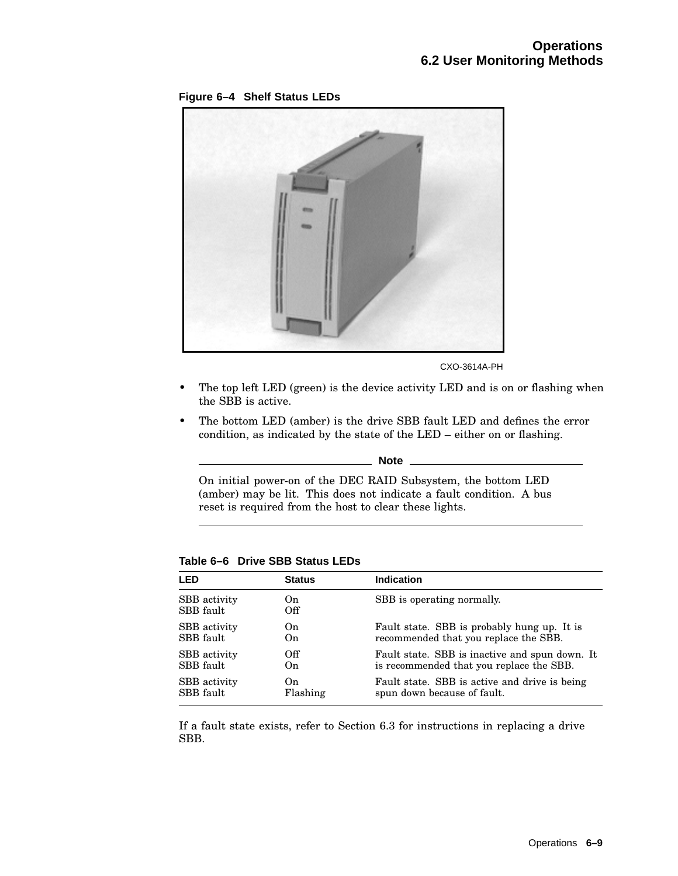**Figure 6–4 Shelf Status LEDs**



CXO-3614A-PH

- The top left LED (green) is the device activity LED and is on or flashing when the SBB is active.
- The bottom LED (amber) is the drive SBB fault LED and defines the error condition, as indicated by the state of the LED – either on or flashing.

**Note**

On initial power-on of the DEC RAID Subsystem, the bottom LED (amber) may be lit. This does not indicate a fault condition. A bus reset is required from the host to clear these lights.

| LED                       | <b>Status</b> | <b>Indication</b>                              |
|---------------------------|---------------|------------------------------------------------|
| SBB activity<br>SBB fault | On.<br>Off    | SBB is operating normally.                     |
| SBB activity              | On.           | Fault state. SBB is probably hung up. It is    |
| SBB fault                 | On.           | recommended that you replace the SBB.          |
| SBB activity              | Off           | Fault state. SBB is inactive and spun down. It |
| SBB fault                 | On.           | is recommended that you replace the SBB.       |
| SBB activity              | On            | Fault state. SBB is active and drive is being  |
| SBB fault                 | Flashing      | spun down because of fault.                    |

**Table 6–6 Drive SBB Status LEDs**

If a fault state exists, refer to Section 6.3 for instructions in replacing a drive SBB.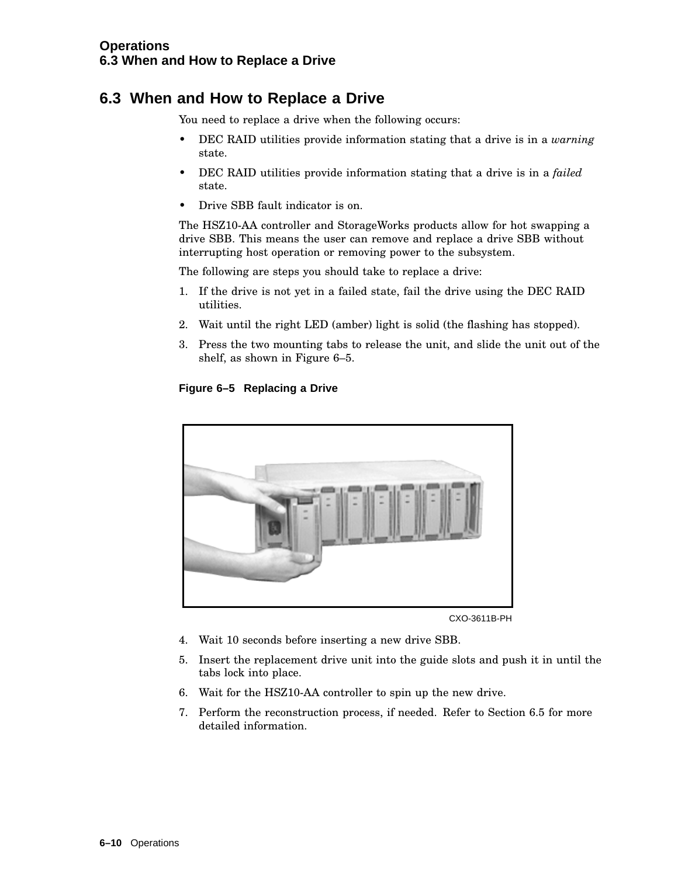## **6.3 When and How to Replace a Drive**

You need to replace a drive when the following occurs:

- DEC RAID utilities provide information stating that a drive is in a *warning* state.
- DEC RAID utilities provide information stating that a drive is in a *failed* state.
- Drive SBB fault indicator is on.

The HSZ10-AA controller and StorageWorks products allow for hot swapping a drive SBB. This means the user can remove and replace a drive SBB without interrupting host operation or removing power to the subsystem.

The following are steps you should take to replace a drive:

- 1. If the drive is not yet in a failed state, fail the drive using the DEC RAID utilities.
- 2. Wait until the right LED (amber) light is solid (the flashing has stopped).
- 3. Press the two mounting tabs to release the unit, and slide the unit out of the shelf, as shown in Figure 6–5.

## **Figure 6–5 Replacing a Drive**



CXO-3611B-PH

- 4. Wait 10 seconds before inserting a new drive SBB.
- 5. Insert the replacement drive unit into the guide slots and push it in until the tabs lock into place.
- 6. Wait for the HSZ10-AA controller to spin up the new drive.
- 7. Perform the reconstruction process, if needed. Refer to Section 6.5 for more detailed information.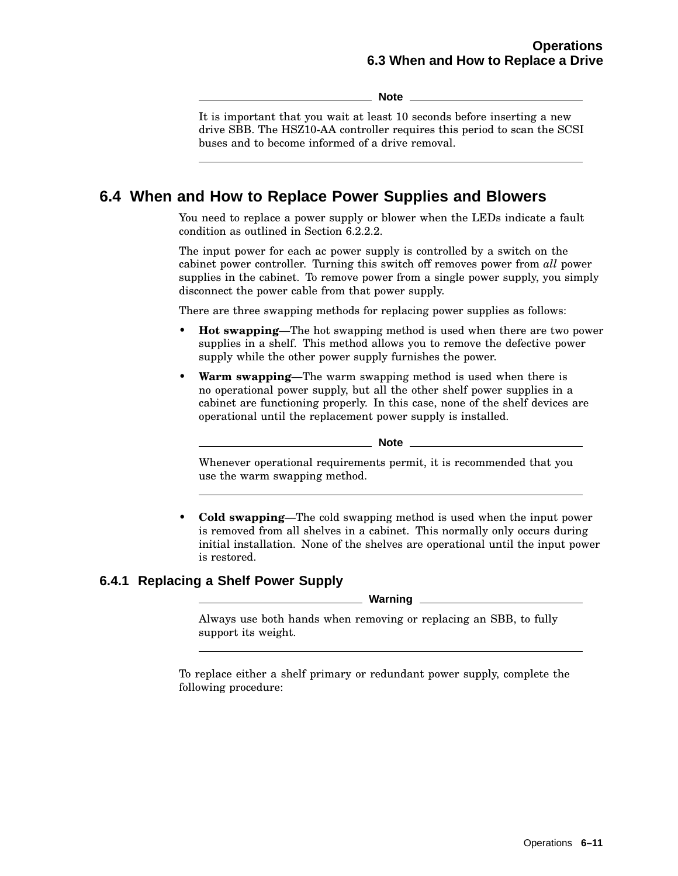**Note**

It is important that you wait at least 10 seconds before inserting a new drive SBB. The HSZ10-AA controller requires this period to scan the SCSI buses and to become informed of a drive removal.

## **6.4 When and How to Replace Power Supplies and Blowers**

You need to replace a power supply or blower when the LEDs indicate a fault condition as outlined in Section 6.2.2.2.

The input power for each ac power supply is controlled by a switch on the cabinet power controller. Turning this switch off removes power from *all* power supplies in the cabinet. To remove power from a single power supply, you simply disconnect the power cable from that power supply.

There are three swapping methods for replacing power supplies as follows:

- **Hot swapping**—The hot swapping method is used when there are two power supplies in a shelf. This method allows you to remove the defective power supply while the other power supply furnishes the power.
- **Warm swapping**—The warm swapping method is used when there is no operational power supply, but all the other shelf power supplies in a cabinet are functioning properly. In this case, none of the shelf devices are operational until the replacement power supply is installed.

**Note** \_\_\_\_\_\_\_

Whenever operational requirements permit, it is recommended that you use the warm swapping method.

• **Cold swapping**—The cold swapping method is used when the input power is removed from all shelves in a cabinet. This normally only occurs during initial installation. None of the shelves are operational until the input power is restored.

## **6.4.1 Replacing a Shelf Power Supply**

**Warning**

Always use both hands when removing or replacing an SBB, to fully support its weight.

To replace either a shelf primary or redundant power supply, complete the following procedure: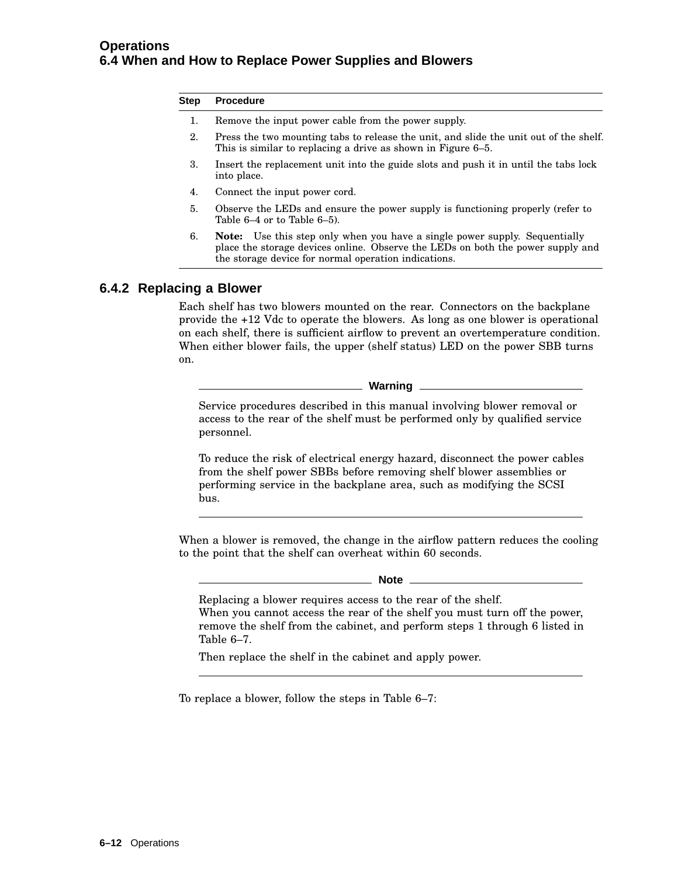#### **Step Procedure**

- 1. Remove the input power cable from the power supply.
- 2. Press the two mounting tabs to release the unit, and slide the unit out of the shelf. This is similar to replacing a drive as shown in Figure 6–5.
- 3. Insert the replacement unit into the guide slots and push it in until the tabs lock into place.
- 4. Connect the input power cord.
- 5. Observe the LEDs and ensure the power supply is functioning properly (refer to Table 6–4 or to Table 6–5).
- 6. **Note:** Use this step only when you have a single power supply. Sequentially place the storage devices online. Observe the LEDs on both the power supply and the storage device for normal operation indications.

## **6.4.2 Replacing a Blower**

Each shelf has two blowers mounted on the rear. Connectors on the backplane provide the +12 Vdc to operate the blowers. As long as one blower is operational on each shelf, there is sufficient airflow to prevent an overtemperature condition. When either blower fails, the upper (shelf status) LED on the power SBB turns on.

**Warning**

Service procedures described in this manual involving blower removal or access to the rear of the shelf must be performed only by qualified service personnel.

To reduce the risk of electrical energy hazard, disconnect the power cables from the shelf power SBBs before removing shelf blower assemblies or performing service in the backplane area, such as modifying the SCSI bus.

When a blower is removed, the change in the airflow pattern reduces the cooling to the point that the shelf can overheat within 60 seconds.

#### **Note**

Replacing a blower requires access to the rear of the shelf. When you cannot access the rear of the shelf you must turn off the power, remove the shelf from the cabinet, and perform steps 1 through 6 listed in Table 6–7.

Then replace the shelf in the cabinet and apply power.

To replace a blower, follow the steps in Table 6–7: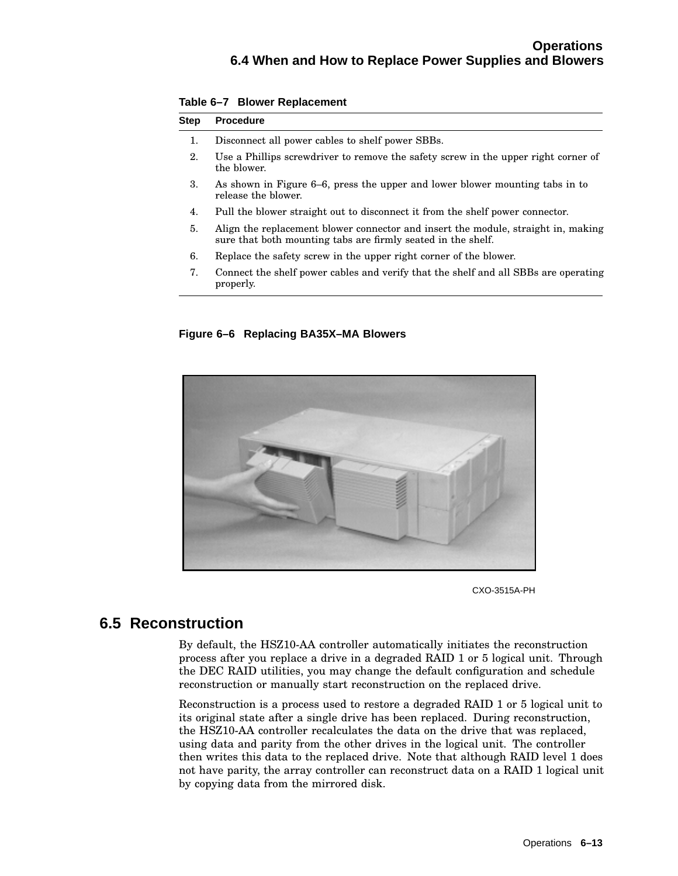| <b>Step</b> | <b>Procedure</b>                                                                                                                                  |
|-------------|---------------------------------------------------------------------------------------------------------------------------------------------------|
| 1.          | Disconnect all power cables to shelf power SBBs.                                                                                                  |
| 2.          | Use a Phillips screwdriver to remove the safety screw in the upper right corner of<br>the blower.                                                 |
| 3.          | As shown in Figure 6–6, press the upper and lower blower mounting tabs in to<br>release the blower.                                               |
| 4.          | Pull the blower straight out to disconnect it from the shelf power connector.                                                                     |
| 5.          | Align the replacement blower connector and insert the module, straight in, making<br>sure that both mounting tabs are firmly seated in the shelf. |
| 6.          | Replace the safety screw in the upper right corner of the blower.                                                                                 |
| 7.          | Connect the shelf power cables and verify that the shelf and all SBBs are operating                                                               |

**Table 6–7 Blower Replacement**

properly.

**Figure 6–6 Replacing BA35X–MA Blowers**



CXO-3515A-PH

## **6.5 Reconstruction**

By default, the HSZ10-AA controller automatically initiates the reconstruction process after you replace a drive in a degraded RAID 1 or 5 logical unit. Through the DEC RAID utilities, you may change the default configuration and schedule reconstruction or manually start reconstruction on the replaced drive.

Reconstruction is a process used to restore a degraded RAID 1 or 5 logical unit to its original state after a single drive has been replaced. During reconstruction, the HSZ10-AA controller recalculates the data on the drive that was replaced, using data and parity from the other drives in the logical unit. The controller then writes this data to the replaced drive. Note that although RAID level 1 does not have parity, the array controller can reconstruct data on a RAID 1 logical unit by copying data from the mirrored disk.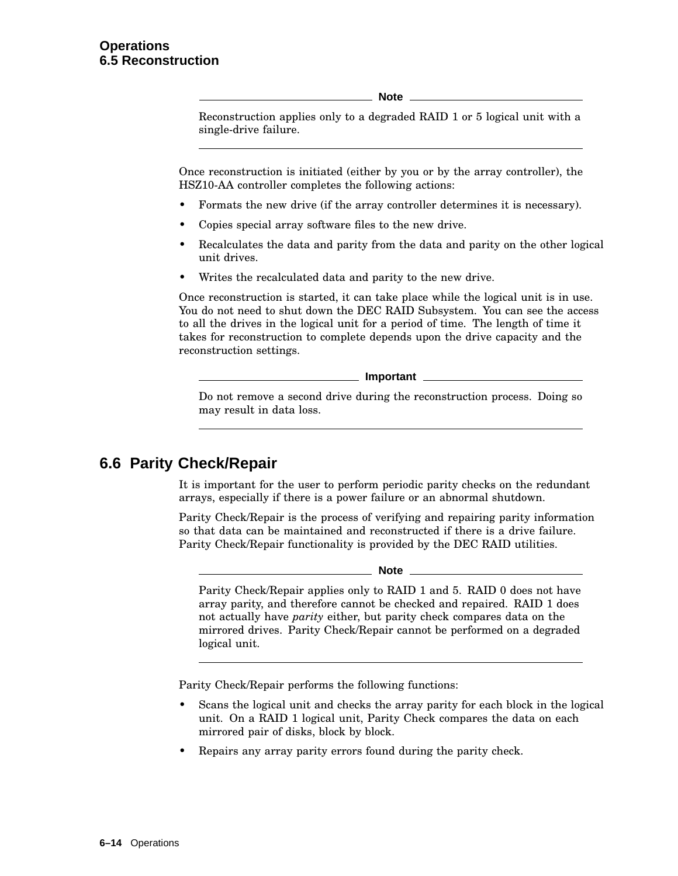**Note**

Reconstruction applies only to a degraded RAID 1 or 5 logical unit with a single-drive failure.

Once reconstruction is initiated (either by you or by the array controller), the HSZ10-AA controller completes the following actions:

- Formats the new drive (if the array controller determines it is necessary).
- Copies special array software files to the new drive.
- Recalculates the data and parity from the data and parity on the other logical unit drives.
- Writes the recalculated data and parity to the new drive.

Once reconstruction is started, it can take place while the logical unit is in use. You do not need to shut down the DEC RAID Subsystem. You can see the access to all the drives in the logical unit for a period of time. The length of time it takes for reconstruction to complete depends upon the drive capacity and the reconstruction settings.

**Important**

Do not remove a second drive during the reconstruction process. Doing so may result in data loss.

## **6.6 Parity Check/Repair**

It is important for the user to perform periodic parity checks on the redundant arrays, especially if there is a power failure or an abnormal shutdown.

Parity Check/Repair is the process of verifying and repairing parity information so that data can be maintained and reconstructed if there is a drive failure. Parity Check/Repair functionality is provided by the DEC RAID utilities.

#### **Note** 2008

Parity Check/Repair applies only to RAID 1 and 5. RAID 0 does not have array parity, and therefore cannot be checked and repaired. RAID 1 does not actually have *parity* either, but parity check compares data on the mirrored drives. Parity Check/Repair cannot be performed on a degraded logical unit.

Parity Check/Repair performs the following functions:

- Scans the logical unit and checks the array parity for each block in the logical unit. On a RAID 1 logical unit, Parity Check compares the data on each mirrored pair of disks, block by block.
- Repairs any array parity errors found during the parity check.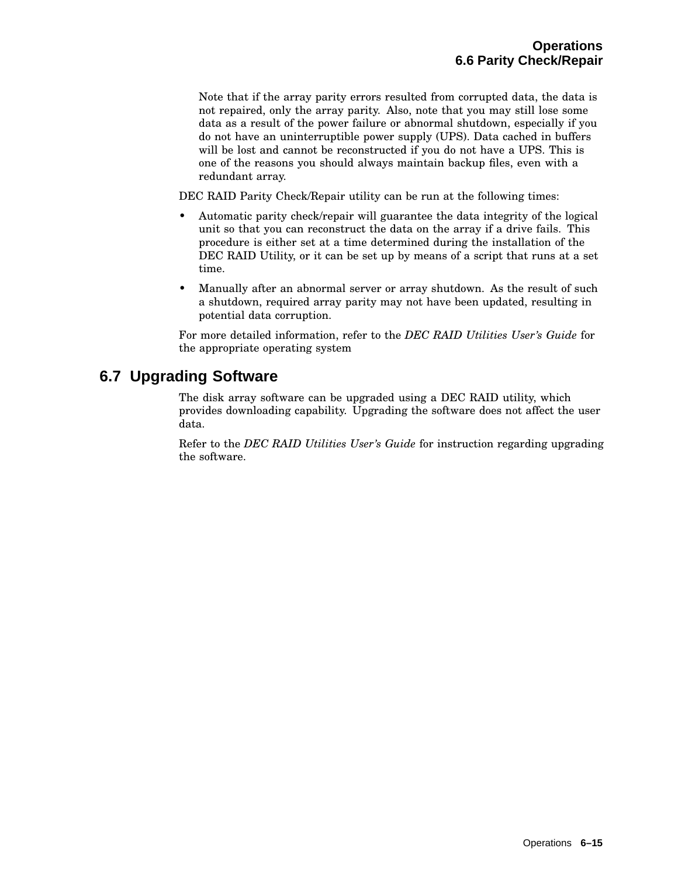Note that if the array parity errors resulted from corrupted data, the data is not repaired, only the array parity. Also, note that you may still lose some data as a result of the power failure or abnormal shutdown, especially if you do not have an uninterruptible power supply (UPS). Data cached in buffers will be lost and cannot be reconstructed if you do not have a UPS. This is one of the reasons you should always maintain backup files, even with a redundant array.

DEC RAID Parity Check/Repair utility can be run at the following times:

- Automatic parity check/repair will guarantee the data integrity of the logical unit so that you can reconstruct the data on the array if a drive fails. This procedure is either set at a time determined during the installation of the DEC RAID Utility, or it can be set up by means of a script that runs at a set time.
- Manually after an abnormal server or array shutdown. As the result of such a shutdown, required array parity may not have been updated, resulting in potential data corruption.

For more detailed information, refer to the *DEC RAID Utilities User's Guide* for the appropriate operating system

## **6.7 Upgrading Software**

The disk array software can be upgraded using a DEC RAID utility, which provides downloading capability. Upgrading the software does not affect the user data.

Refer to the *DEC RAID Utilities User's Guide* for instruction regarding upgrading the software.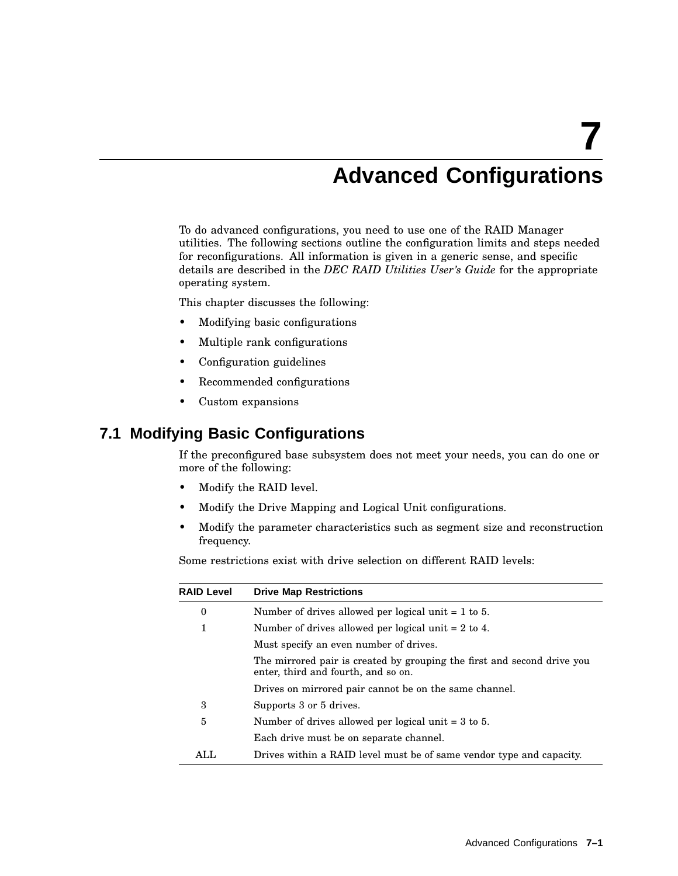# **7 Advanced Configurations**

To do advanced configurations, you need to use one of the RAID Manager utilities. The following sections outline the configuration limits and steps needed for reconfigurations. All information is given in a generic sense, and specific details are described in the *DEC RAID Utilities User's Guide* for the appropriate operating system.

This chapter discusses the following:

- Modifying basic configurations
- Multiple rank configurations
- Configuration guidelines
- Recommended configurations
- Custom expansions

## **7.1 Modifying Basic Configurations**

If the preconfigured base subsystem does not meet your needs, you can do one or more of the following:

- Modify the RAID level.
- Modify the Drive Mapping and Logical Unit configurations.
- Modify the parameter characteristics such as segment size and reconstruction frequency.

Some restrictions exist with drive selection on different RAID levels:

| <b>RAID Level</b> | <b>Drive Map Restrictions</b>                                                                                  |
|-------------------|----------------------------------------------------------------------------------------------------------------|
| 0                 | Number of drives allowed per logical unit $= 1$ to 5.                                                          |
| 1                 | Number of drives allowed per logical unit $= 2$ to 4.                                                          |
|                   | Must specify an even number of drives.                                                                         |
|                   | The mirrored pair is created by grouping the first and second drive you<br>enter, third and fourth, and so on. |
|                   | Drives on mirrored pair cannot be on the same channel.                                                         |
| 3                 | Supports 3 or 5 drives.                                                                                        |
| 5                 | Number of drives allowed per logical unit $=$ 3 to 5.                                                          |
|                   | Each drive must be on separate channel.                                                                        |
| ALL               | Drives within a RAID level must be of same vendor type and capacity.                                           |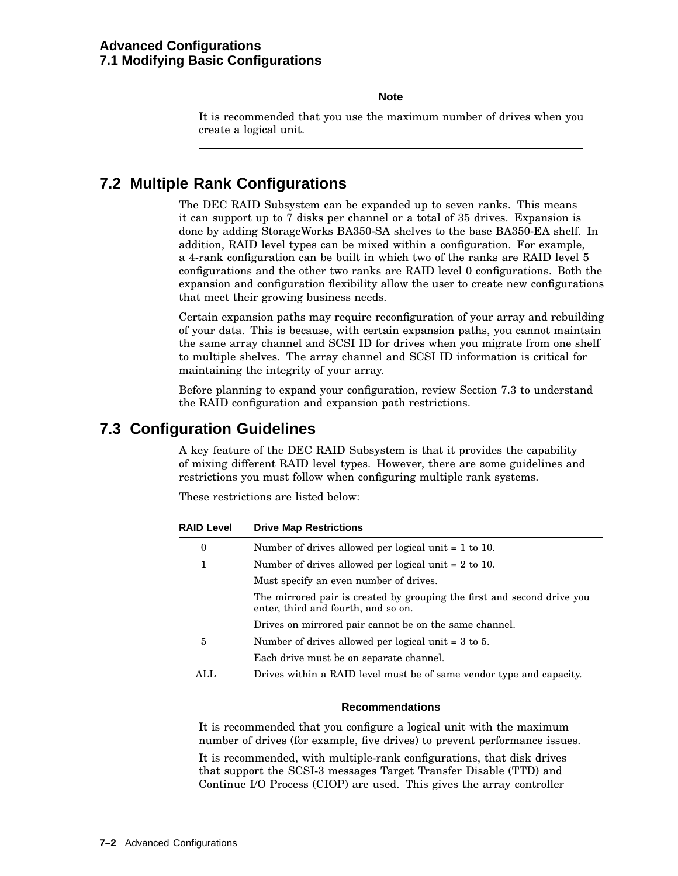**Note**

It is recommended that you use the maximum number of drives when you create a logical unit.

## **7.2 Multiple Rank Configurations**

The DEC RAID Subsystem can be expanded up to seven ranks. This means it can support up to 7 disks per channel or a total of 35 drives. Expansion is done by adding StorageWorks BA350-SA shelves to the base BA350-EA shelf. In addition, RAID level types can be mixed within a configuration. For example, a 4-rank configuration can be built in which two of the ranks are RAID level 5 configurations and the other two ranks are RAID level 0 configurations. Both the expansion and configuration flexibility allow the user to create new configurations that meet their growing business needs.

Certain expansion paths may require reconfiguration of your array and rebuilding of your data. This is because, with certain expansion paths, you cannot maintain the same array channel and SCSI ID for drives when you migrate from one shelf to multiple shelves. The array channel and SCSI ID information is critical for maintaining the integrity of your array.

Before planning to expand your configuration, review Section 7.3 to understand the RAID configuration and expansion path restrictions.

## **7.3 Configuration Guidelines**

A key feature of the DEC RAID Subsystem is that it provides the capability of mixing different RAID level types. However, there are some guidelines and restrictions you must follow when configuring multiple rank systems.

These restrictions are listed below:

| <b>RAID Level</b> | <b>Drive Map Restrictions</b>                                                                                  |
|-------------------|----------------------------------------------------------------------------------------------------------------|
| 0                 | Number of drives allowed per logical unit $= 1$ to 10.                                                         |
| 1                 | Number of drives allowed per logical unit $= 2$ to 10.                                                         |
|                   | Must specify an even number of drives.                                                                         |
|                   | The mirrored pair is created by grouping the first and second drive you<br>enter, third and fourth, and so on. |
|                   | Drives on mirrored pair cannot be on the same channel.                                                         |
| 5                 | Number of drives allowed per logical unit $=$ 3 to 5.                                                          |
|                   | Each drive must be on separate channel.                                                                        |
| ATJ <sub>1</sub>  | Drives within a RAID level must be of same vendor type and capacity.                                           |

#### **Recommendations**

It is recommended that you configure a logical unit with the maximum number of drives (for example, five drives) to prevent performance issues.

It is recommended, with multiple-rank configurations, that disk drives that support the SCSI-3 messages Target Transfer Disable (TTD) and Continue I/O Process (CIOP) are used. This gives the array controller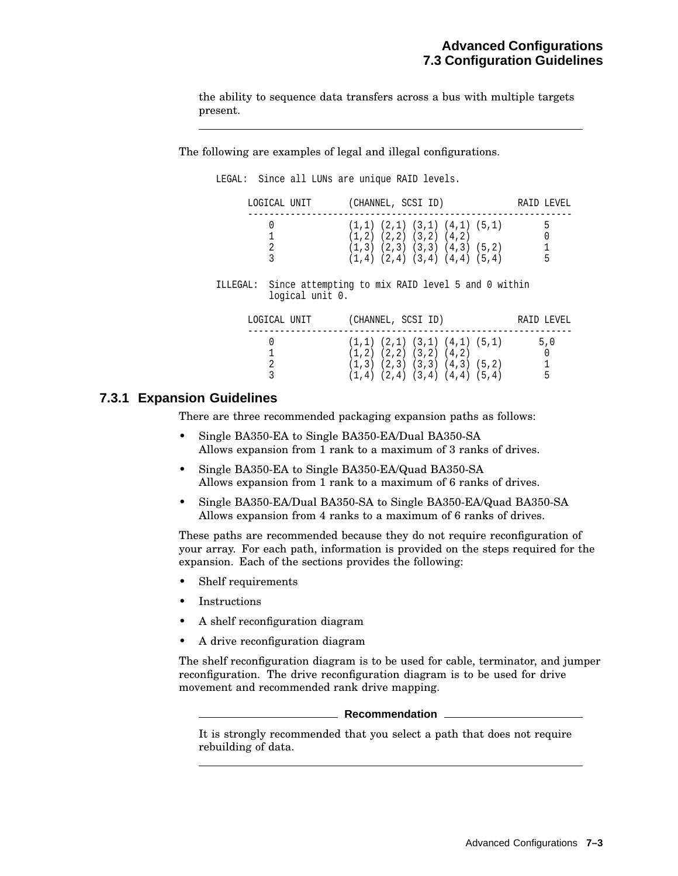the ability to sequence data transfers across a bus with multiple targets present.

The following are examples of legal and illegal configurations.

LEGAL: Since all LUNs are unique RAID levels.

|          | LOGICAL UNIT    | (CHANNEL, SCSI ID)                                                                                                                                               | RAID LEVEL |
|----------|-----------------|------------------------------------------------------------------------------------------------------------------------------------------------------------------|------------|
|          | 0<br>2<br>3     | $(1,1)$ $(2,1)$ $(3,1)$ $(4,1)$ $(5,1)$<br>$(1,2)$ $(2,2)$ $(3,2)$ $(4,2)$<br>$(1,3)$ $(2,3)$ $(3,3)$ $(4,3)$ $(5,2)$<br>$(1,4)$ $(2,4)$ $(3,4)$ $(4,4)$ $(5,4)$ | 5<br>5     |
| ILLEGAL: | logical unit 0. | Since attempting to mix RAID level 5 and 0 within                                                                                                                |            |
|          | LOGICAL UNIT    | (CHANNEL, SCSI ID)                                                                                                                                               | RAID LEVEL |
|          |                 | $(1,1)$ $(2,1)$ $(3,1)$ $(4,1)$ $(5,1)$<br>$(1,2)$ $(2,2)$ $(3,2)$ $(4,2)$<br>$(1,3)$ $(2,3)$ $(3,3)$ $(4,3)$ $(5,2)$<br>$(1,4)$ $(2,4)$ $(3,4)$ $(4,4)$ $(5,4)$ | 5,0<br>5   |

## **7.3.1 Expansion Guidelines**

There are three recommended packaging expansion paths as follows:

- Single BA350-EA to Single BA350-EA/Dual BA350-SA Allows expansion from 1 rank to a maximum of 3 ranks of drives.
- Single BA350-EA to Single BA350-EA/Quad BA350-SA Allows expansion from 1 rank to a maximum of 6 ranks of drives.
- Single BA350-EA/Dual BA350-SA to Single BA350-EA/Quad BA350-SA Allows expansion from 4 ranks to a maximum of 6 ranks of drives.

These paths are recommended because they do not require reconfiguration of your array. For each path, information is provided on the steps required for the expansion. Each of the sections provides the following:

- Shelf requirements
- **Instructions**
- A shelf reconfiguration diagram
- A drive reconfiguration diagram

The shelf reconfiguration diagram is to be used for cable, terminator, and jumper reconfiguration. The drive reconfiguration diagram is to be used for drive movement and recommended rank drive mapping.

**Recommendation**

It is strongly recommended that you select a path that does not require rebuilding of data.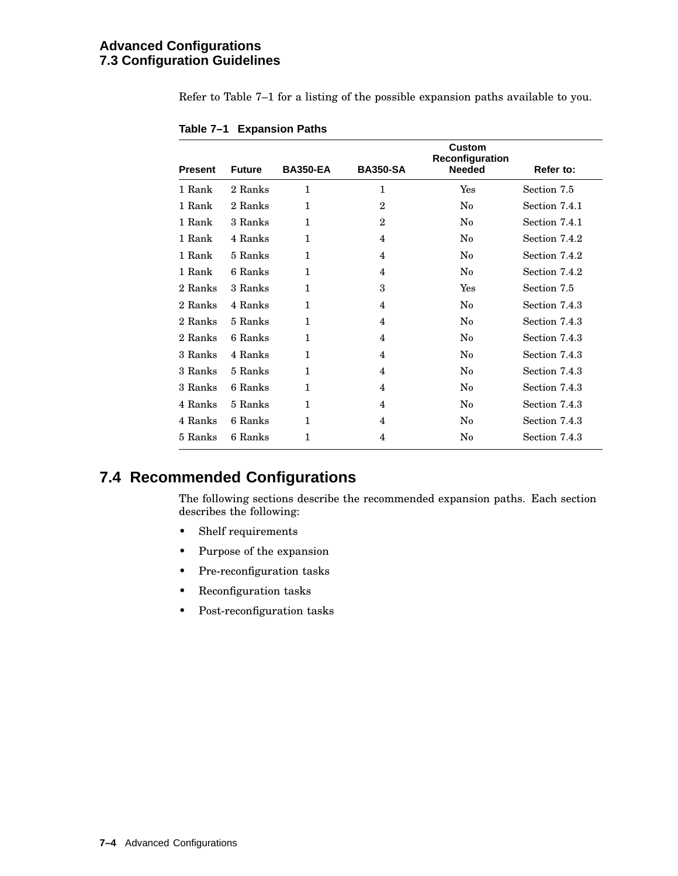## **Advanced Configurations 7.3 Configuration Guidelines**

Refer to Table 7–1 for a listing of the possible expansion paths available to you.

|                |               |                 |                 | Custom<br>Reconfiguration |               |
|----------------|---------------|-----------------|-----------------|---------------------------|---------------|
| <b>Present</b> | <b>Future</b> | <b>BA350-EA</b> | <b>BA350-SA</b> | <b>Needed</b>             | Refer to:     |
| 1 Rank         | 2 Ranks       | 1               | $\mathbf{1}$    | Yes                       | Section 7.5   |
| 1 Rank         | 2 Ranks       | 1               | $\overline{2}$  | $\rm No$                  | Section 7.4.1 |
| 1 Rank         | 3 Ranks       | $\mathbf{1}$    | $\mathbf{2}$    | $\rm No$                  | Section 7.4.1 |
| 1 Rank         | 4 Ranks       | $\mathbf{1}$    | 4               | $\rm No$                  | Section 7.4.2 |
| 1 Rank         | 5 Ranks       | $\mathbf{1}$    | 4               | $\rm No$                  | Section 7.4.2 |
| 1 Rank         | 6 Ranks       | $\mathbf{1}$    | 4               | $\rm No$                  | Section 7.4.2 |
| 2 Ranks        | 3 Ranks       | $\mathbf{1}$    | 3               | Yes                       | Section 7.5   |
| 2 Ranks        | 4 Ranks       | 1               | 4               | $\rm No$                  | Section 7.4.3 |
| 2 Ranks        | 5 Ranks       | 1               | 4               | $\rm No$                  | Section 7.4.3 |
| 2 Ranks        | 6 Ranks       | 1               | 4               | $\rm No$                  | Section 7.4.3 |
| 3 Ranks        | 4 Ranks       | 1               | 4               | $\rm No$                  | Section 7.4.3 |
| 3 Ranks        | 5 Ranks       | $\mathbf{1}$    | 4               | $\rm No$                  | Section 7.4.3 |
| 3 Ranks        | 6 Ranks       | 1               | 4               | No                        | Section 7.4.3 |
| 4 Ranks        | 5 Ranks       | 1               | 4               | $\rm No$                  | Section 7.4.3 |
| 4 Ranks        | 6 Ranks       | 1               | 4               | N <sub>0</sub>            | Section 7.4.3 |
| 5 Ranks        | 6 Ranks       | 1               | 4               | No                        | Section 7.4.3 |

**Table 7–1 Expansion Paths**

## **7.4 Recommended Configurations**

The following sections describe the recommended expansion paths. Each section describes the following:

- Shelf requirements
- Purpose of the expansion
- Pre-reconfiguration tasks
- Reconfiguration tasks
- Post-reconfiguration tasks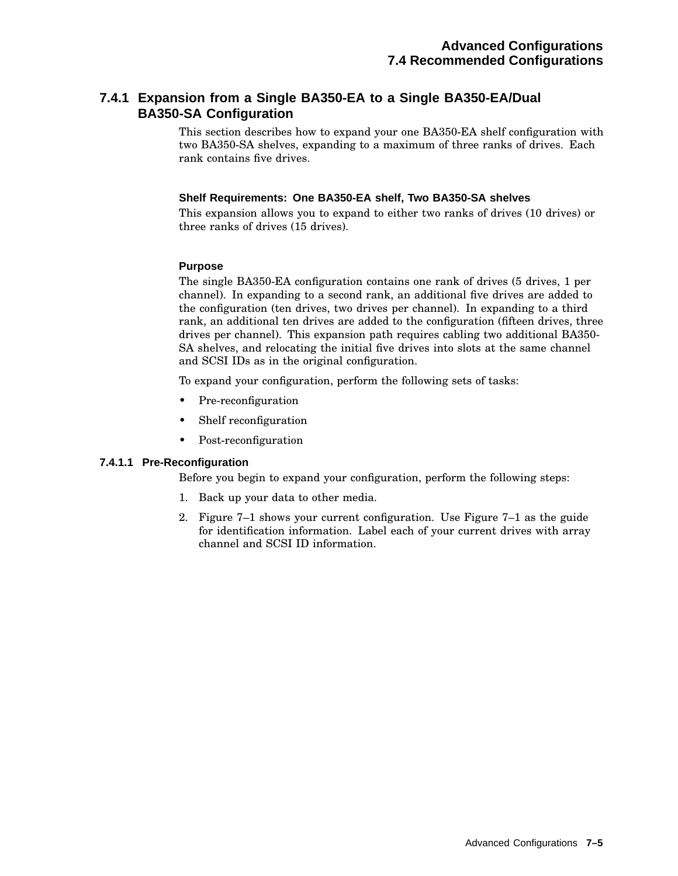## **7.4.1 Expansion from a Single BA350-EA to a Single BA350-EA/Dual BA350-SA Configuration**

This section describes how to expand your one BA350-EA shelf configuration with two BA350-SA shelves, expanding to a maximum of three ranks of drives. Each rank contains five drives.

#### **Shelf Requirements: One BA350-EA shelf, Two BA350-SA shelves**

This expansion allows you to expand to either two ranks of drives (10 drives) or three ranks of drives (15 drives).

## **Purpose**

The single BA350-EA configuration contains one rank of drives (5 drives, 1 per channel). In expanding to a second rank, an additional five drives are added to the configuration (ten drives, two drives per channel). In expanding to a third rank, an additional ten drives are added to the configuration (fifteen drives, three drives per channel). This expansion path requires cabling two additional BA350- SA shelves, and relocating the initial five drives into slots at the same channel and SCSI IDs as in the original configuration.

To expand your configuration, perform the following sets of tasks:

- Pre-reconfiguration
- Shelf reconfiguration
- Post-reconfiguration

#### **7.4.1.1 Pre-Reconfiguration**

Before you begin to expand your configuration, perform the following steps:

- 1. Back up your data to other media.
- 2. Figure 7–1 shows your current configuration. Use Figure 7–1 as the guide for identification information. Label each of your current drives with array channel and SCSI ID information.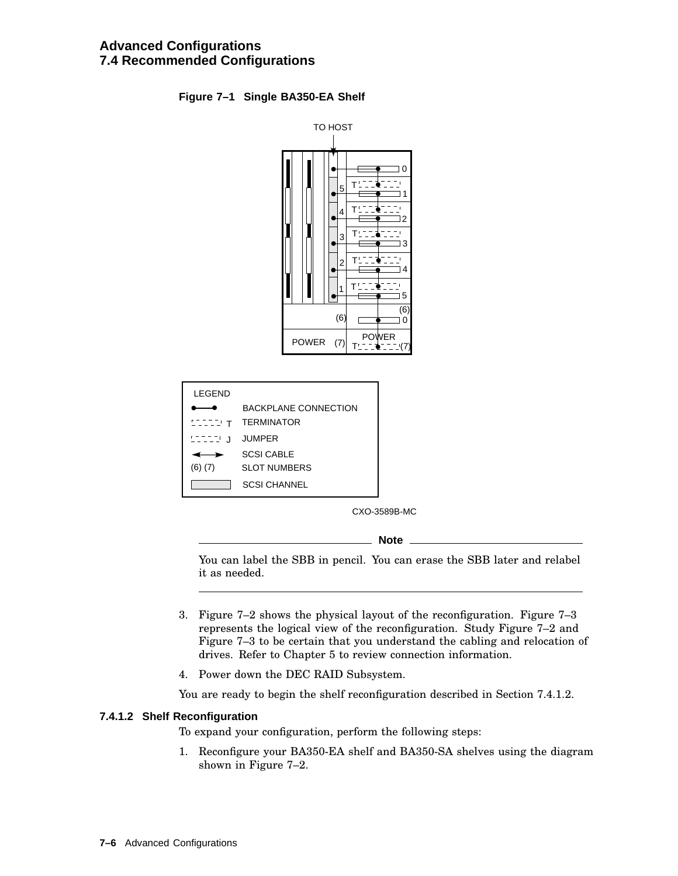## **Figure 7–1 Single BA350-EA Shelf**



| LEGEND      |                             |
|-------------|-----------------------------|
|             | <b>BACKPLANE CONNECTION</b> |
| STITU T     | <b>TERMINATOR</b>           |
| STITU J     | <b>JUMPER</b>               |
|             | <b>SCSI CABLE</b>           |
| $(6)$ $(7)$ | <b>SLOT NUMBERS</b>         |
|             | SCSI CHANNEL                |

CXO-3589B-MC

**Note**

You can label the SBB in pencil. You can erase the SBB later and relabel it as needed.

- 3. Figure 7–2 shows the physical layout of the reconfiguration. Figure 7–3 represents the logical view of the reconfiguration. Study Figure 7–2 and Figure 7–3 to be certain that you understand the cabling and relocation of drives. Refer to Chapter 5 to review connection information.
- 4. Power down the DEC RAID Subsystem.

You are ready to begin the shelf reconfiguration described in Section 7.4.1.2.

#### **7.4.1.2 Shelf Reconfiguration**

To expand your configuration, perform the following steps:

1. Reconfigure your BA350-EA shelf and BA350-SA shelves using the diagram shown in Figure 7–2.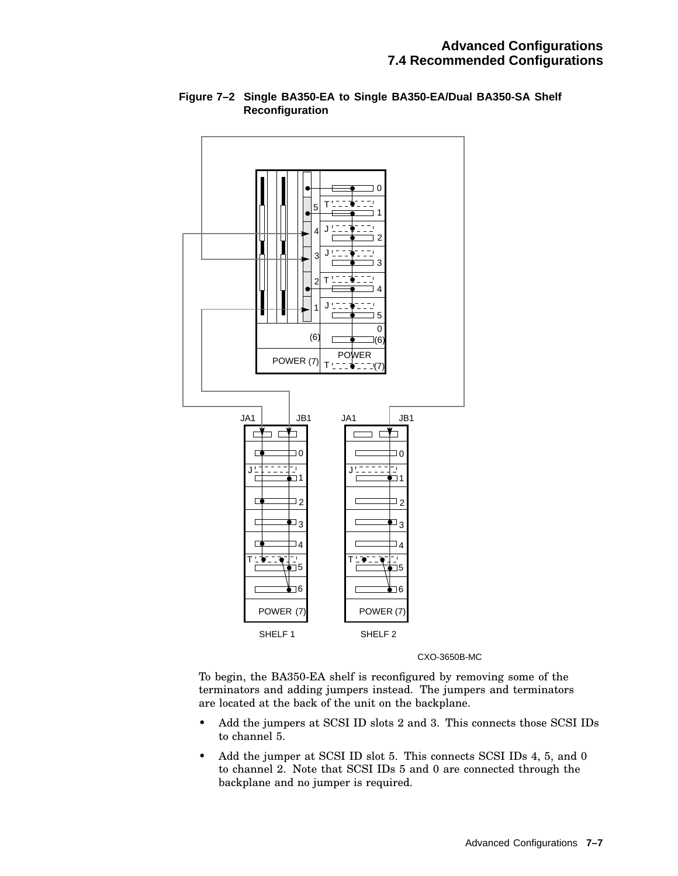

## **Figure 7–2 Single BA350-EA to Single BA350-EA/Dual BA350-SA Shelf Reconfiguration**

CXO-3650B-MC

To begin, the BA350-EA shelf is reconfigured by removing some of the terminators and adding jumpers instead. The jumpers and terminators are located at the back of the unit on the backplane.

- Add the jumpers at SCSI ID slots 2 and 3. This connects those SCSI IDs to channel 5.
- Add the jumper at SCSI ID slot 5. This connects SCSI IDs 4, 5, and 0 to channel 2. Note that SCSI IDs 5 and 0 are connected through the backplane and no jumper is required.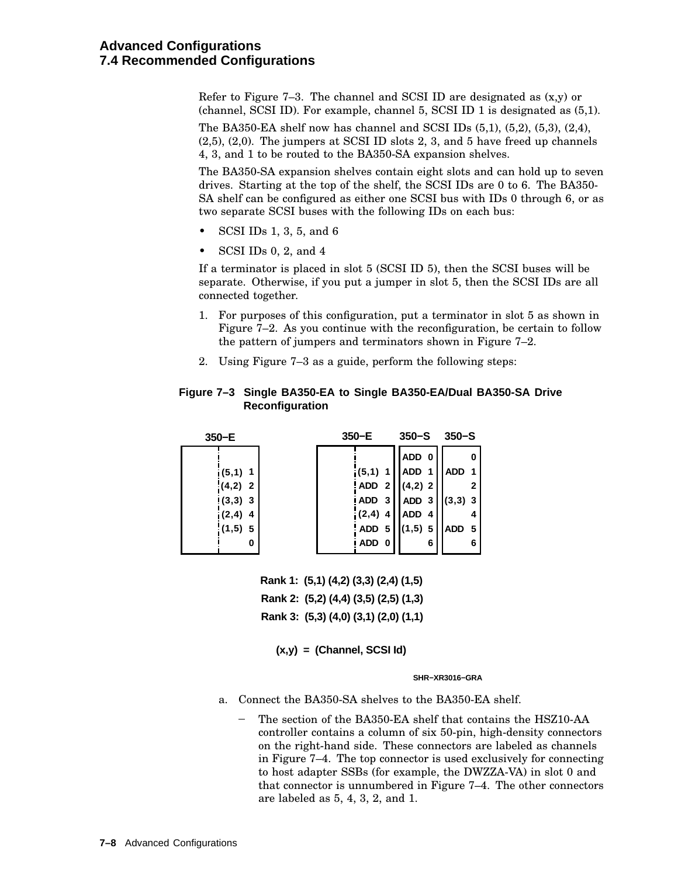Refer to Figure  $7-3$ . The channel and SCSI ID are designated as  $(x,y)$  or (channel, SCSI ID). For example, channel 5, SCSI ID 1 is designated as (5,1).

The BA350-EA shelf now has channel and SCSI IDs (5,1), (5,2), (5,3), (2,4), (2,5), (2,0). The jumpers at SCSI ID slots 2, 3, and 5 have freed up channels 4, 3, and 1 to be routed to the BA350-SA expansion shelves.

The BA350-SA expansion shelves contain eight slots and can hold up to seven drives. Starting at the top of the shelf, the SCSI IDs are 0 to 6. The BA350- SA shelf can be configured as either one SCSI bus with IDs 0 through 6, or as two separate SCSI buses with the following IDs on each bus:

- SCSI IDs 1, 3, 5, and 6
- SCSI IDs 0, 2, and 4

If a terminator is placed in slot 5 (SCSI ID 5), then the SCSI buses will be separate. Otherwise, if you put a jumper in slot 5, then the SCSI IDs are all connected together.

- 1. For purposes of this configuration, put a terminator in slot 5 as shown in Figure 7–2. As you continue with the reconfiguration, be certain to follow the pattern of jumpers and terminators shown in Figure 7–2.
- 2. Using Figure 7–3 as a guide, perform the following steps:

#### **Figure 7–3 Single BA350-EA to Single BA350-EA/Dual BA350-SA Drive Reconfiguration**

| $350-E$    | $350-E$   |           | $350 - S$               |  |
|------------|-----------|-----------|-------------------------|--|
|            |           | ADD 0     |                         |  |
| $i(5,1)$ 1 | $(5,1)$ 1 | ADD 1     | ADD 1                   |  |
| $(4,2)$ 2  | $ ADD_2 $ | $(4,2)$ 2 | $\overline{\mathbf{2}}$ |  |
| $(3,3)$ 3  | iADD 3    | $ADD$ 3   | $(3,3)$ 3               |  |
| $i(2,4)$ 4 | $(2,4)$ 4 | ADD 4     |                         |  |
| $(1,5)$ 5  | ADD 5     | $(1,5)$ 5 | IADD 5                  |  |
| 0          | ! ADD 0   | 6         | 6                       |  |

**Rank 1: (5,1) (4,2) (3,3) (2,4) (1,5) Rank 2: (5,2) (4,4) (3,5) (2,5) (1,3) Rank 3: (5,3) (4,0) (3,1) (2,0) (1,1)**

**(x,y) = (Channel, SCSI Id)**

**SHR−XR3016−GRA**

- a. Connect the BA350-SA shelves to the BA350-EA shelf.
	- The section of the BA350-EA shelf that contains the HSZ10-AA controller contains a column of six 50-pin, high-density connectors on the right-hand side. These connectors are labeled as channels in Figure 7–4. The top connector is used exclusively for connecting to host adapter SSBs (for example, the DWZZA-VA) in slot 0 and that connector is unnumbered in Figure 7–4. The other connectors are labeled as 5, 4, 3, 2, and 1.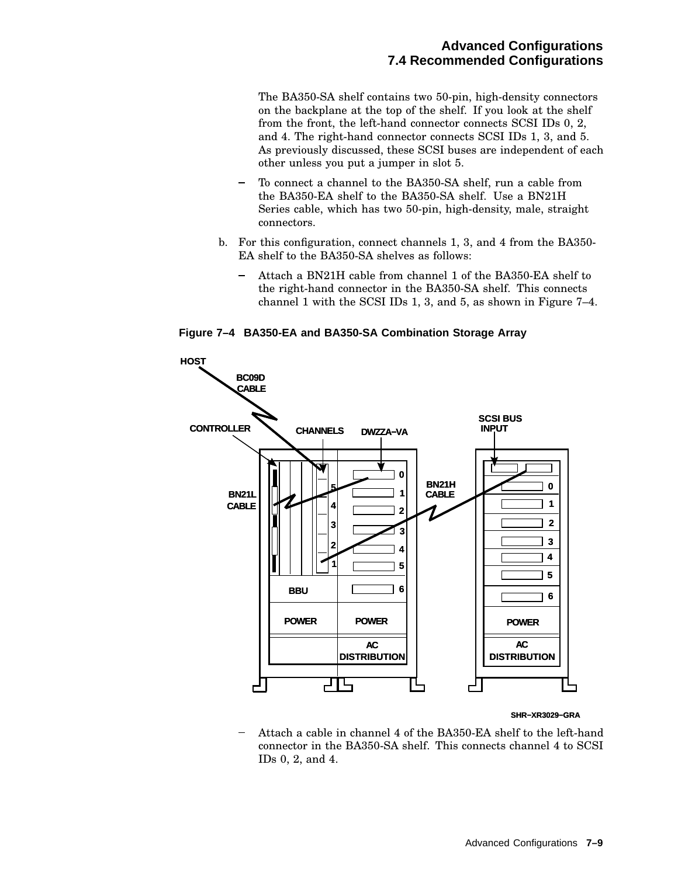The BA350-SA shelf contains two 50-pin, high-density connectors on the backplane at the top of the shelf. If you look at the shelf from the front, the left-hand connector connects SCSI IDs 0, 2, and 4. The right-hand connector connects SCSI IDs 1, 3, and 5. As previously discussed, these SCSI buses are independent of each other unless you put a jumper in slot 5.

- To connect a channel to the BA350-SA shelf, run a cable from the BA350-EA shelf to the BA350-SA shelf. Use a BN21H Series cable, which has two 50-pin, high-density, male, straight connectors.
- b. For this configuration, connect channels 1, 3, and 4 from the BA350- EA shelf to the BA350-SA shelves as follows:
	- Attach a BN21H cable from channel 1 of the BA350-EA shelf to  $\overline{\phantom{0}}$ the right-hand connector in the BA350-SA shelf. This connects channel 1 with the SCSI IDs 1, 3, and 5, as shown in Figure 7–4.

**Figure 7–4 BA350-EA and BA350-SA Combination Storage Array**



#### **SHR−XR3029−GRA**

Attach a cable in channel 4 of the BA350-EA shelf to the left-hand connector in the BA350-SA shelf. This connects channel 4 to SCSI IDs 0, 2, and 4.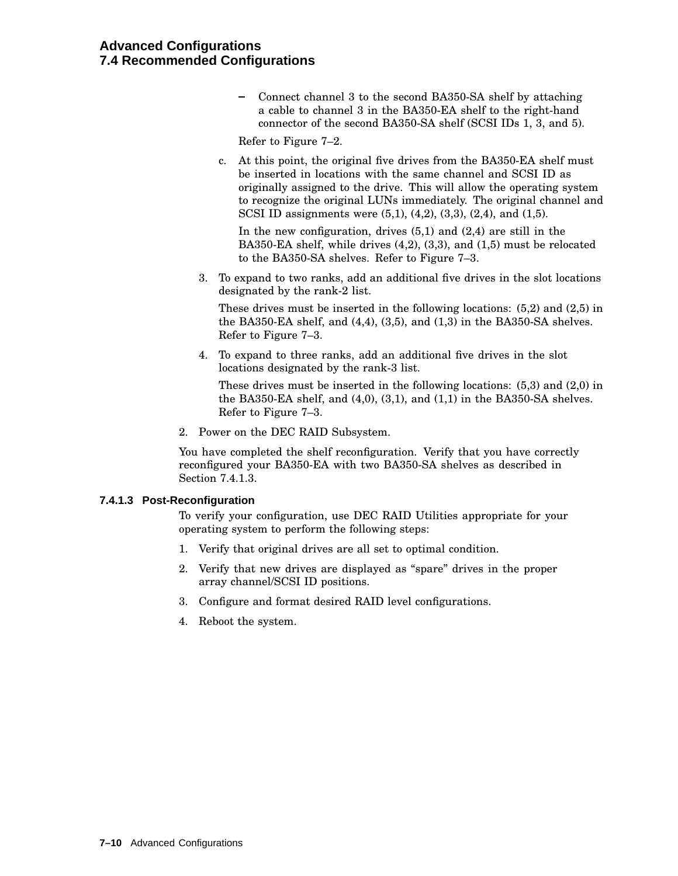## **Advanced Configurations 7.4 Recommended Configurations**

Connect channel 3 to the second BA350-SA shelf by attaching a cable to channel 3 in the BA350-EA shelf to the right-hand connector of the second BA350-SA shelf (SCSI IDs 1, 3, and 5).

Refer to Figure 7–2.

c. At this point, the original five drives from the BA350-EA shelf must be inserted in locations with the same channel and SCSI ID as originally assigned to the drive. This will allow the operating system to recognize the original LUNs immediately. The original channel and SCSI ID assignments were (5,1), (4,2), (3,3), (2,4), and (1,5).

In the new configuration, drives (5,1) and (2,4) are still in the BA350-EA shelf, while drives (4,2), (3,3), and (1,5) must be relocated to the BA350-SA shelves. Refer to Figure 7–3.

3. To expand to two ranks, add an additional five drives in the slot locations designated by the rank-2 list.

These drives must be inserted in the following locations: (5,2) and (2,5) in the BA350-EA shelf, and (4,4), (3,5), and (1,3) in the BA350-SA shelves. Refer to Figure 7–3.

4. To expand to three ranks, add an additional five drives in the slot locations designated by the rank-3 list.

These drives must be inserted in the following locations: (5,3) and (2,0) in the BA350-EA shelf, and (4,0), (3,1), and (1,1) in the BA350-SA shelves. Refer to Figure 7–3.

2. Power on the DEC RAID Subsystem.

You have completed the shelf reconfiguration. Verify that you have correctly reconfigured your BA350-EA with two BA350-SA shelves as described in Section 7.4.1.3.

#### **7.4.1.3 Post-Reconfiguration**

To verify your configuration, use DEC RAID Utilities appropriate for your operating system to perform the following steps:

- 1. Verify that original drives are all set to optimal condition.
- 2. Verify that new drives are displayed as ''spare'' drives in the proper array channel/SCSI ID positions.
- 3. Configure and format desired RAID level configurations.
- 4. Reboot the system.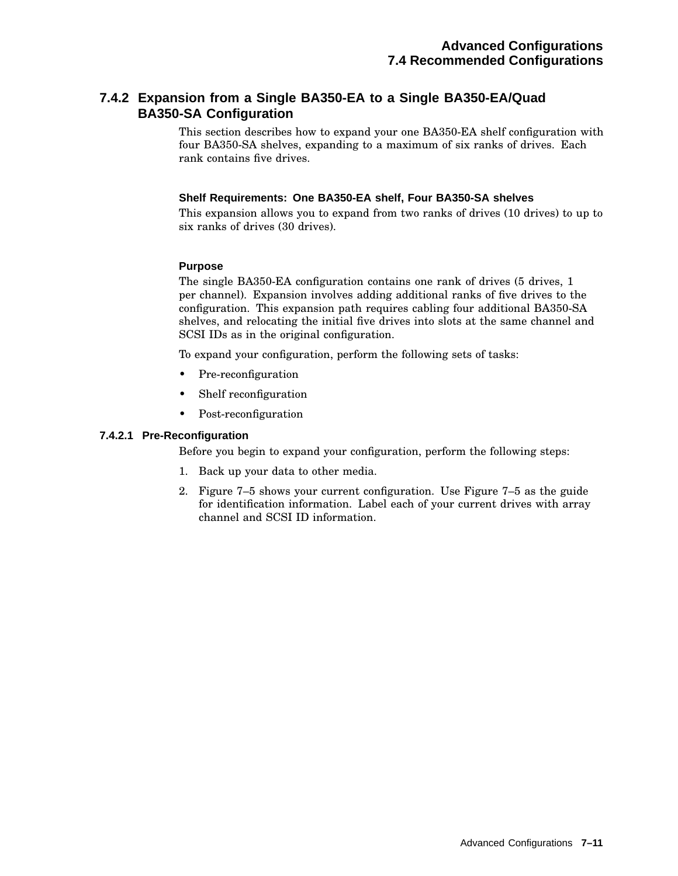## **7.4.2 Expansion from a Single BA350-EA to a Single BA350-EA/Quad BA350-SA Configuration**

This section describes how to expand your one BA350-EA shelf configuration with four BA350-SA shelves, expanding to a maximum of six ranks of drives. Each rank contains five drives.

#### **Shelf Requirements: One BA350-EA shelf, Four BA350-SA shelves**

This expansion allows you to expand from two ranks of drives (10 drives) to up to six ranks of drives (30 drives).

## **Purpose**

The single BA350-EA configuration contains one rank of drives (5 drives, 1 per channel). Expansion involves adding additional ranks of five drives to the configuration. This expansion path requires cabling four additional BA350-SA shelves, and relocating the initial five drives into slots at the same channel and SCSI IDs as in the original configuration.

To expand your configuration, perform the following sets of tasks:

- Pre-reconfiguration
- Shelf reconfiguration
- Post-reconfiguration

## **7.4.2.1 Pre-Reconfiguration**

Before you begin to expand your configuration, perform the following steps:

- 1. Back up your data to other media.
- 2. Figure 7–5 shows your current configuration. Use Figure 7–5 as the guide for identification information. Label each of your current drives with array channel and SCSI ID information.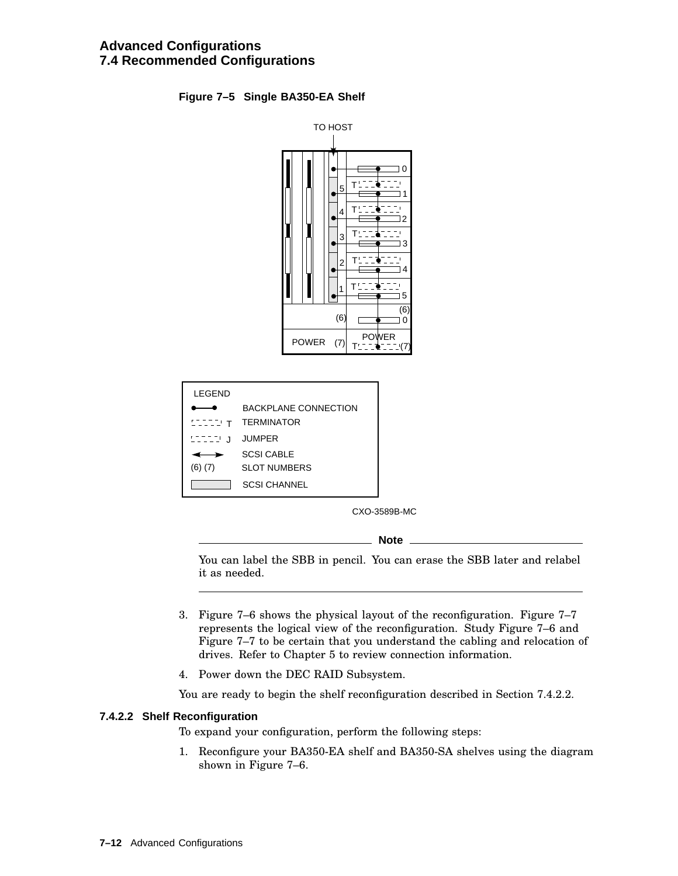## **Figure 7–5 Single BA350-EA Shelf**



| I FGFND     |                         |
|-------------|-------------------------|
|             | BACKPI ANE CONNECTION   |
|             | <b>LILIT TERMINATOR</b> |
| STITU J     | <b>JUMPER</b>           |
|             | SCSI CABLE              |
| $(6)$ $(7)$ | SLOT NUMBERS            |
|             | SCSI CHANNEL            |

CXO-3589B-MC

**Note**

You can label the SBB in pencil. You can erase the SBB later and relabel it as needed.

- 3. Figure 7–6 shows the physical layout of the reconfiguration. Figure 7–7 represents the logical view of the reconfiguration. Study Figure 7–6 and Figure 7–7 to be certain that you understand the cabling and relocation of drives. Refer to Chapter 5 to review connection information.
- 4. Power down the DEC RAID Subsystem.

You are ready to begin the shelf reconfiguration described in Section 7.4.2.2.

#### **7.4.2.2 Shelf Reconfiguration**

To expand your configuration, perform the following steps:

1. Reconfigure your BA350-EA shelf and BA350-SA shelves using the diagram shown in Figure 7–6.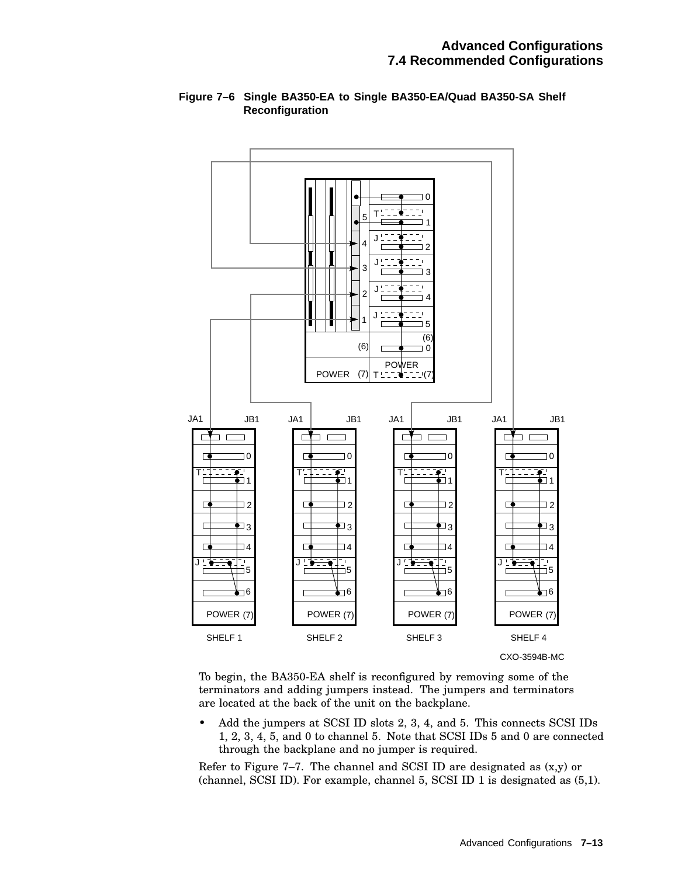

## **Figure 7–6 Single BA350-EA to Single BA350-EA/Quad BA350-SA Shelf Reconfiguration**

To begin, the BA350-EA shelf is reconfigured by removing some of the terminators and adding jumpers instead. The jumpers and terminators are located at the back of the unit on the backplane.

• Add the jumpers at SCSI ID slots 2, 3, 4, and 5. This connects SCSI IDs 1, 2, 3, 4, 5, and 0 to channel 5. Note that SCSI IDs 5 and 0 are connected through the backplane and no jumper is required.

Refer to Figure  $7-7$ . The channel and SCSI ID are designated as  $(x,y)$  or (channel, SCSI ID). For example, channel 5, SCSI ID 1 is designated as (5,1).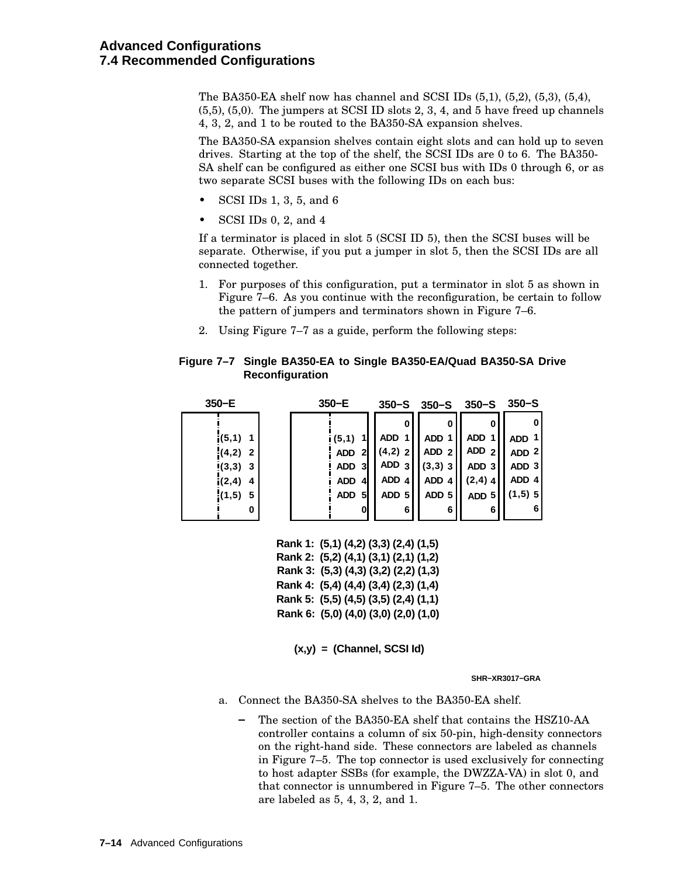The BA350-EA shelf now has channel and SCSI IDs (5,1), (5,2), (5,3), (5,4), (5,5), (5,0). The jumpers at SCSI ID slots 2, 3, 4, and 5 have freed up channels 4, 3, 2, and 1 to be routed to the BA350-SA expansion shelves.

The BA350-SA expansion shelves contain eight slots and can hold up to seven drives. Starting at the top of the shelf, the SCSI IDs are 0 to 6. The BA350- SA shelf can be configured as either one SCSI bus with IDs 0 through 6, or as two separate SCSI buses with the following IDs on each bus:

- SCSI IDs 1, 3, 5, and 6
- SCSI IDs 0, 2, and 4

If a terminator is placed in slot 5 (SCSI ID 5), then the SCSI buses will be separate. Otherwise, if you put a jumper in slot 5, then the SCSI IDs are all connected together.

- 1. For purposes of this configuration, put a terminator in slot 5 as shown in Figure 7–6. As you continue with the reconfiguration, be certain to follow the pattern of jumpers and terminators shown in Figure 7–6.
- 2. Using Figure 7–7 as a guide, perform the following steps:

#### **Figure 7–7 Single BA350-EA to Single BA350-EA/Quad BA350-SA Drive Reconfiguration**

| $350-E$     | $350-E$                    | $350 - S$        | $350 - S$        | $350-S$          | $350 - S$        |
|-------------|----------------------------|------------------|------------------|------------------|------------------|
|             |                            |                  | 0                | 0                |                  |
| $i(5,1)$ 1  | (5,1)                      | ADD <sub>1</sub> | ADD 1            | ADD <sub>1</sub> | ADD <sup>1</sup> |
| $(4,2)$ 2   | $\mathbf{2}$<br><b>ADD</b> | $(4,2)$ 2        | ADD <sub>2</sub> | ADD $2$          | ADD <sub>2</sub> |
| $(3,3)$ 3   | ADD <sub>3</sub>           | ADD <sub>3</sub> | $(3,3)$ 3        | ADD <sub>3</sub> | ADD <sub>3</sub> |
| i(2,4)<br>4 | <b>ADD</b><br>41           | ADD 4            | ADD 4            | $(2,4)$ 4        | ADD 4            |
| (1,5)<br>5  | <b>ADD</b><br>51           | ADD 5            | ADD <sub>5</sub> | ADD <sub>5</sub> | $(1,5)$ 5        |
| 0           | 0                          | 6                | 6                | 6                | -6               |

**Rank 1: (5,1) (4,2) (3,3) (2,4) (1,5) Rank 2: (5,2) (4,1) (3,1) (2,1) (1,2) Rank 3: (5,3) (4,3) (3,2) (2,2) (1,3) Rank 4: (5,4) (4,4) (3,4) (2,3) (1,4) Rank 5: (5,5) (4,5) (3,5) (2,4) (1,1) Rank 6: (5,0) (4,0) (3,0) (2,0) (1,0)**

**(x,y) = (Channel, SCSI Id)**

**SHR−XR3017−GRA**

- a. Connect the BA350-SA shelves to the BA350-EA shelf.
	- The section of the BA350-EA shelf that contains the HSZ10-AA controller contains a column of six 50-pin, high-density connectors on the right-hand side. These connectors are labeled as channels in Figure 7–5. The top connector is used exclusively for connecting to host adapter SSBs (for example, the DWZZA-VA) in slot 0, and that connector is unnumbered in Figure 7–5. The other connectors are labeled as 5, 4, 3, 2, and 1.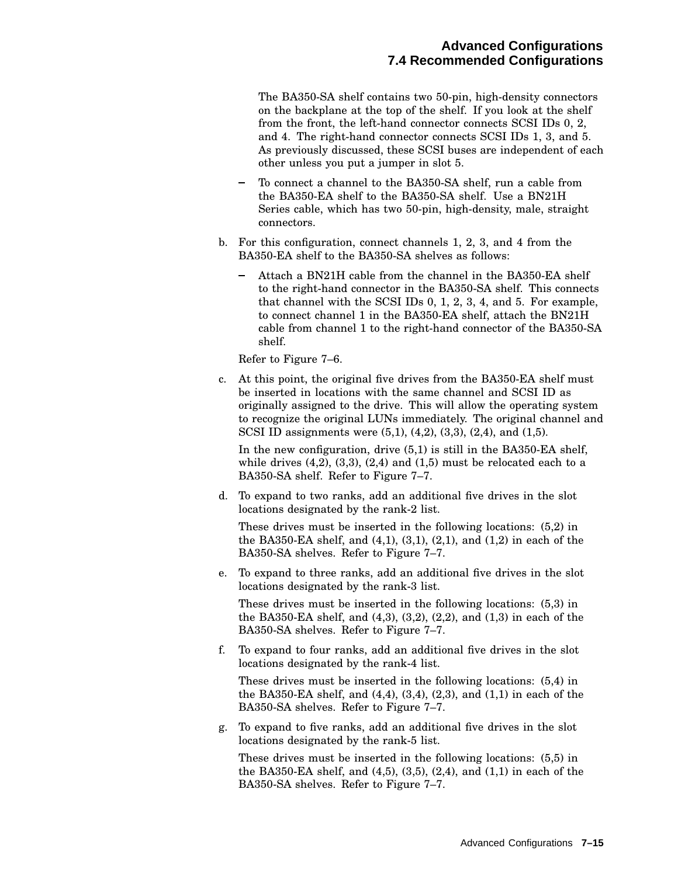The BA350-SA shelf contains two 50-pin, high-density connectors on the backplane at the top of the shelf. If you look at the shelf from the front, the left-hand connector connects SCSI IDs 0, 2, and 4. The right-hand connector connects SCSI IDs 1, 3, and 5. As previously discussed, these SCSI buses are independent of each other unless you put a jumper in slot 5.

- To connect a channel to the BA350-SA shelf, run a cable from the BA350-EA shelf to the BA350-SA shelf. Use a BN21H Series cable, which has two 50-pin, high-density, male, straight connectors.
- b. For this configuration, connect channels 1, 2, 3, and 4 from the BA350-EA shelf to the BA350-SA shelves as follows:
	- Attach a BN21H cable from the channel in the BA350-EA shelf to the right-hand connector in the BA350-SA shelf. This connects that channel with the SCSI IDs 0, 1, 2, 3, 4, and 5. For example, to connect channel 1 in the BA350-EA shelf, attach the BN21H cable from channel 1 to the right-hand connector of the BA350-SA shelf.

Refer to Figure 7–6.

c. At this point, the original five drives from the BA350-EA shelf must be inserted in locations with the same channel and SCSI ID as originally assigned to the drive. This will allow the operating system to recognize the original LUNs immediately. The original channel and SCSI ID assignments were (5,1), (4,2), (3,3), (2,4), and (1,5).

In the new configuration, drive (5,1) is still in the BA350-EA shelf, while drives  $(4,2)$ ,  $(3,3)$ ,  $(2,4)$  and  $(1,5)$  must be relocated each to a BA350-SA shelf. Refer to Figure 7–7.

d. To expand to two ranks, add an additional five drives in the slot locations designated by the rank-2 list.

These drives must be inserted in the following locations: (5,2) in the BA350-EA shelf, and  $(4,1)$ ,  $(3,1)$ ,  $(2,1)$ , and  $(1,2)$  in each of the BA350-SA shelves. Refer to Figure 7–7.

e. To expand to three ranks, add an additional five drives in the slot locations designated by the rank-3 list.

These drives must be inserted in the following locations: (5,3) in the BA350-EA shelf, and (4,3), (3,2), (2,2), and (1,3) in each of the BA350-SA shelves. Refer to Figure 7–7.

f. To expand to four ranks, add an additional five drives in the slot locations designated by the rank-4 list.

These drives must be inserted in the following locations: (5,4) in the BA350-EA shelf, and (4,4), (3,4), (2,3), and (1,1) in each of the BA350-SA shelves. Refer to Figure 7–7.

g. To expand to five ranks, add an additional five drives in the slot locations designated by the rank-5 list.

These drives must be inserted in the following locations: (5,5) in the BA350-EA shelf, and (4,5), (3,5), (2,4), and (1,1) in each of the BA350-SA shelves. Refer to Figure 7–7.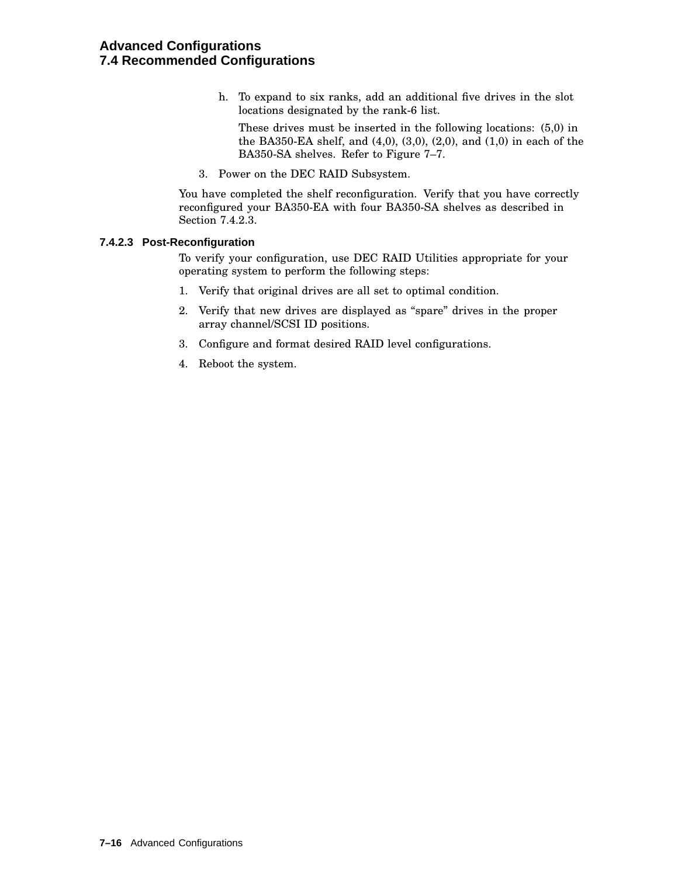h. To expand to six ranks, add an additional five drives in the slot locations designated by the rank-6 list.

These drives must be inserted in the following locations: (5,0) in the BA350-EA shelf, and (4,0), (3,0), (2,0), and (1,0) in each of the BA350-SA shelves. Refer to Figure 7–7.

3. Power on the DEC RAID Subsystem.

You have completed the shelf reconfiguration. Verify that you have correctly reconfigured your BA350-EA with four BA350-SA shelves as described in Section 7.4.2.3.

#### **7.4.2.3 Post-Reconfiguration**

To verify your configuration, use DEC RAID Utilities appropriate for your operating system to perform the following steps:

- 1. Verify that original drives are all set to optimal condition.
- 2. Verify that new drives are displayed as ''spare'' drives in the proper array channel/SCSI ID positions.
- 3. Configure and format desired RAID level configurations.
- 4. Reboot the system.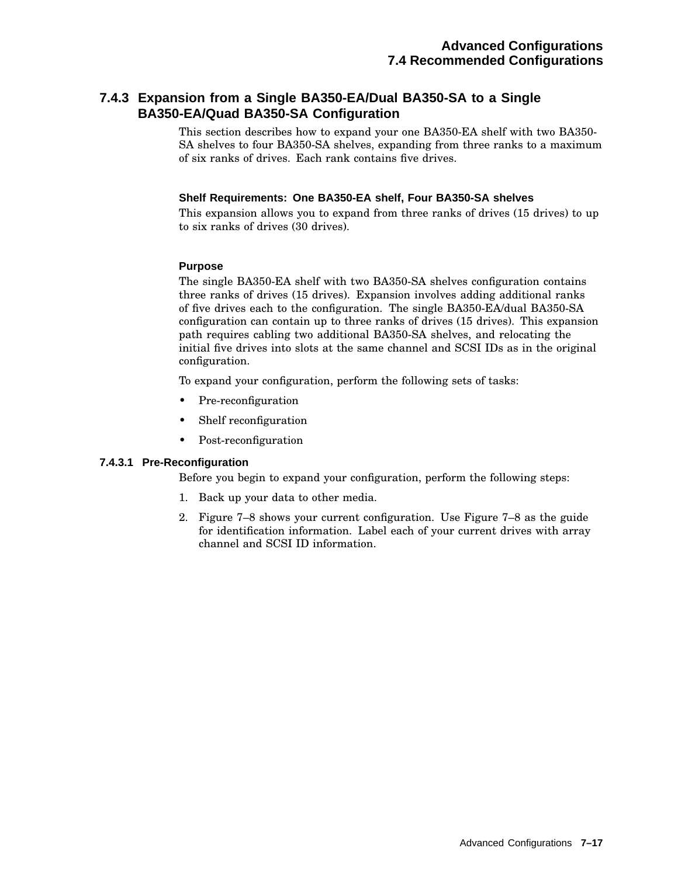## **7.4.3 Expansion from a Single BA350-EA/Dual BA350-SA to a Single BA350-EA/Quad BA350-SA Configuration**

This section describes how to expand your one BA350-EA shelf with two BA350- SA shelves to four BA350-SA shelves, expanding from three ranks to a maximum of six ranks of drives. Each rank contains five drives.

#### **Shelf Requirements: One BA350-EA shelf, Four BA350-SA shelves**

This expansion allows you to expand from three ranks of drives (15 drives) to up to six ranks of drives (30 drives).

#### **Purpose**

The single BA350-EA shelf with two BA350-SA shelves configuration contains three ranks of drives (15 drives). Expansion involves adding additional ranks of five drives each to the configuration. The single BA350-EA/dual BA350-SA configuration can contain up to three ranks of drives (15 drives). This expansion path requires cabling two additional BA350-SA shelves, and relocating the initial five drives into slots at the same channel and SCSI IDs as in the original configuration.

To expand your configuration, perform the following sets of tasks:

- Pre-reconfiguration
- Shelf reconfiguration
- Post-reconfiguration

#### **7.4.3.1 Pre-Reconfiguration**

Before you begin to expand your configuration, perform the following steps:

- 1. Back up your data to other media.
- 2. Figure 7–8 shows your current configuration. Use Figure 7–8 as the guide for identification information. Label each of your current drives with array channel and SCSI ID information.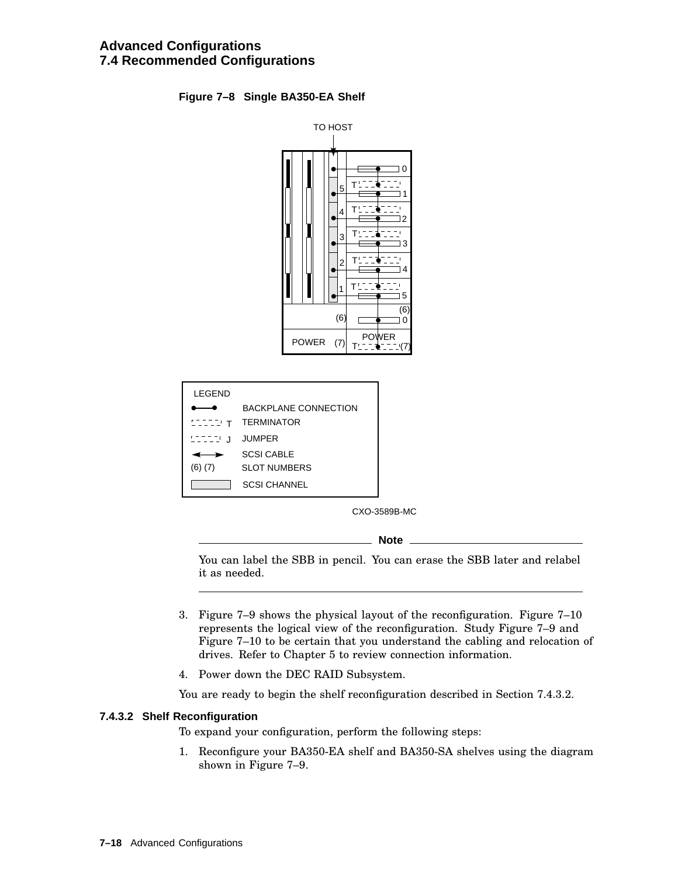#### **Figure 7–8 Single BA350-EA Shelf**



| I FGFND     |                         |
|-------------|-------------------------|
|             | BACKPI ANE CONNECTION   |
|             | <b>LILIT TERMINATOR</b> |
| STITU J     | <b>JUMPER</b>           |
|             | SCSI CABLE              |
| $(6)$ $(7)$ | SLOT NUMBERS            |
|             | SCSI CHANNEL            |

CXO-3589B-MC

**Note**

You can label the SBB in pencil. You can erase the SBB later and relabel it as needed.

- 3. Figure 7–9 shows the physical layout of the reconfiguration. Figure 7–10 represents the logical view of the reconfiguration. Study Figure 7–9 and Figure 7–10 to be certain that you understand the cabling and relocation of drives. Refer to Chapter 5 to review connection information.
- 4. Power down the DEC RAID Subsystem.

You are ready to begin the shelf reconfiguration described in Section 7.4.3.2.

#### **7.4.3.2 Shelf Reconfiguration**

To expand your configuration, perform the following steps:

1. Reconfigure your BA350-EA shelf and BA350-SA shelves using the diagram shown in Figure 7–9.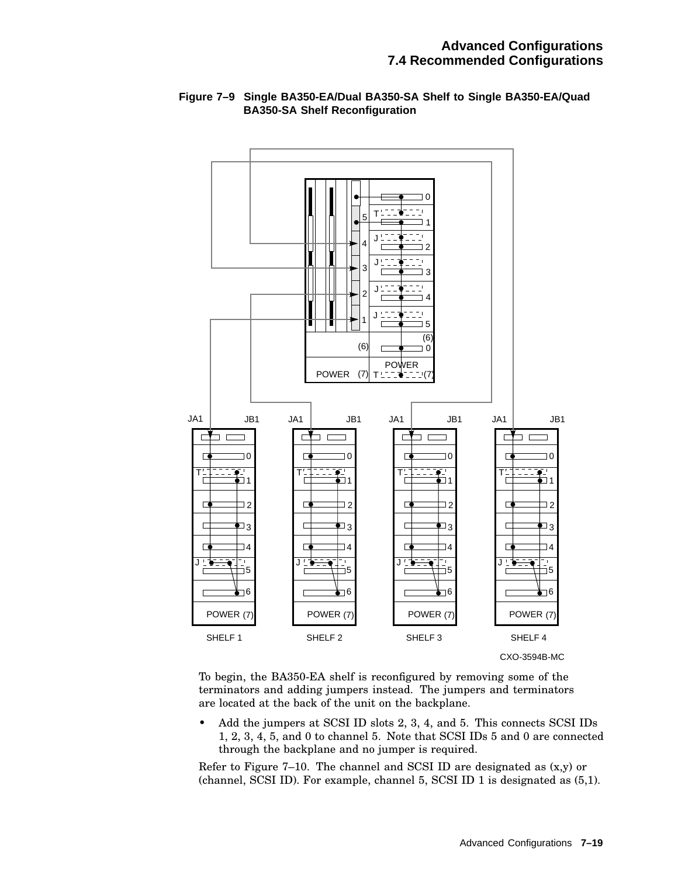

#### **Figure 7–9 Single BA350-EA/Dual BA350-SA Shelf to Single BA350-EA/Quad BA350-SA Shelf Reconfiguration**

To begin, the BA350-EA shelf is reconfigured by removing some of the terminators and adding jumpers instead. The jumpers and terminators are located at the back of the unit on the backplane.

• Add the jumpers at SCSI ID slots 2, 3, 4, and 5. This connects SCSI IDs 1, 2, 3, 4, 5, and 0 to channel 5. Note that SCSI IDs 5 and 0 are connected through the backplane and no jumper is required.

Refer to Figure  $7-10$ . The channel and SCSI ID are designated as  $(x,y)$  or (channel, SCSI ID). For example, channel 5, SCSI ID 1 is designated as (5,1).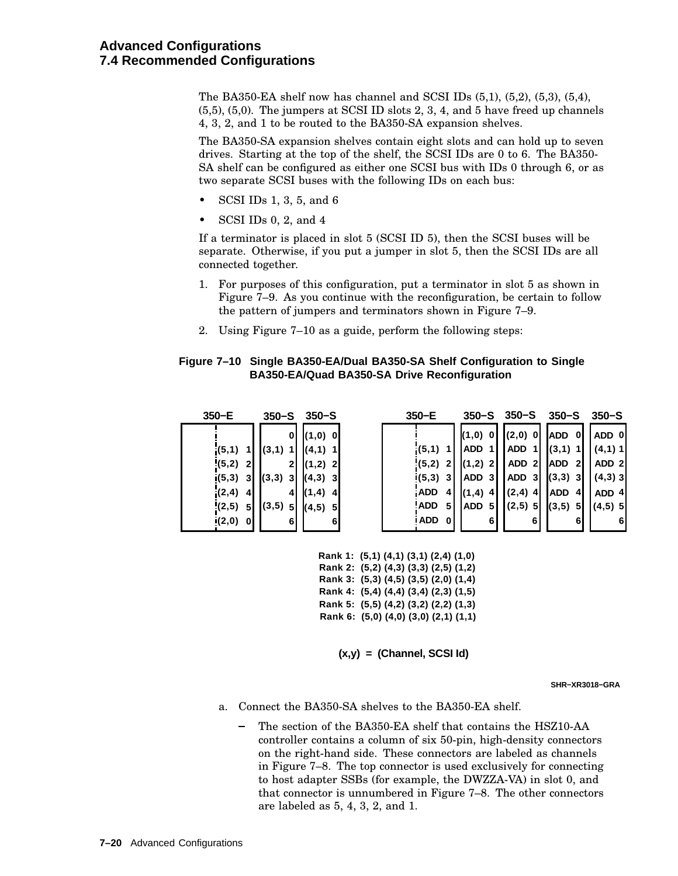The BA350-EA shelf now has channel and SCSI IDs (5,1), (5,2), (5,3), (5,4), (5,5), (5,0). The jumpers at SCSI ID slots 2, 3, 4, and 5 have freed up channels 4, 3, 2, and 1 to be routed to the BA350-SA expansion shelves.

The BA350-SA expansion shelves contain eight slots and can hold up to seven drives. Starting at the top of the shelf, the SCSI IDs are 0 to 6. The BA350- SA shelf can be configured as either one SCSI bus with IDs 0 through 6, or as two separate SCSI buses with the following IDs on each bus:

- SCSI IDs 1, 3, 5, and 6
- SCSI IDs 0, 2, and 4

If a terminator is placed in slot 5 (SCSI ID 5), then the SCSI buses will be separate. Otherwise, if you put a jumper in slot 5, then the SCSI IDs are all connected together.

- 1. For purposes of this configuration, put a terminator in slot 5 as shown in Figure 7–9. As you continue with the reconfiguration, be certain to follow the pattern of jumpers and terminators shown in Figure 7–9.
- 2. Using Figure 7–10 as a guide, perform the following steps:

#### **Figure 7–10 Single BA350-EA/Dual BA350-SA Shelf Configuration to Single BA350-EA/Quad BA350-SA Drive Reconfiguration**

| $350-E$              | $350 - S$  | $350 - S$         | $350-E$           | $350 - S$             | $350 - S$        | $350 - S$        | $350 - S$        |
|----------------------|------------|-------------------|-------------------|-----------------------|------------------|------------------|------------------|
|                      | 0          | $(1,0)$ 0         |                   | (1,0)<br>$\mathbf{0}$ | $(2,0)$ 0        | <b>ADD</b><br>0  | ADD 0            |
| (5,1)                | (3,1)<br>1 | (4,1)             | (5,1)             | <b>ADD</b><br>-1 I    | ADD 1            | (3,1)            | $(4,1)$ 1        |
| $\frac{1}{2}(5,2)$ 2 | 21         | $(1,2)$ 2         | $(5,2)$ 2         | $(1,2)$ 2             | ADD <sub>2</sub> | ADD <sub>2</sub> | ADD <sub>2</sub> |
| $i(5,3)$ 3           | (3,3)<br>3 | (4,3)<br><b>3</b> | $(5,3)$ 3         | ADD <sub>3</sub>      | ADD 31           | $(3,3)$ 3        | $(4,3)$ 3        |
| (2,4)<br>$\vert$     | 41         | (1,4)<br>41       | <b>ADD</b><br>4   | (1,4)<br>41           | $(2,4)$ 4        | <b>ADD</b><br>4  | ADD 41           |
| $(2,5)$ 5            | (3,5)<br>5 | (4,5)<br>51       | 'ADD<br>5         | ADD<br>5 I            | $(2,5)$ 5        | (3,5)<br>51      | $(4,5)$ 5        |
| $(2,0)$ 0            | 61         | 6                 | i ADD<br>$\bf{0}$ | 6                     | 6 I              | 6                |                  |

**Rank 1: (5,1) (4,1) (3,1) (2,4) (1,0) Rank 2: (5,2) (4,3) (3,3) (2,5) (1,2) Rank 3: (5,3) (4,5) (3,5) (2,0) (1,4) Rank 4: (5,4) (4,4) (3,4) (2,3) (1,5) Rank 5: (5,5) (4,2) (3,2) (2,2) (1,3) Rank 6: (5,0) (4,0) (3,0) (2,1) (1,1)**

**(x,y) = (Channel, SCSI Id)**

**SHR−XR3018−GRA**

- a. Connect the BA350-SA shelves to the BA350-EA shelf.
	- The section of the BA350-EA shelf that contains the HSZ10-AA controller contains a column of six 50-pin, high-density connectors on the right-hand side. These connectors are labeled as channels in Figure 7–8. The top connector is used exclusively for connecting to host adapter SSBs (for example, the DWZZA-VA) in slot 0, and that connector is unnumbered in Figure 7–8. The other connectors are labeled as 5, 4, 3, 2, and 1.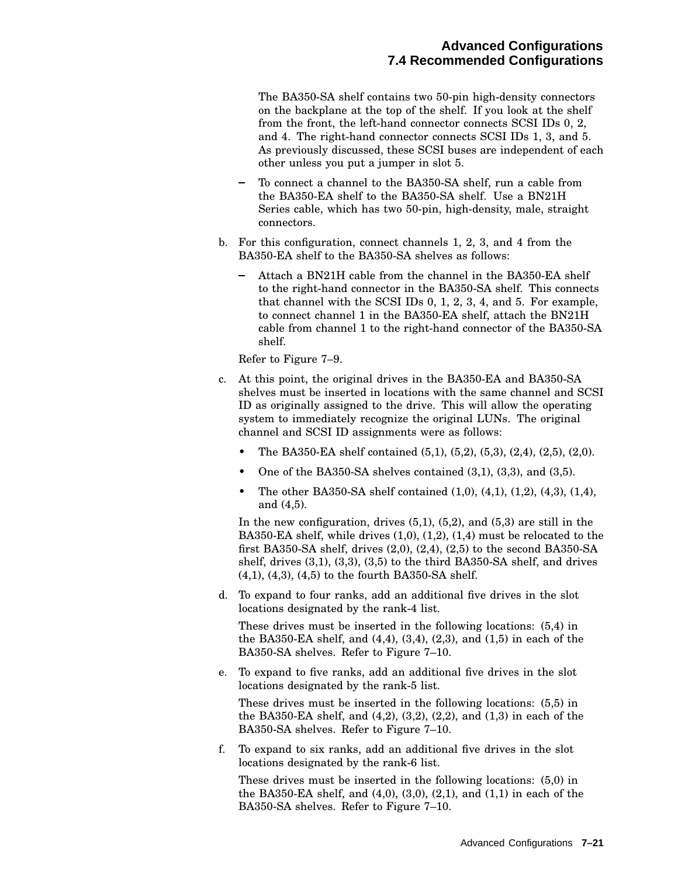The BA350-SA shelf contains two 50-pin high-density connectors on the backplane at the top of the shelf. If you look at the shelf from the front, the left-hand connector connects SCSI IDs 0, 2, and 4. The right-hand connector connects SCSI IDs 1, 3, and 5. As previously discussed, these SCSI buses are independent of each other unless you put a jumper in slot 5.

- To connect a channel to the BA350-SA shelf, run a cable from the BA350-EA shelf to the BA350-SA shelf. Use a BN21H Series cable, which has two 50-pin, high-density, male, straight connectors.
- b. For this configuration, connect channels 1, 2, 3, and 4 from the BA350-EA shelf to the BA350-SA shelves as follows:
	- Attach a BN21H cable from the channel in the BA350-EA shelf to the right-hand connector in the BA350-SA shelf. This connects that channel with the SCSI IDs 0, 1, 2, 3, 4, and 5. For example, to connect channel 1 in the BA350-EA shelf, attach the BN21H cable from channel 1 to the right-hand connector of the BA350-SA shelf.

Refer to Figure 7–9.

- c. At this point, the original drives in the BA350-EA and BA350-SA shelves must be inserted in locations with the same channel and SCSI ID as originally assigned to the drive. This will allow the operating system to immediately recognize the original LUNs. The original channel and SCSI ID assignments were as follows:
	- The BA350-EA shelf contained  $(5,1)$ ,  $(5,2)$ ,  $(5,3)$ ,  $(2,4)$ ,  $(2,5)$ ,  $(2,0)$ .
	- One of the BA350-SA shelves contained  $(3,1)$ ,  $(3,3)$ , and  $(3,5)$ .
	- The other BA350-SA shelf contained  $(1,0)$ ,  $(4,1)$ ,  $(1,2)$ ,  $(4,3)$ ,  $(1,4)$ , and (4,5).

In the new configuration, drives  $(5,1)$ ,  $(5,2)$ , and  $(5,3)$  are still in the BA350-EA shelf, while drives (1,0), (1,2), (1,4) must be relocated to the first BA350-SA shelf, drives (2,0), (2,4), (2,5) to the second BA350-SA shelf, drives (3,1), (3,3), (3,5) to the third BA350-SA shelf, and drives (4,1), (4,3), (4,5) to the fourth BA350-SA shelf.

d. To expand to four ranks, add an additional five drives in the slot locations designated by the rank-4 list.

These drives must be inserted in the following locations: (5,4) in the BA350-EA shelf, and (4,4), (3,4), (2,3), and (1,5) in each of the BA350-SA shelves. Refer to Figure 7–10.

e. To expand to five ranks, add an additional five drives in the slot locations designated by the rank-5 list.

These drives must be inserted in the following locations: (5,5) in the BA350-EA shelf, and (4,2), (3,2), (2,2), and (1,3) in each of the BA350-SA shelves. Refer to Figure 7–10.

f. To expand to six ranks, add an additional five drives in the slot locations designated by the rank-6 list.

These drives must be inserted in the following locations: (5,0) in the BA350-EA shelf, and  $(4,0)$ ,  $(3,0)$ ,  $(2,1)$ , and  $(1,1)$  in each of the BA350-SA shelves. Refer to Figure 7–10.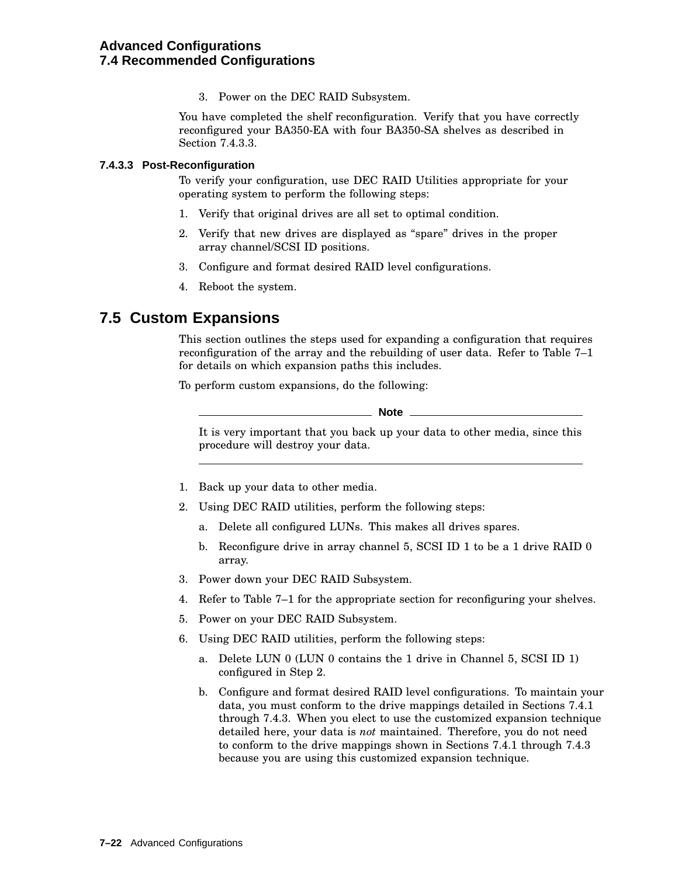3. Power on the DEC RAID Subsystem.

You have completed the shelf reconfiguration. Verify that you have correctly reconfigured your BA350-EA with four BA350-SA shelves as described in Section 7.4.3.3.

#### **7.4.3.3 Post-Reconfiguration**

To verify your configuration, use DEC RAID Utilities appropriate for your operating system to perform the following steps:

- 1. Verify that original drives are all set to optimal condition.
- 2. Verify that new drives are displayed as ''spare'' drives in the proper array channel/SCSI ID positions.
- 3. Configure and format desired RAID level configurations.
- 4. Reboot the system.

# **7.5 Custom Expansions**

This section outlines the steps used for expanding a configuration that requires reconfiguration of the array and the rebuilding of user data. Refer to Table 7–1 for details on which expansion paths this includes.

To perform custom expansions, do the following:

**Note** \_

It is very important that you back up your data to other media, since this procedure will destroy your data.

- 1. Back up your data to other media.
- 2. Using DEC RAID utilities, perform the following steps:
	- a. Delete all configured LUNs. This makes all drives spares.
	- b. Reconfigure drive in array channel 5, SCSI ID 1 to be a 1 drive RAID 0 array.
- 3. Power down your DEC RAID Subsystem.
- 4. Refer to Table 7–1 for the appropriate section for reconfiguring your shelves.
- 5. Power on your DEC RAID Subsystem.
- 6. Using DEC RAID utilities, perform the following steps:
	- a. Delete LUN 0 (LUN 0 contains the 1 drive in Channel 5, SCSI ID 1) configured in Step 2.
	- b. Configure and format desired RAID level configurations. To maintain your data, you must conform to the drive mappings detailed in Sections 7.4.1 through 7.4.3. When you elect to use the customized expansion technique detailed here, your data is *not* maintained. Therefore, you do not need to conform to the drive mappings shown in Sections 7.4.1 through 7.4.3 because you are using this customized expansion technique.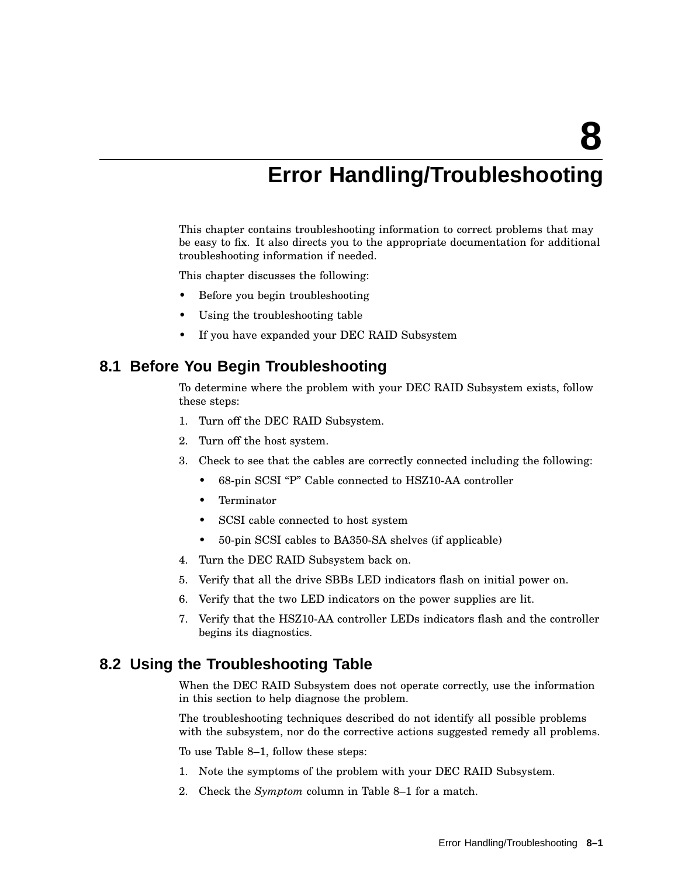# **Error Handling/Troubleshooting**

This chapter contains troubleshooting information to correct problems that may be easy to fix. It also directs you to the appropriate documentation for additional troubleshooting information if needed.

This chapter discusses the following:

- Before you begin troubleshooting
- Using the troubleshooting table
- If you have expanded your DEC RAID Subsystem

### **8.1 Before You Begin Troubleshooting**

To determine where the problem with your DEC RAID Subsystem exists, follow these steps:

- 1. Turn off the DEC RAID Subsystem.
- 2. Turn off the host system.
- 3. Check to see that the cables are correctly connected including the following:
	- 68-pin SCSI ''P'' Cable connected to HSZ10-AA controller
	- Terminator
	- SCSI cable connected to host system
	- 50-pin SCSI cables to BA350-SA shelves (if applicable)
- 4. Turn the DEC RAID Subsystem back on.
- 5. Verify that all the drive SBBs LED indicators flash on initial power on.
- 6. Verify that the two LED indicators on the power supplies are lit.
- 7. Verify that the HSZ10-AA controller LEDs indicators flash and the controller begins its diagnostics.

# **8.2 Using the Troubleshooting Table**

When the DEC RAID Subsystem does not operate correctly, use the information in this section to help diagnose the problem.

The troubleshooting techniques described do not identify all possible problems with the subsystem, nor do the corrective actions suggested remedy all problems.

To use Table 8–1, follow these steps:

- 1. Note the symptoms of the problem with your DEC RAID Subsystem.
- 2. Check the *Symptom* column in Table 8–1 for a match.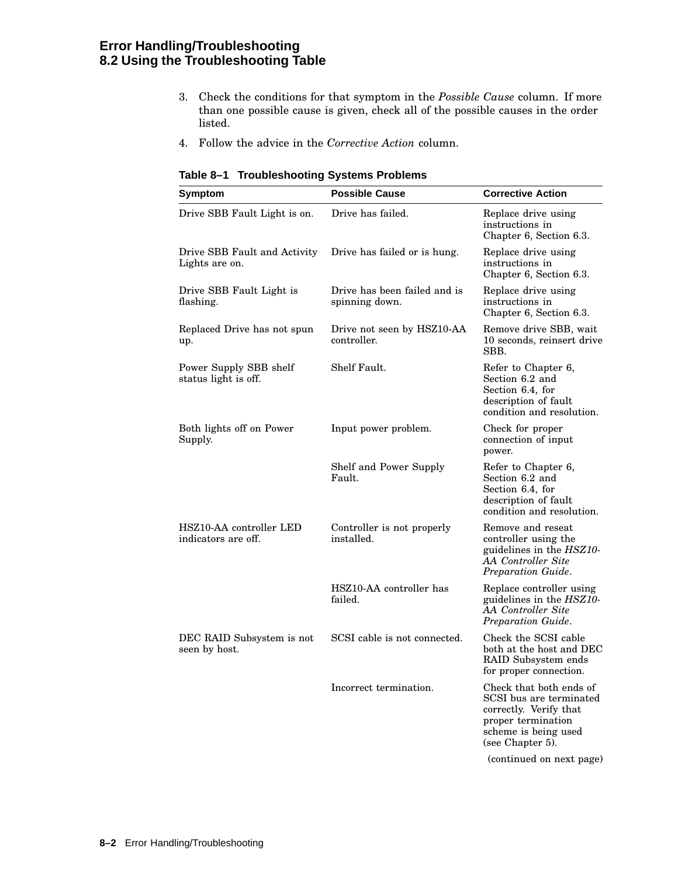# **Error Handling/Troubleshooting 8.2 Using the Troubleshooting Table**

- 3. Check the conditions for that symptom in the *Possible Cause* column. If more than one possible cause is given, check all of the possible causes in the order listed.
- 4. Follow the advice in the *Corrective Action* column.

| Symptom                                        | <b>Possible Cause</b>                          | <b>Corrective Action</b>                                                                                                                       |  |
|------------------------------------------------|------------------------------------------------|------------------------------------------------------------------------------------------------------------------------------------------------|--|
| Drive SBB Fault Light is on.                   | Drive has failed.                              | Replace drive using<br>instructions in<br>Chapter 6, Section 6.3.                                                                              |  |
| Drive SBB Fault and Activity<br>Lights are on. | Drive has failed or is hung.                   | Replace drive using<br>instructions in<br>Chapter 6, Section 6.3.                                                                              |  |
| Drive SBB Fault Light is<br>flashing.          | Drive has been failed and is<br>spinning down. | Replace drive using<br>instructions in<br>Chapter 6, Section 6.3.                                                                              |  |
| Replaced Drive has not spun<br>up.             | Drive not seen by HSZ10-AA<br>controller.      | Remove drive SBB, wait<br>10 seconds, reinsert drive<br>SBB.                                                                                   |  |
| Power Supply SBB shelf<br>status light is off. | Shelf Fault.                                   | Refer to Chapter 6,<br>Section 6.2 and<br>Section 6.4, for<br>description of fault<br>condition and resolution.                                |  |
| Both lights off on Power<br>Supply.            | Input power problem.                           | Check for proper<br>connection of input<br>power.                                                                                              |  |
|                                                | Shelf and Power Supply<br>Fault.               | Refer to Chapter 6,<br>Section 6.2 and<br>Section 6.4, for<br>description of fault<br>condition and resolution.                                |  |
| HSZ10-AA controller LED<br>indicators are off. | Controller is not properly<br>installed.       | Remove and reseat<br>controller using the<br>guidelines in the HSZ10-<br>AA Controller Site<br>Preparation Guide.                              |  |
|                                                | HSZ10-AA controller has<br>failed.             | Replace controller using<br>guidelines in the <i>HSZ10-</i><br>AA Controller Site<br>Preparation Guide.                                        |  |
| DEC RAID Subsystem is not<br>seen by host.     | SCSI cable is not connected.                   | Check the SCSI cable<br>both at the host and DEC<br>RAID Subsystem ends<br>for proper connection                                               |  |
|                                                | Incorrect termination.                         | Check that both ends of<br>SCSI bus are terminated<br>correctly. Verify that<br>proper termination<br>scheme is being used<br>(see Chapter 5). |  |
|                                                |                                                | (continued on next page)                                                                                                                       |  |

| Table 8-1 Troubleshooting Systems Problems |
|--------------------------------------------|
|--------------------------------------------|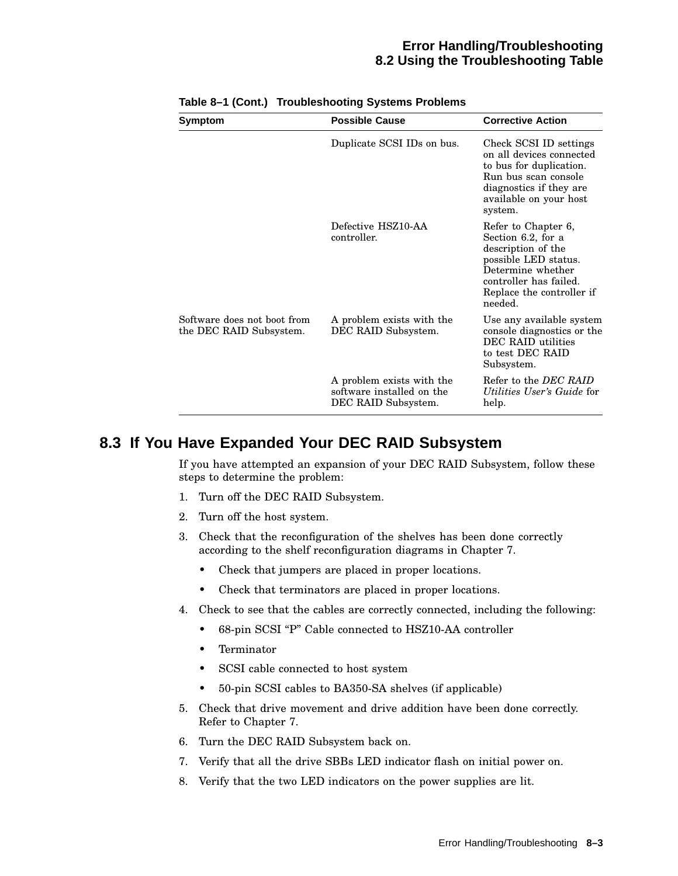#### **Error Handling/Troubleshooting 8.2 Using the Troubleshooting Table**

| <b>Symptom</b>                                         | <b>Possible Cause</b>                                                         | <b>Corrective Action</b>                                                                                                                                                       |
|--------------------------------------------------------|-------------------------------------------------------------------------------|--------------------------------------------------------------------------------------------------------------------------------------------------------------------------------|
|                                                        | Duplicate SCSI IDs on bus.                                                    | Check SCSI ID settings<br>on all devices connected<br>to bus for duplication.<br>Run bus scan console<br>diagnostics if they are<br>available on your host<br>system.          |
|                                                        | Defective HSZ10-AA<br>controller.                                             | Refer to Chapter 6,<br>Section 6.2, for a<br>description of the<br>possible LED status.<br>Determine whether<br>controller has failed.<br>Replace the controller if<br>needed. |
| Software does not boot from<br>the DEC RAID Subsystem. | A problem exists with the<br>DEC RAID Subsystem.                              | Use any available system<br>console diagnostics or the<br><b>DEC RAID utilities</b><br>to test DEC RAID<br>Subsystem.                                                          |
|                                                        | A problem exists with the<br>software installed on the<br>DEC RAID Subsystem. | Refer to the DEC RAID<br>Utilities User's Guide for<br>help.                                                                                                                   |

#### **Table 8–1 (Cont.) Troubleshooting Systems Problems**

# **8.3 If You Have Expanded Your DEC RAID Subsystem**

If you have attempted an expansion of your DEC RAID Subsystem, follow these steps to determine the problem:

- 1. Turn off the DEC RAID Subsystem.
- 2. Turn off the host system.
- 3. Check that the reconfiguration of the shelves has been done correctly according to the shelf reconfiguration diagrams in Chapter 7.
	- Check that jumpers are placed in proper locations.
	- Check that terminators are placed in proper locations.
- 4. Check to see that the cables are correctly connected, including the following:
	- 68-pin SCSI "P" Cable connected to HSZ10-AA controller
	- Terminator
	- SCSI cable connected to host system
	- 50-pin SCSI cables to BA350-SA shelves (if applicable)
- 5. Check that drive movement and drive addition have been done correctly. Refer to Chapter 7.
- 6. Turn the DEC RAID Subsystem back on.
- 7. Verify that all the drive SBBs LED indicator flash on initial power on.
- 8. Verify that the two LED indicators on the power supplies are lit.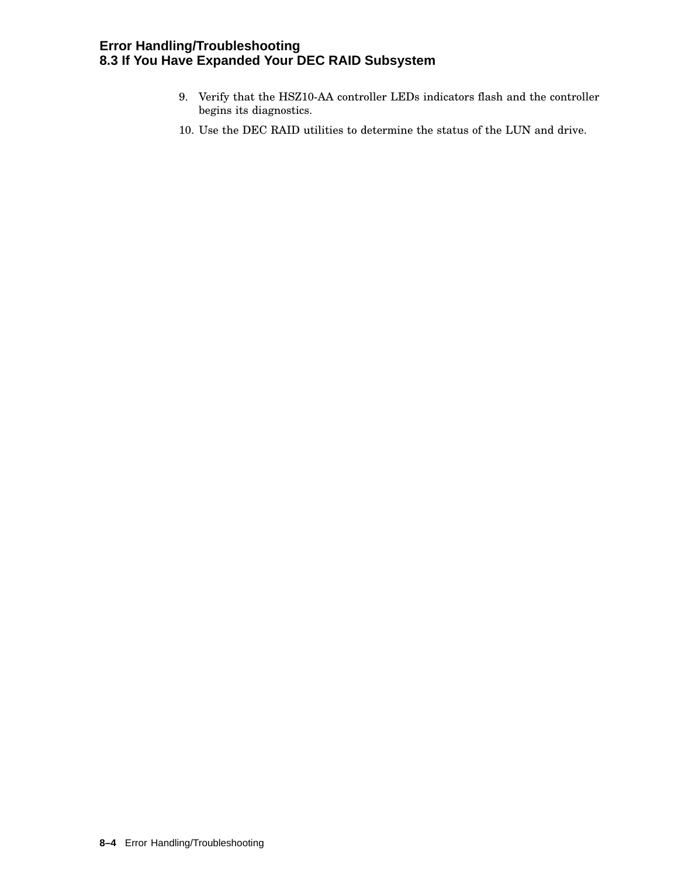## **Error Handling/Troubleshooting 8.3 If You Have Expanded Your DEC RAID Subsystem**

- 9. Verify that the HSZ10-AA controller LEDs indicators flash and the controller begins its diagnostics.
- 10. Use the DEC RAID utilities to determine the status of the LUN and drive.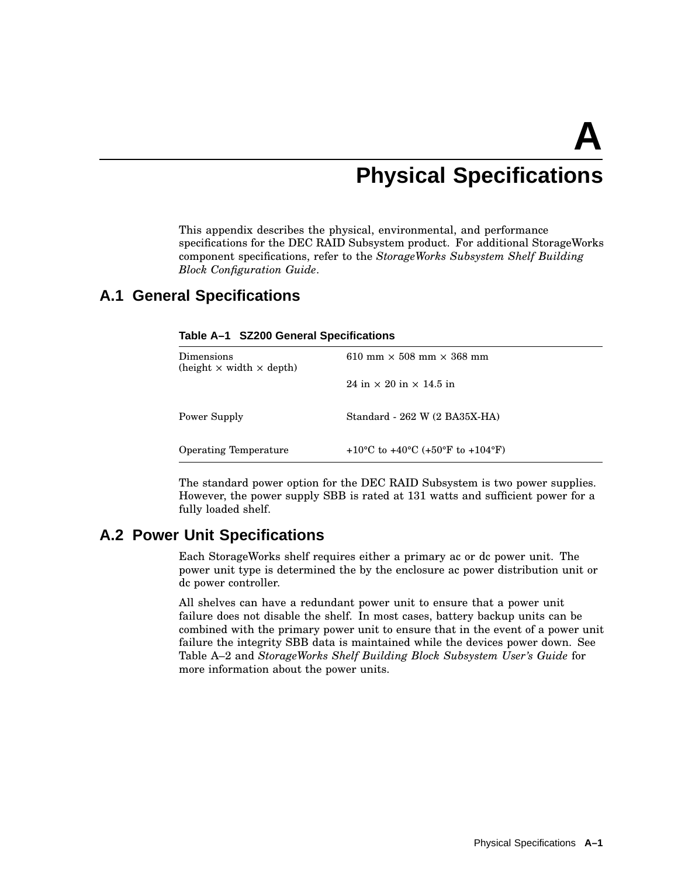# **A Physical Specifications**

This appendix describes the physical, environmental, and performance specifications for the DEC RAID Subsystem product. For additional StorageWorks component specifications, refer to the *StorageWorks Subsystem Shelf Building Block Configuration Guide*.

# **A.1 General Specifications**

| $\mathop{\rm Dimensions}$<br>(height $\times$ width $\times$ depth) | 610 mm $\times$ 508 mm $\times$ 368 mm |
|---------------------------------------------------------------------|----------------------------------------|
|                                                                     | 24 in $\times$ 20 in $\times$ 14.5 in  |
| Power Supply                                                        | Standard - 262 W (2 BA35X-HA)          |
| Operating Temperature                                               | +10 °C to +40 °C (+50 °F to +104 °F)   |

#### **Table A–1 SZ200 General Specifications**

The standard power option for the DEC RAID Subsystem is two power supplies. However, the power supply SBB is rated at 131 watts and sufficient power for a fully loaded shelf.

# **A.2 Power Unit Specifications**

Each StorageWorks shelf requires either a primary ac or dc power unit. The power unit type is determined the by the enclosure ac power distribution unit or dc power controller.

All shelves can have a redundant power unit to ensure that a power unit failure does not disable the shelf. In most cases, battery backup units can be combined with the primary power unit to ensure that in the event of a power unit failure the integrity SBB data is maintained while the devices power down. See Table A–2 and *StorageWorks Shelf Building Block Subsystem User's Guide* for more information about the power units.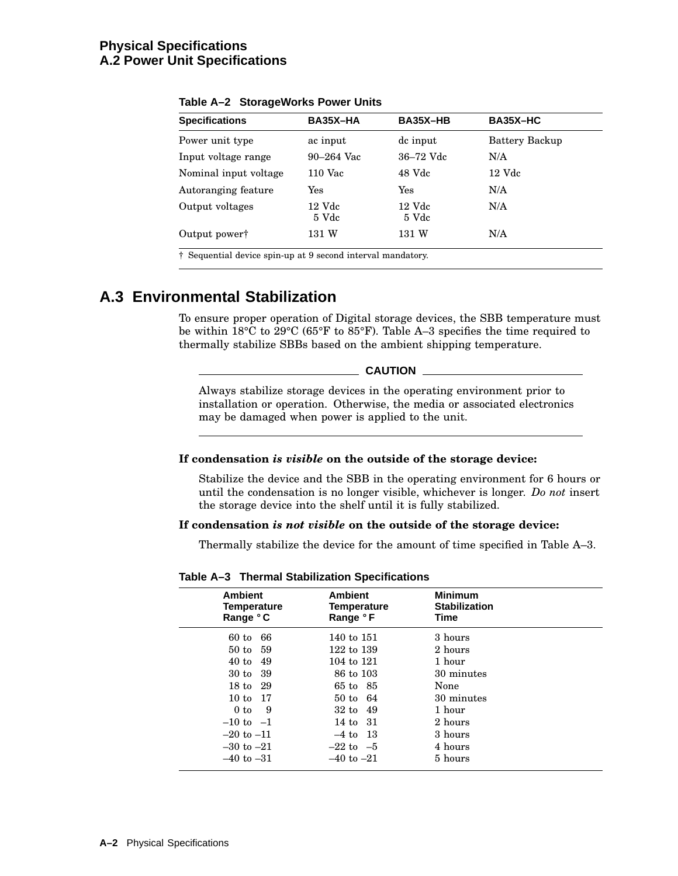### **Physical Specifications A.2 Power Unit Specifications**

| <b>Specifications</b>     | BA35X-HA          | BA35X-HB          | BA35X-HC       |
|---------------------------|-------------------|-------------------|----------------|
| Power unit type           | ac input          | dc input          | Battery Backup |
| Input voltage range       | $90 - 264$ Vac    | 36–72 Vdc         | N/A            |
| Nominal input voltage     | $110$ Vac         | 48 Vdc            | 12 Vdc         |
| Autoranging feature       | Yes               | Yes               | N/A            |
| Output voltages           | $12$ Vdc<br>5 Vdc | $12$ Vdc<br>5 Vdc | N/A            |
| Output power <sup>†</sup> | 131 W             | 131 W             | N/A            |

**Table A–2 StorageWorks Power Units**

# **A.3 Environmental Stabilization**

To ensure proper operation of Digital storage devices, the SBB temperature must be within 18°C to 29°C (65°F to 85°F). Table A–3 specifies the time required to thermally stabilize SBBs based on the ambient shipping temperature.

**CAUTION**

Always stabilize storage devices in the operating environment prior to installation or operation. Otherwise, the media or associated electronics may be damaged when power is applied to the unit.

#### **If condensation** *is visible* **on the outside of the storage device:**

Stabilize the device and the SBB in the operating environment for 6 hours or until the condensation is no longer visible, whichever is longer. *Do not* insert the storage device into the shelf until it is fully stabilized.

#### **If condensation** *is not visible* **on the outside of the storage device:**

Thermally stabilize the device for the amount of time specified in Table A–3.

**Table A–3 Thermal Stabilization Specifications**

| <b>Ambient</b><br><b>Temperature</b><br>Range °C | <b>Ambient</b><br>Temperature<br>Range °F | <b>Minimum</b><br><b>Stabilization</b><br>Time |  |
|--------------------------------------------------|-------------------------------------------|------------------------------------------------|--|
| 66<br>$60$ to                                    | 140 to 151                                | 3 hours                                        |  |
| 50 to<br>-59                                     | 122 to 139                                | 2 hours                                        |  |
| $40$ to<br>49                                    | 104 to 121                                | 1 hour                                         |  |
| -39<br>30 to                                     | 86 to 103                                 | 30 minutes                                     |  |
| 18 to 29                                         | 65 to 85                                  | None                                           |  |
| 10 to 17                                         | $50 \text{ to } 64$                       | 30 minutes                                     |  |
| 0 to<br>9                                        | $32 \text{ to } 49$                       | 1 hour                                         |  |
| $-10$ to $-1$                                    | 14 to 31                                  | 2 hours                                        |  |
| $-20$ to $-11$                                   | $-4$ to 13                                | 3 hours                                        |  |
| $-30$ to $-21$                                   | $-22$ to $-5$                             | 4 hours                                        |  |
| $-40$ to $-31$                                   | $-40$ to $-21$                            | 5 hours                                        |  |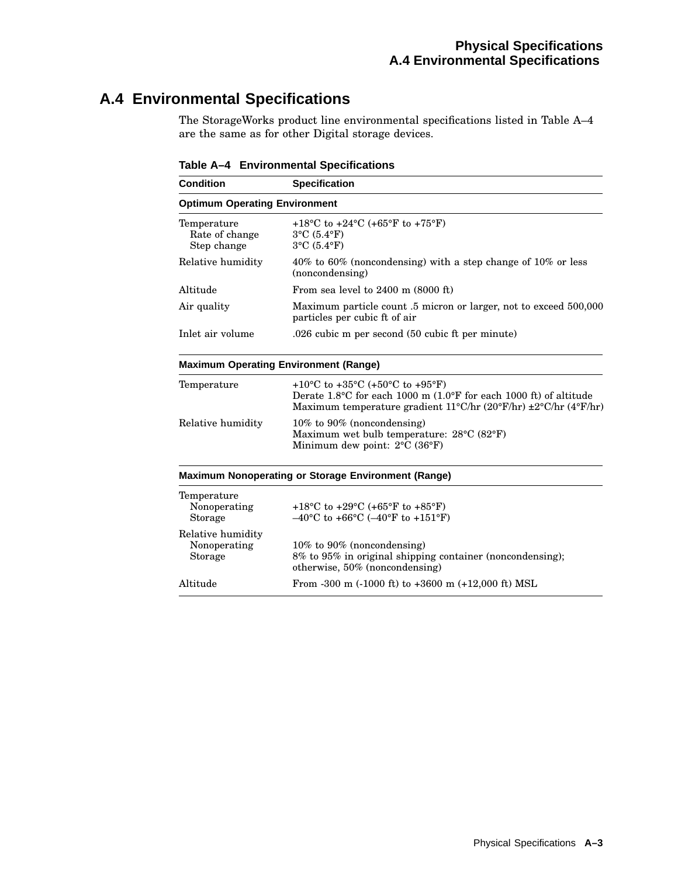# **A.4 Environmental Specifications**

The StorageWorks product line environmental specifications listed in Table A–4 are the same as for other Digital storage devices.

| <b>Condition</b>                             | <b>Specification</b>                                                                                                                                                                                                                                                   |
|----------------------------------------------|------------------------------------------------------------------------------------------------------------------------------------------------------------------------------------------------------------------------------------------------------------------------|
| <b>Optimum Operating Environment</b>         |                                                                                                                                                                                                                                                                        |
| Temperature<br>Rate of change<br>Step change | +18 °C to +24 °C (+65 °F to +75 °F)<br>$3^{\circ}$ C (5.4 $^{\circ}$ F)<br>$3^{\circ}$ C (5.4 $^{\circ}$ F)                                                                                                                                                            |
| Relative humidity                            | 40% to 60% (noncondensing) with a step change of 10% or less<br>(noncondensing)                                                                                                                                                                                        |
| Altitude                                     | From sea level to $2400$ m $(8000$ ft)                                                                                                                                                                                                                                 |
| Air quality                                  | Maximum particle count .5 micron or larger, not to exceed 500,000<br>particles per cubic ft of air                                                                                                                                                                     |
| Inlet air volume                             | .026 cubic m per second (50 cubic ft per minute)                                                                                                                                                                                                                       |
|                                              | <b>Maximum Operating Environment (Range)</b>                                                                                                                                                                                                                           |
| Temperature                                  | +10 <sup>o</sup> C to +35 <sup>o</sup> C (+50 <sup>o</sup> C to +95 <sup>o</sup> F)<br>Derate $1.8^{\circ}$ C for each 1000 m $(1.0^{\circ}$ F for each 1000 ft) of altitude<br>Maximum temperature gradient $11^{\circ}$ C/hr (20°F/hr) $\pm 2^{\circ}$ C/hr (4°F/hr) |
| Relative humidity                            | $10\%$ to 90% (noncondensing)<br>Maximum wet bulb temperature: $28^{\circ}$ C (82 $^{\circ}$ F)<br>Minimum dew point: 2°C (36°F)                                                                                                                                       |
|                                              | <b>Maximum Nonoperating or Storage Environment (Range)</b>                                                                                                                                                                                                             |
| Temperature<br>Nonoperating<br>Storage       | +18 °C to +29 °C (+65 °F to +85 °F)<br>$-40^{\circ}$ C to +66 $^{\circ}$ C (-40 $^{\circ}$ F to +151 $^{\circ}$ F)                                                                                                                                                     |
| Relative humidity<br>Nonoperating<br>Storage | $10\%$ to 90% (noncondensing)<br>8% to 95% in original shipping container (noncondensing);                                                                                                                                                                             |

otherwise, 50% (noncondensing) Altitude From -300 m (-1000 ft) to +3600 m (+12,000 ft) MSL

**Table A–4 Environmental Specifications**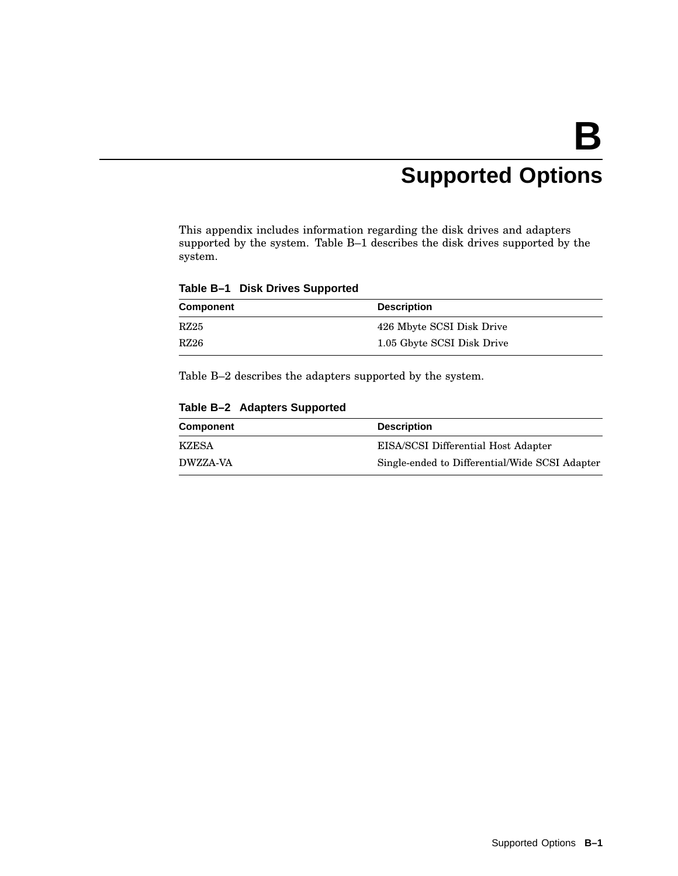# **Supported Options**

This appendix includes information regarding the disk drives and adapters supported by the system. Table B–1 describes the disk drives supported by the system.

**Table B–1 Disk Drives Supported**

| Component | <b>Description</b>         |
|-----------|----------------------------|
| RZ25      | 426 Mbyte SCSI Disk Drive  |
| RZ26      | 1.05 Gbyte SCSI Disk Drive |

Table B–2 describes the adapters supported by the system.

**Table B–2 Adapters Supported**

| <b>Component</b> | <b>Description</b>                             |
|------------------|------------------------------------------------|
| KZESA            | EISA/SCSI Differential Host Adapter            |
| <b>DWZZA-VA</b>  | Single-ended to Differential/Wide SCSI Adapter |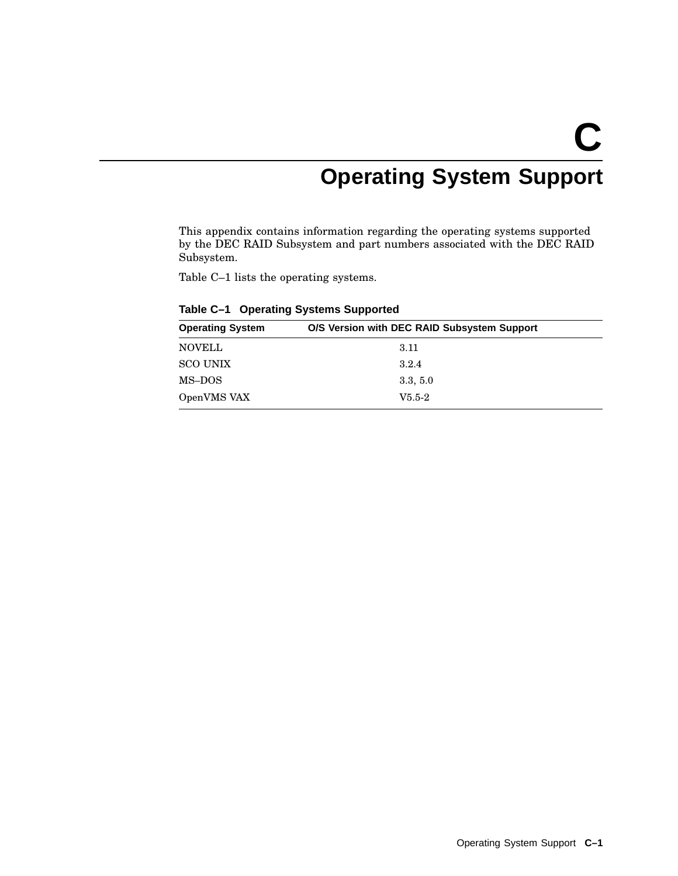# **C Operating System Support**

This appendix contains information regarding the operating systems supported by the DEC RAID Subsystem and part numbers associated with the DEC RAID Subsystem.

Table C–1 lists the operating systems.

| O/S Version with DEC RAID Subsystem Support<br><b>Operating System</b> |          |
|------------------------------------------------------------------------|----------|
| <b>NOVELL</b>                                                          | 3.11     |
| <b>SCO UNIX</b>                                                        | 3.2.4    |
| MS-DOS                                                                 | 3.3, 5.0 |
| OpenVMS VAX                                                            | $V5.5-2$ |
|                                                                        |          |

**Table C–1 Operating Systems Supported**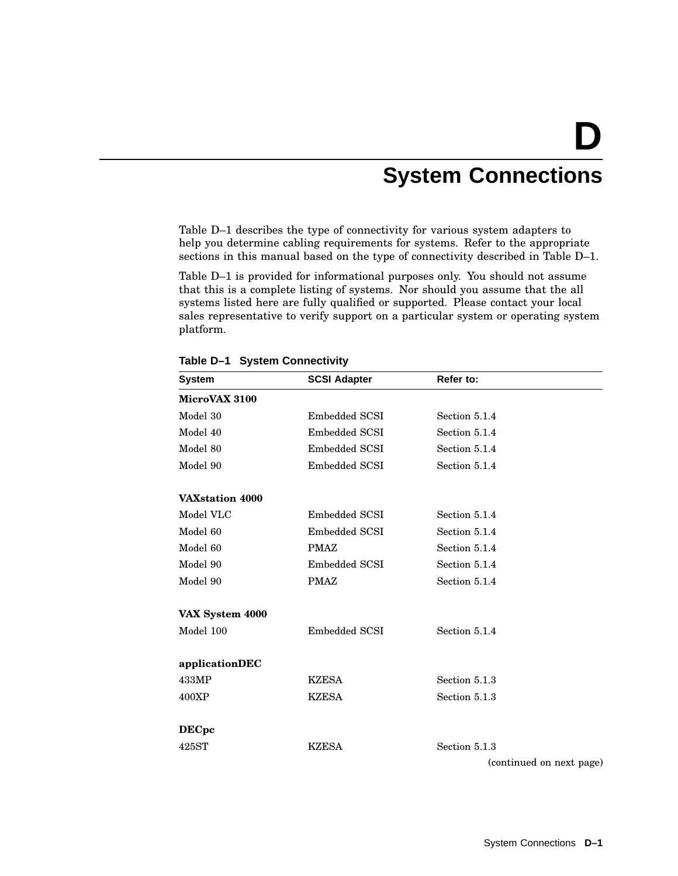# **D System Connections**

Table D–1 describes the type of connectivity for various system adapters to help you determine cabling requirements for systems. Refer to the appropriate sections in this manual based on the type of connectivity described in Table D–1.

Table D–1 is provided for informational purposes only. You should not assume that this is a complete listing of systems. Nor should you assume that the all systems listed here are fully qualified or supported. Please contact your local sales representative to verify support on a particular system or operating system platform.

| <b>System</b>   | <b>SCSI Adapter</b> | Refer to:                |
|-----------------|---------------------|--------------------------|
| MicroVAX 3100   |                     |                          |
| Model 30        | Embedded SCSI       | Section 5.1.4            |
| Model 40        | Embedded SCSI       | Section 5.1.4            |
| Model 80        | Embedded SCSI       | Section 5.1.4            |
| Model 90        | Embedded SCSI       | Section 5.1.4            |
| VAXstation 4000 |                     |                          |
| Model VLC       | Embedded SCSI       | Section 5.1.4            |
| Model 60        | Embedded SCSI       | Section 5.1.4            |
| Model 60        | <b>PMAZ</b>         | Section 5.1.4            |
| Model 90        | Embedded SCSI       | Section 5.1.4            |
| Model 90        | <b>PMAZ</b>         | Section 5.1.4            |
| VAX System 4000 |                     |                          |
| Model 100       | Embedded SCSI       | Section 5.1.4            |
| applicationDEC  |                     |                          |
| 433MP           | <b>KZESA</b>        | Section 5.1.3            |
| 400XP           | <b>KZESA</b>        | Section 5.1.3            |
| <b>DECpc</b>    |                     |                          |
| 425ST           | <b>KZESA</b>        | Section 5.1.3            |
|                 |                     | (continued on next page) |

**Table D–1 System Connectivity**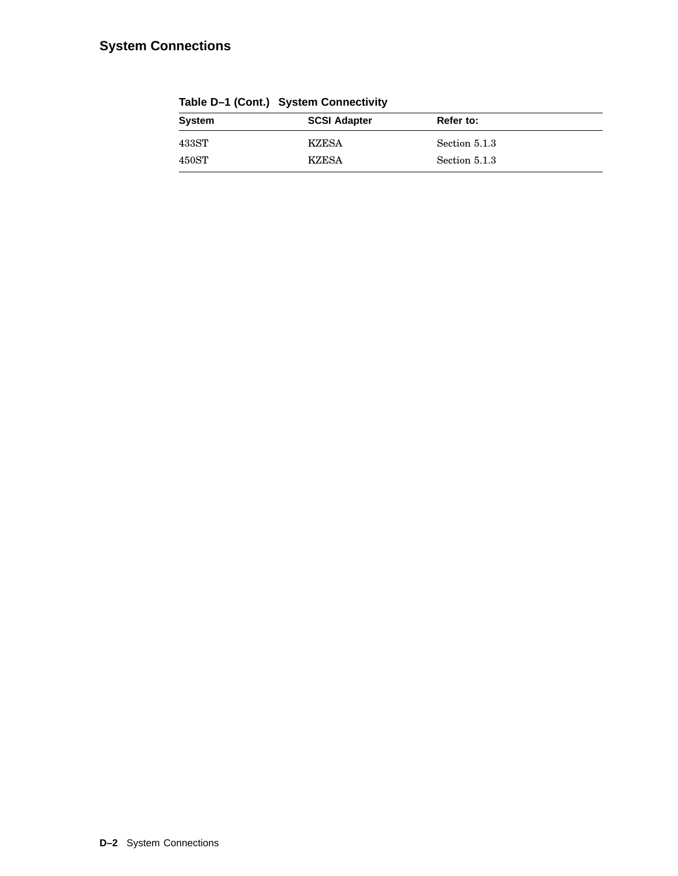# **System Connections**

| $10000$ $\mu$ $100100$ $\sigma$ $10000$ |                     |               |  |
|-----------------------------------------|---------------------|---------------|--|
| System                                  | <b>SCSI Adapter</b> | Refer to:     |  |
| $433\mathrm{ST}$                        | <b>KZESA</b>        | Section 5.1.3 |  |
| $450\mathrm{ST}$                        | KZESA               | Section 5.1.3 |  |

**Table D–1 (Cont.) System Connectivity**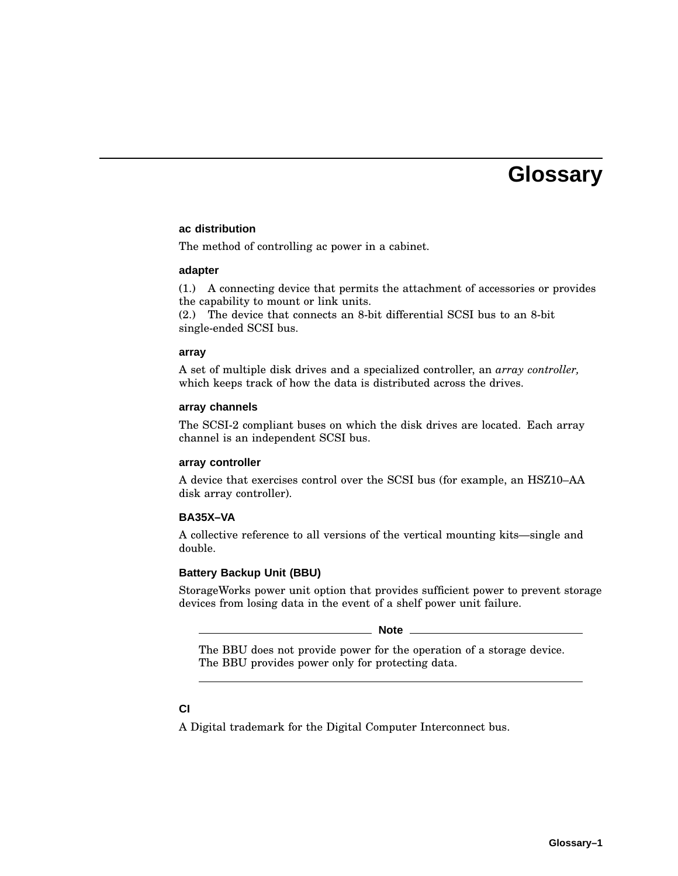# **Glossary**

#### **ac distribution**

The method of controlling ac power in a cabinet.

#### **adapter**

(1.) A connecting device that permits the attachment of accessories or provides the capability to mount or link units.

(2.) The device that connects an 8-bit differential SCSI bus to an 8-bit single-ended SCSI bus.

#### **array**

A set of multiple disk drives and a specialized controller, an *array controller,* which keeps track of how the data is distributed across the drives.

#### **array channels**

The SCSI-2 compliant buses on which the disk drives are located. Each array channel is an independent SCSI bus.

#### **array controller**

A device that exercises control over the SCSI bus (for example, an HSZ10–AA disk array controller).

#### **BA35X–VA**

A collective reference to all versions of the vertical mounting kits—single and double.

#### **Battery Backup Unit (BBU)**

StorageWorks power unit option that provides sufficient power to prevent storage devices from losing data in the event of a shelf power unit failure.

**Note** 

The BBU does not provide power for the operation of a storage device. The BBU provides power only for protecting data.

#### **CI**

A Digital trademark for the Digital Computer Interconnect bus.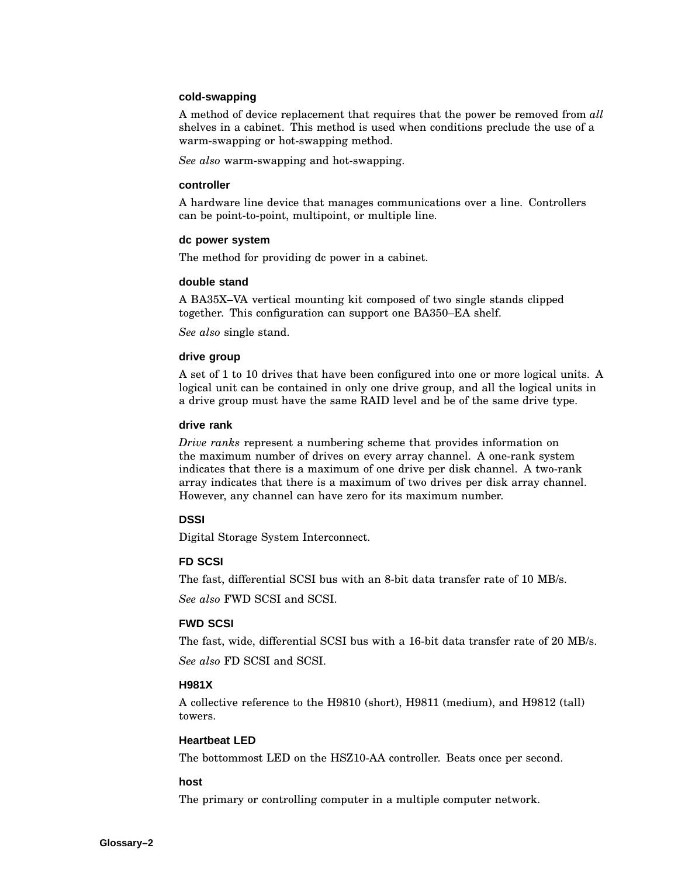#### **cold-swapping**

A method of device replacement that requires that the power be removed from *all* shelves in a cabinet. This method is used when conditions preclude the use of a warm-swapping or hot-swapping method.

*See also* warm-swapping and hot-swapping.

#### **controller**

A hardware line device that manages communications over a line. Controllers can be point-to-point, multipoint, or multiple line.

#### **dc power system**

The method for providing dc power in a cabinet.

#### **double stand**

A BA35X–VA vertical mounting kit composed of two single stands clipped together. This configuration can support one BA350–EA shelf.

*See also* single stand.

#### **drive group**

A set of 1 to 10 drives that have been configured into one or more logical units. A logical unit can be contained in only one drive group, and all the logical units in a drive group must have the same RAID level and be of the same drive type.

#### **drive rank**

*Drive ranks* represent a numbering scheme that provides information on the maximum number of drives on every array channel. A one-rank system indicates that there is a maximum of one drive per disk channel. A two-rank array indicates that there is a maximum of two drives per disk array channel. However, any channel can have zero for its maximum number.

#### **DSSI**

Digital Storage System Interconnect.

#### **FD SCSI**

The fast, differential SCSI bus with an 8-bit data transfer rate of 10 MB/s.

*See also* FWD SCSI and SCSI.

#### **FWD SCSI**

The fast, wide, differential SCSI bus with a 16-bit data transfer rate of 20 MB/s. *See also* FD SCSI and SCSI.

#### **H981X**

A collective reference to the H9810 (short), H9811 (medium), and H9812 (tall) towers.

#### **Heartbeat LED**

The bottommost LED on the HSZ10-AA controller. Beats once per second.

#### **host**

The primary or controlling computer in a multiple computer network.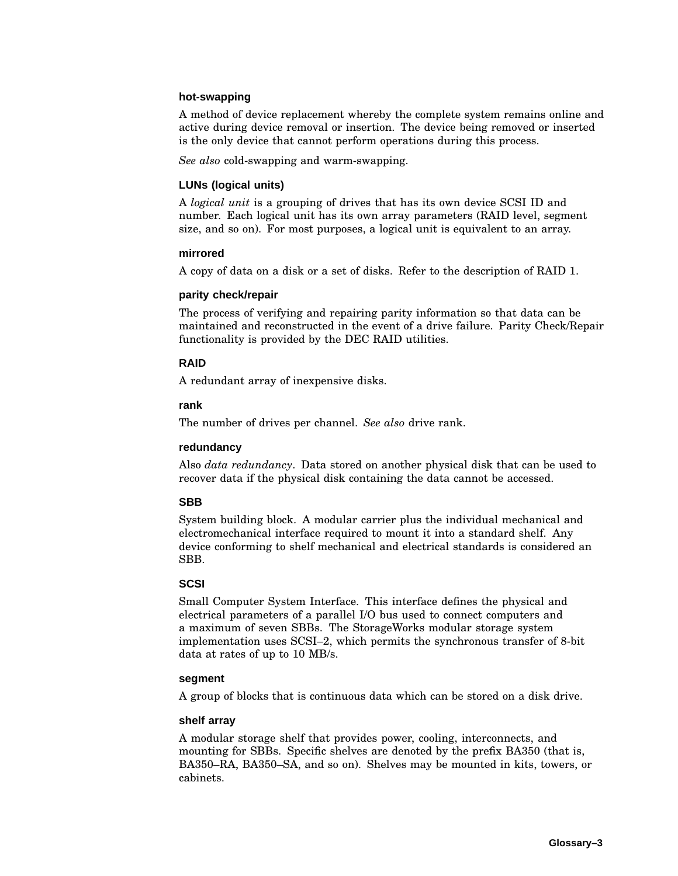#### **hot-swapping**

A method of device replacement whereby the complete system remains online and active during device removal or insertion. The device being removed or inserted is the only device that cannot perform operations during this process.

*See also* cold-swapping and warm-swapping.

#### **LUNs (logical units)**

A *logical unit* is a grouping of drives that has its own device SCSI ID and number. Each logical unit has its own array parameters (RAID level, segment size, and so on). For most purposes, a logical unit is equivalent to an array.

#### **mirrored**

A copy of data on a disk or a set of disks. Refer to the description of RAID 1.

#### **parity check/repair**

The process of verifying and repairing parity information so that data can be maintained and reconstructed in the event of a drive failure. Parity Check/Repair functionality is provided by the DEC RAID utilities.

#### **RAID**

A redundant array of inexpensive disks.

#### **rank**

The number of drives per channel. *See also* drive rank.

#### **redundancy**

Also *data redundancy*. Data stored on another physical disk that can be used to recover data if the physical disk containing the data cannot be accessed.

#### **SBB**

System building block. A modular carrier plus the individual mechanical and electromechanical interface required to mount it into a standard shelf. Any device conforming to shelf mechanical and electrical standards is considered an SBB.

#### **SCSI**

Small Computer System Interface. This interface defines the physical and electrical parameters of a parallel I/O bus used to connect computers and a maximum of seven SBBs. The StorageWorks modular storage system implementation uses SCSI–2, which permits the synchronous transfer of 8-bit data at rates of up to 10 MB/s.

#### **segment**

A group of blocks that is continuous data which can be stored on a disk drive.

#### **shelf array**

A modular storage shelf that provides power, cooling, interconnects, and mounting for SBBs. Specific shelves are denoted by the prefix BA350 (that is, BA350–RA, BA350–SA, and so on). Shelves may be mounted in kits, towers, or cabinets.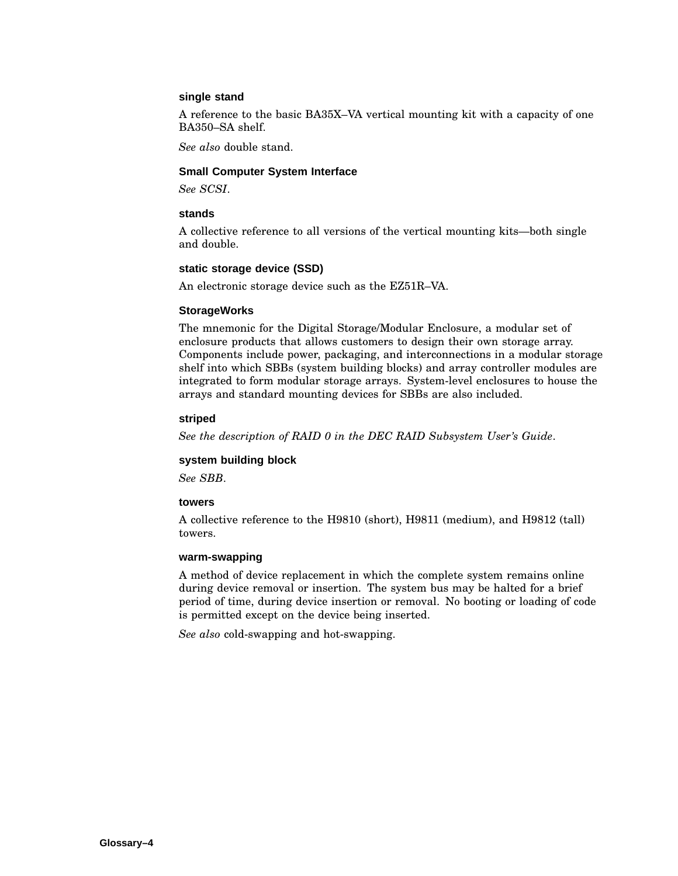#### **single stand**

A reference to the basic BA35X–VA vertical mounting kit with a capacity of one BA350–SA shelf.

*See also* double stand.

#### **Small Computer System Interface**

*See SCSI*.

#### **stands**

A collective reference to all versions of the vertical mounting kits—both single and double.

#### **static storage device (SSD)**

An electronic storage device such as the EZ51R–VA.

#### **StorageWorks**

The mnemonic for the Digital Storage/Modular Enclosure, a modular set of enclosure products that allows customers to design their own storage array. Components include power, packaging, and interconnections in a modular storage shelf into which SBBs (system building blocks) and array controller modules are integrated to form modular storage arrays. System-level enclosures to house the arrays and standard mounting devices for SBBs are also included.

#### **striped**

*See the description of RAID 0 in the DEC RAID Subsystem User's Guide*.

#### **system building block**

*See SBB*.

#### **towers**

A collective reference to the H9810 (short), H9811 (medium), and H9812 (tall) towers.

#### **warm-swapping**

A method of device replacement in which the complete system remains online during device removal or insertion. The system bus may be halted for a brief period of time, during device insertion or removal. No booting or loading of code is permitted except on the device being inserted.

*See also* cold-swapping and hot-swapping.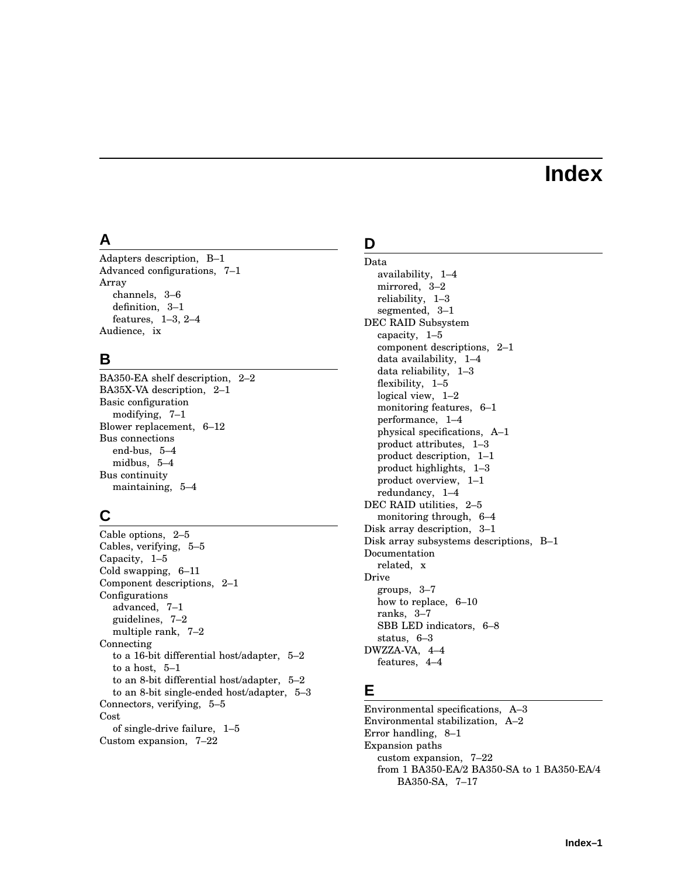# **Index**

# **A**

Adapters description, B–1 Advanced configurations, 7–1 Array channels, 3–6 definition, 3–1 features, 1–3, 2–4 Audience, ix

# **B**

BA350-EA shelf description, 2–2 BA35X-VA description, 2–1 Basic configuration modifying, 7–1 Blower replacement, 6–12 Bus connections end-bus, 5–4 midbus, 5–4 Bus continuity maintaining, 5–4

# **C**

Cable options, 2–5 Cables, verifying, 5–5 Capacity, 1–5 Cold swapping, 6–11 Component descriptions, 2–1 Configurations advanced, 7–1 guidelines, 7–2 multiple rank, 7–2 Connecting to a 16-bit differential host/adapter, 5–2 to a host, 5–1 to an 8-bit differential host/adapter, 5–2 to an 8-bit single-ended host/adapter, 5–3 Connectors, verifying, 5–5 Cost of single-drive failure, 1–5 Custom expansion, 7–22

# **D**

Data availability, 1–4 mirrored, 3–2 reliability, 1–3 segmented, 3–1 DEC RAID Subsystem capacity, 1–5 component descriptions, 2–1 data availability, 1–4 data reliability, 1–3 flexibility, 1–5 logical view, 1–2 monitoring features, 6–1 performance, 1–4 physical specifications, A–1 product attributes, 1–3 product description, 1–1 product highlights, 1–3 product overview, 1–1 redundancy, 1–4 DEC RAID utilities, 2–5 monitoring through, 6–4 Disk array description, 3–1 Disk array subsystems descriptions, B–1 Documentation related, x Drive groups, 3–7 how to replace, 6–10 ranks, 3–7 SBB LED indicators, 6–8 status, 6–3 DWZZA-VA, 4–4 features, 4–4

# **E**

Environmental specifications, A–3 Environmental stabilization, A–2 Error handling, 8–1 Expansion paths custom expansion, 7–22 from 1 BA350-EA/2 BA350-SA to 1 BA350-EA/4 BA350-SA, 7–17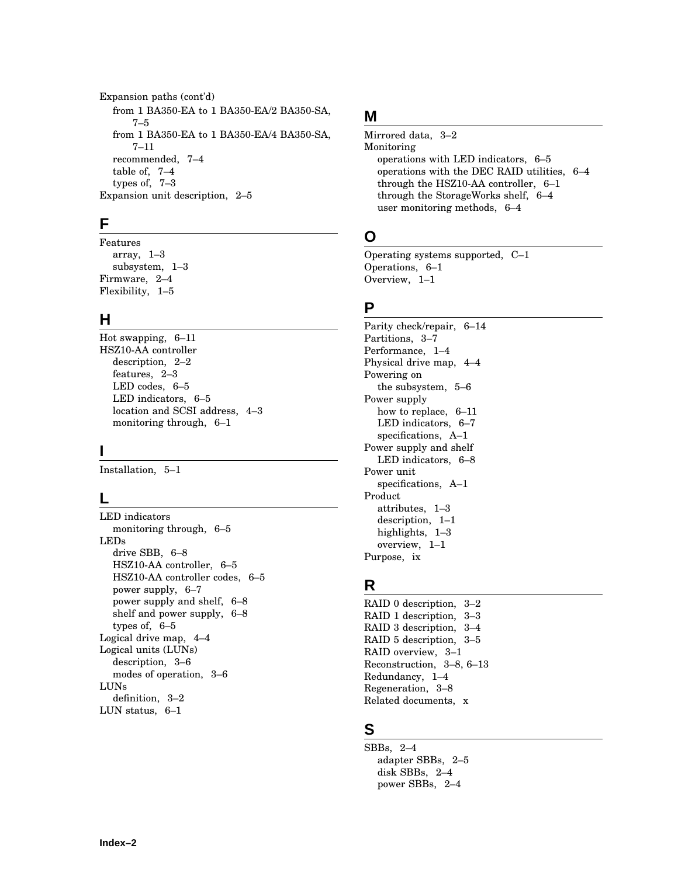Expansion paths (cont'd) from 1 BA350-EA to 1 BA350-EA/2 BA350-SA, 7–5 from 1 BA350-EA to 1 BA350-EA/4 BA350-SA, 7–11 recommended, 7–4 table of, 7–4 types of, 7–3 Expansion unit description, 2–5

# **F**

Features array, 1–3 subsystem, 1–3 Firmware, 2–4 Flexibility, 1–5

# **H**

Hot swapping, 6–11 HSZ10-AA controller description, 2–2 features, 2–3 LED codes, 6–5 LED indicators, 6–5 location and SCSI address, 4–3 monitoring through, 6–1

# **I**

Installation, 5–1

# **L**

LED indicators monitoring through, 6–5 LEDs drive SBB, 6–8 HSZ10-AA controller, 6–5 HSZ10-AA controller codes, 6–5 power supply, 6–7 power supply and shelf, 6–8 shelf and power supply, 6–8 types of, 6–5 Logical drive map, 4–4 Logical units (LUNs) description, 3–6 modes of operation, 3–6 LUNs definition, 3–2 LUN status, 6–1

# **M**

Mirrored data, 3–2 Monitoring operations with LED indicators, 6–5 operations with the DEC RAID utilities, 6–4 through the HSZ10-AA controller, 6–1 through the StorageWorks shelf, 6–4 user monitoring methods, 6–4

# **O**

Operating systems supported, C–1 Operations, 6–1 Overview, 1–1

# **P**

Parity check/repair, 6–14 Partitions, 3–7 Performance, 1–4 Physical drive map, 4–4 Powering on the subsystem, 5–6 Power supply how to replace, 6–11 LED indicators, 6–7 specifications, A–1 Power supply and shelf LED indicators, 6–8 Power unit specifications, A–1 Product attributes, 1–3 description, 1–1 highlights, 1–3 overview, 1–1 Purpose, ix

# **R**

RAID 0 description, 3–2 RAID 1 description, 3–3 RAID 3 description, 3–4 RAID 5 description, 3–5 RAID overview, 3–1 Reconstruction, 3–8, 6–13 Redundancy, 1–4 Regeneration, 3–8 Related documents, x

# **S**

SBBs, 2–4 adapter SBBs, 2–5 disk SBBs, 2–4 power SBBs, 2–4